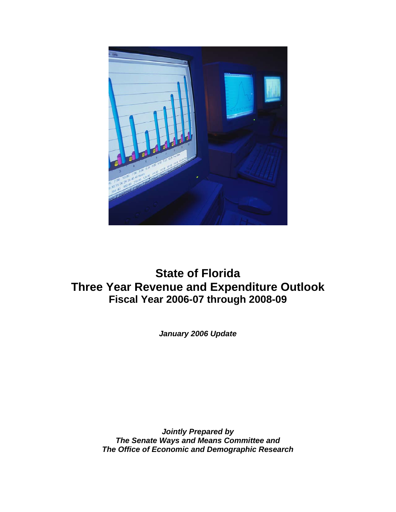

# **State of Florida Three Year Revenue and Expenditure Outlook Fiscal Year 2006-07 through 2008-09**

*January 2006 Update* 

*Jointly Prepared by The Senate Ways and Means Committee and The Office of Economic and Demographic Research*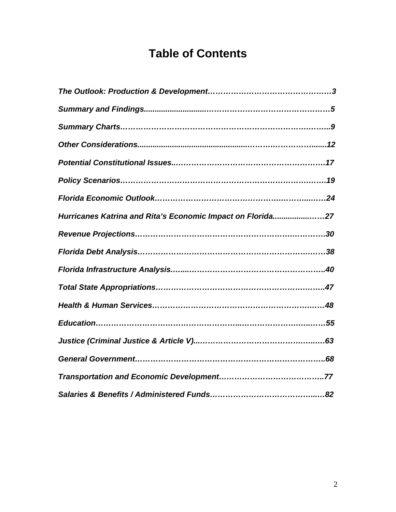# **Table of Contents**

| Hurricanes Katrina and Rita's Economic Impact on Florida27 |
|------------------------------------------------------------|
|                                                            |
|                                                            |
|                                                            |
|                                                            |
|                                                            |
|                                                            |
|                                                            |
|                                                            |
|                                                            |
|                                                            |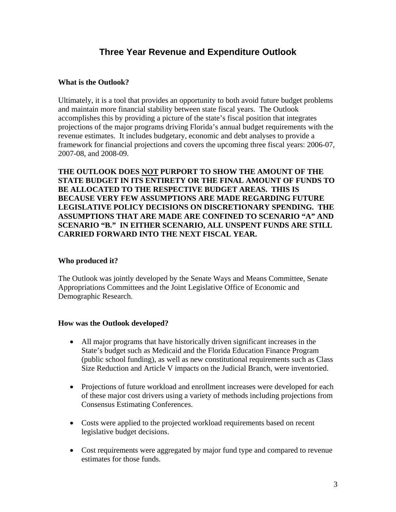# **Three Year Revenue and Expenditure Outlook**

# **What is the Outlook?**

Ultimately, it is a tool that provides an opportunity to both avoid future budget problems and maintain more financial stability between state fiscal years. The Outlook accomplishes this by providing a picture of the state's fiscal position that integrates projections of the major programs driving Florida's annual budget requirements with the revenue estimates. It includes budgetary, economic and debt analyses to provide a framework for financial projections and covers the upcoming three fiscal years: 2006-07, 2007-08, and 2008-09.

**THE OUTLOOK DOES NOT PURPORT TO SHOW THE AMOUNT OF THE STATE BUDGET IN ITS ENTIRETY OR THE FINAL AMOUNT OF FUNDS TO BE ALLOCATED TO THE RESPECTIVE BUDGET AREAS. THIS IS BECAUSE VERY FEW ASSUMPTIONS ARE MADE REGARDING FUTURE LEGISLATIVE POLICY DECISIONS ON DISCRETIONARY SPENDING. THE ASSUMPTIONS THAT ARE MADE ARE CONFINED TO SCENARIO "A" AND SCENARIO "B." IN EITHER SCENARIO, ALL UNSPENT FUNDS ARE STILL CARRIED FORWARD INTO THE NEXT FISCAL YEAR.** 

# **Who produced it?**

The Outlook was jointly developed by the Senate Ways and Means Committee, Senate Appropriations Committees and the Joint Legislative Office of Economic and Demographic Research.

# **How was the Outlook developed?**

- All major programs that have historically driven significant increases in the State's budget such as Medicaid and the Florida Education Finance Program (public school funding), as well as new constitutional requirements such as Class Size Reduction and Article V impacts on the Judicial Branch, were inventoried.
- Projections of future workload and enrollment increases were developed for each of these major cost drivers using a variety of methods including projections from Consensus Estimating Conferences.
- Costs were applied to the projected workload requirements based on recent legislative budget decisions.
- Cost requirements were aggregated by major fund type and compared to revenue estimates for those funds.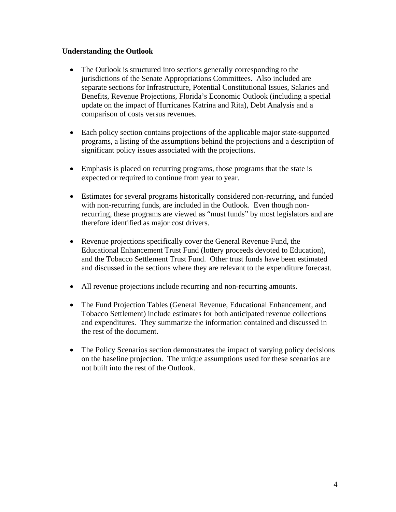### **Understanding the Outlook**

- The Outlook is structured into sections generally corresponding to the jurisdictions of the Senate Appropriations Committees. Also included are separate sections for Infrastructure, Potential Constitutional Issues, Salaries and Benefits, Revenue Projections, Florida's Economic Outlook (including a special update on the impact of Hurricanes Katrina and Rita), Debt Analysis and a comparison of costs versus revenues.
- Each policy section contains projections of the applicable major state-supported programs, a listing of the assumptions behind the projections and a description of significant policy issues associated with the projections.
- Emphasis is placed on recurring programs, those programs that the state is expected or required to continue from year to year.
- Estimates for several programs historically considered non-recurring, and funded with non-recurring funds, are included in the Outlook. Even though nonrecurring, these programs are viewed as "must funds" by most legislators and are therefore identified as major cost drivers.
- Revenue projections specifically cover the General Revenue Fund, the Educational Enhancement Trust Fund (lottery proceeds devoted to Education), and the Tobacco Settlement Trust Fund. Other trust funds have been estimated and discussed in the sections where they are relevant to the expenditure forecast.
- All revenue projections include recurring and non-recurring amounts.
- The Fund Projection Tables (General Revenue, Educational Enhancement, and Tobacco Settlement) include estimates for both anticipated revenue collections and expenditures. They summarize the information contained and discussed in the rest of the document.
- The Policy Scenarios section demonstrates the impact of varying policy decisions on the baseline projection. The unique assumptions used for these scenarios are not built into the rest of the Outlook.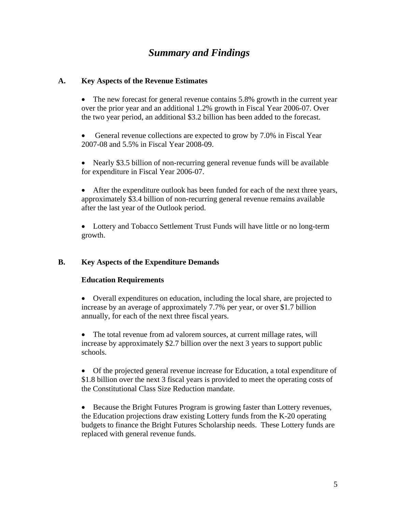# *Summary and Findings*

# **A. Key Aspects of the Revenue Estimates**

• The new forecast for general revenue contains 5.8% growth in the current year over the prior year and an additional 1.2% growth in Fiscal Year 2006-07. Over the two year period, an additional \$3.2 billion has been added to the forecast.

General revenue collections are expected to grow by 7.0% in Fiscal Year 2007-08 and 5.5% in Fiscal Year 2008-09.

• Nearly \$3.5 billion of non-recurring general revenue funds will be available for expenditure in Fiscal Year 2006-07.

• After the expenditure outlook has been funded for each of the next three years, approximately \$3.4 billion of non-recurring general revenue remains available after the last year of the Outlook period.

• Lottery and Tobacco Settlement Trust Funds will have little or no long-term growth.

# **B. Key Aspects of the Expenditure Demands**

# **Education Requirements**

• Overall expenditures on education, including the local share, are projected to increase by an average of approximately 7.7% per year, or over \$1.7 billion annually, for each of the next three fiscal years.

• The total revenue from ad valorem sources, at current millage rates, will increase by approximately \$2.7 billion over the next 3 years to support public schools.

• Of the projected general revenue increase for Education, a total expenditure of \$1.8 billion over the next 3 fiscal years is provided to meet the operating costs of the Constitutional Class Size Reduction mandate.

• Because the Bright Futures Program is growing faster than Lottery revenues, the Education projections draw existing Lottery funds from the K-20 operating budgets to finance the Bright Futures Scholarship needs. These Lottery funds are replaced with general revenue funds.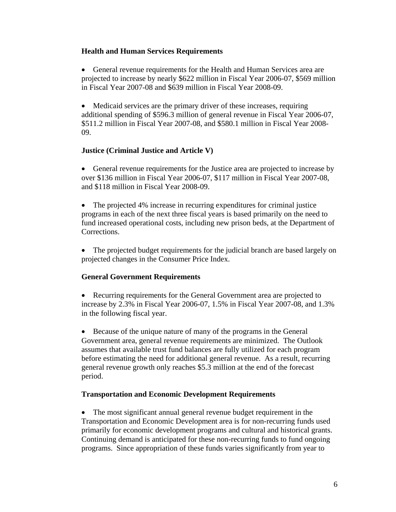### **Health and Human Services Requirements**

• General revenue requirements for the Health and Human Services area are projected to increase by nearly \$622 million in Fiscal Year 2006-07, \$569 million in Fiscal Year 2007-08 and \$639 million in Fiscal Year 2008-09.

• Medicaid services are the primary driver of these increases, requiring additional spending of \$596.3 million of general revenue in Fiscal Year 2006-07, \$511.2 million in Fiscal Year 2007-08, and \$580.1 million in Fiscal Year 2008- 09.

### **Justice (Criminal Justice and Article V)**

• General revenue requirements for the Justice area are projected to increase by over \$136 million in Fiscal Year 2006-07, \$117 million in Fiscal Year 2007-08, and \$118 million in Fiscal Year 2008-09.

• The projected 4% increase in recurring expenditures for criminal justice programs in each of the next three fiscal years is based primarily on the need to fund increased operational costs, including new prison beds, at the Department of Corrections.

• The projected budget requirements for the judicial branch are based largely on projected changes in the Consumer Price Index.

# **General Government Requirements**

• Recurring requirements for the General Government area are projected to increase by 2.3% in Fiscal Year 2006-07, 1.5% in Fiscal Year 2007-08, and 1.3% in the following fiscal year.

• Because of the unique nature of many of the programs in the General Government area, general revenue requirements are minimized. The Outlook assumes that available trust fund balances are fully utilized for each program before estimating the need for additional general revenue. As a result, recurring general revenue growth only reaches \$5.3 million at the end of the forecast period.

# **Transportation and Economic Development Requirements**

• The most significant annual general revenue budget requirement in the Transportation and Economic Development area is for non-recurring funds used primarily for economic development programs and cultural and historical grants. Continuing demand is anticipated for these non-recurring funds to fund ongoing programs. Since appropriation of these funds varies significantly from year to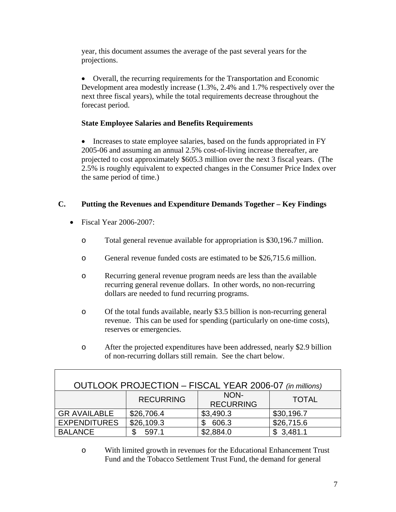year, this document assumes the average of the past several years for the projections.

• Overall, the recurring requirements for the Transportation and Economic Development area modestly increase (1.3%, 2.4% and 1.7% respectively over the next three fiscal years), while the total requirements decrease throughout the forecast period.

# **State Employee Salaries and Benefits Requirements**

• Increases to state employee salaries, based on the funds appropriated in FY 2005-06 and assuming an annual 2.5% cost-of-living increase thereafter, are projected to cost approximately \$605.3 million over the next 3 fiscal years. (The 2.5% is roughly equivalent to expected changes in the Consumer Price Index over the same period of time.)

# **C. Putting the Revenues and Expenditure Demands Together – Key Findings**

- Fiscal Year 2006-2007:
	- o Total general revenue available for appropriation is \$30,196.7 million.
	- o General revenue funded costs are estimated to be \$26,715.6 million.
	- o Recurring general revenue program needs are less than the available recurring general revenue dollars. In other words, no non-recurring dollars are needed to fund recurring programs.
	- o Of the total funds available, nearly \$3.5 billion is non-recurring general revenue. This can be used for spending (particularly on one-time costs), reserves or emergencies.
	- o After the projected expenditures have been addressed, nearly \$2.9 billion of non-recurring dollars still remain. See the chart below.

| OUTLOOK PROJECTION - FISCAL YEAR 2006-07 (in millions)       |             |           |            |  |  |
|--------------------------------------------------------------|-------------|-----------|------------|--|--|
| NON-<br><b>RECURRING</b><br><b>TOTAL</b><br><b>RECURRING</b> |             |           |            |  |  |
| <b>GR AVAILABLE</b>                                          | \$26,706.4  | \$3,490.3 | \$30,196.7 |  |  |
| <b>EXPENDITURES</b>                                          | \$26,109.3  | 606.3     | \$26,715.6 |  |  |
| <b>BALANCE</b>                                               | 597.1<br>\$ | \$2,884.0 | \$3,481.1  |  |  |

o With limited growth in revenues for the Educational Enhancement Trust Fund and the Tobacco Settlement Trust Fund, the demand for general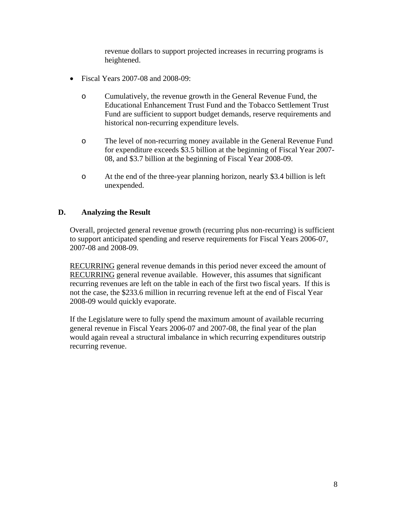revenue dollars to support projected increases in recurring programs is heightened.

- Fiscal Years 2007-08 and 2008-09:
	- o Cumulatively, the revenue growth in the General Revenue Fund, the Educational Enhancement Trust Fund and the Tobacco Settlement Trust Fund are sufficient to support budget demands, reserve requirements and historical non-recurring expenditure levels.
	- o The level of non-recurring money available in the General Revenue Fund for expenditure exceeds \$3.5 billion at the beginning of Fiscal Year 2007- 08, and \$3.7 billion at the beginning of Fiscal Year 2008-09.
	- o At the end of the three-year planning horizon, nearly \$3.4 billion is left unexpended.

### **D. Analyzing the Result**

 Overall, projected general revenue growth (recurring plus non-recurring) is sufficient to support anticipated spending and reserve requirements for Fiscal Years 2006-07, 2007-08 and 2008-09.

RECURRING general revenue demands in this period never exceed the amount of RECURRING general revenue available. However, this assumes that significant recurring revenues are left on the table in each of the first two fiscal years. If this is not the case, the \$233.6 million in recurring revenue left at the end of Fiscal Year 2008-09 would quickly evaporate.

If the Legislature were to fully spend the maximum amount of available recurring general revenue in Fiscal Years 2006-07 and 2007-08, the final year of the plan would again reveal a structural imbalance in which recurring expenditures outstrip recurring revenue.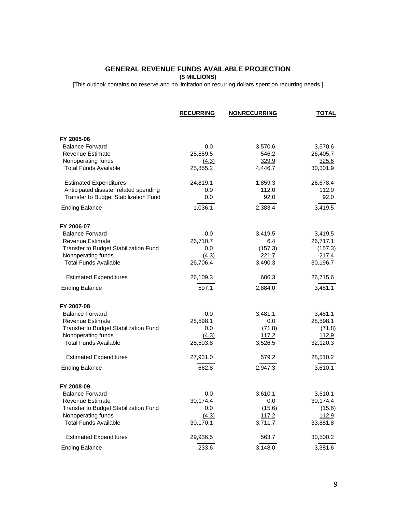### **GENERAL REVENUE FUNDS AVAILABLE PROJECTION (\$ MILLIONS)**

[This outlook contains no reserve and no limitation on recurring dollars spent on recurring needs.]

|                                       | <b>RECURRING</b> | <b>NONRECURRING</b> | <b>TOTAL</b> |
|---------------------------------------|------------------|---------------------|--------------|
| FY 2005-06                            |                  |                     |              |
| <b>Balance Forward</b>                | 0.0              | 3,570.6             | 3,570.6      |
| <b>Revenue Estimate</b>               | 25,859.5         | 546.2               | 26,405.7     |
| Nonoperating funds                    | (4.3)            | 329.9               | 325.6        |
| <b>Total Funds Available</b>          | 25,855.2         | 4,446.7             | 30,301.9     |
| <b>Estimated Expenditures</b>         | 24,819.1         | 1,859.3             | 26,678.4     |
| Anticipated disaster related spending | 0.0              | 112.0               | 112.0        |
| Transfer to Budget Stabilization Fund | 0.0              | 92.0                | 92.0         |
| <b>Ending Balance</b>                 | 1,036.1          | 2,383.4             | 3,419.5      |
| FY 2006-07                            |                  |                     |              |
| <b>Balance Forward</b>                | 0.0              | 3,419.5             | 3,419.5      |
| <b>Revenue Estimate</b>               | 26,710.7         | 6.4                 | 26,717.1     |
| Transfer to Budget Stabilization Fund | 0.0              | (157.3)             | (157.3)      |
| Nonoperating funds                    | (4.3)            | 221.7               | <u>217.4</u> |
| <b>Total Funds Available</b>          | 26,706.4         | 3,490.3             | 30,196.7     |
| <b>Estimated Expenditures</b>         | 26,109.3         | 606.3               | 26,715.6     |
| <b>Ending Balance</b>                 | 597.1            | 2,884.0             | 3,481.1      |
| FY 2007-08                            |                  |                     |              |
| <b>Balance Forward</b>                | 0.0              | 3,481.1             | 3,481.1      |
| <b>Revenue Estimate</b>               | 28,598.1         | 0.0                 | 28,598.1     |
| Transfer to Budget Stabilization Fund | 0.0              | (71.8)              | (71.8)       |
| Nonoperating funds                    | (4.3)            | <u>117.2</u>        | 112.9        |
| <b>Total Funds Available</b>          | 28,593.8         | 3,526.5             | 32,120.3     |
| <b>Estimated Expenditures</b>         | 27,931.0         | 579.2               | 28,510.2     |
| <b>Ending Balance</b>                 | 662.8            | 2,947.3             | 3,610.1      |
| FY 2008-09                            |                  |                     |              |
| <b>Balance Forward</b>                | 0.0              | 3,610.1             | 3,610.1      |
| Revenue Estimate                      | 30,174.4         | 0.0                 | 30,174.4     |
| Transfer to Budget Stabilization Fund | 0.0              | (15.6)              | (15.6)       |
| Nonoperating funds                    | (4.3)            | <u>117.2</u>        | 112.9        |
| <b>Total Funds Available</b>          | 30,170.1         | 3,711.7             | 33,881.8     |
| <b>Estimated Expenditures</b>         | 29,936.5         | 563.7               | 30,500.2     |
| <b>Ending Balance</b>                 | 233.6            | 3,148.0             | 3,381.6      |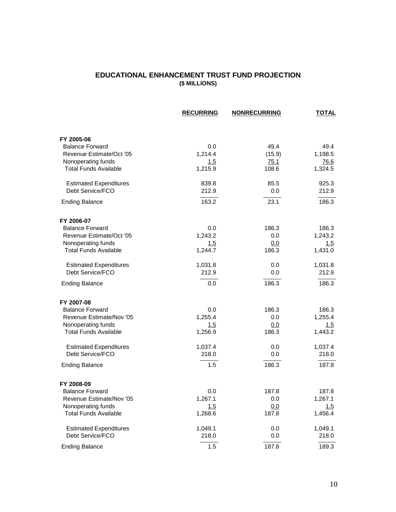### **EDUCATIONAL ENHANCEMENT TRUST FUND PROJECTION (\$ MILLIONS)**

|                               | <b>RECURRING</b> | <b>NONRECURRING</b> | <b>TOTAL</b> |
|-------------------------------|------------------|---------------------|--------------|
| FY 2005-06                    |                  |                     |              |
| <b>Balance Forward</b>        | 0.0              | 49.4                | 49.4         |
| Revenue Estimate/Oct '05      | 1,214.4          | (15.9)              | 1,198.5      |
| Nonoperating funds            | 1.5              | 75.1                | 76.6         |
| <b>Total Funds Available</b>  | 1,215.9          | 108.6               | 1,324.5      |
| <b>Estimated Expenditures</b> | 839.8            | 85.5                | 925.3        |
| Debt Service/FCO              | 212.9            | 0.0                 | 212.9        |
| <b>Ending Balance</b>         | 163.2            | 23.1                | 186.3        |
| FY 2006-07                    |                  |                     |              |
| <b>Balance Forward</b>        | 0.0              | 186.3               | 186.3        |
| Revenue Estimate/Oct '05      | 1,243.2          | 0.0                 | 1,243.2      |
| Nonoperating funds            | 1.5              | 0.0                 | 1.5          |
| <b>Total Funds Available</b>  | 1,244.7          | 186.3               | 1,431.0      |
| <b>Estimated Expenditures</b> | 1,031.8          | 0.0                 | 1,031.8      |
| Debt Service/FCO              | 212.9            | 0.0                 | 212.9        |
| <b>Ending Balance</b>         | 0.0              | 186.3               | 186.3        |
| FY 2007-08                    |                  |                     |              |
| <b>Balance Forward</b>        | 0.0              | 186.3               | 186.3        |
| Revenue Estimate/Nov '05      | 1,255.4          | 0.0                 | 1,255.4      |
| Nonoperating funds            | 1.5              | 0.0                 | 1.5          |
| <b>Total Funds Available</b>  | 1,256.9          | 186.3               | 1,443.2      |
| <b>Estimated Expenditures</b> | 1,037.4          | 0.0                 | 1,037.4      |
| Debt Service/FCO              | 218.0            | 0.0                 | 218.0        |
| <b>Ending Balance</b>         | 1.5              | 186.3               | 187.8        |
| FY 2008-09                    |                  |                     |              |
| <b>Balance Forward</b>        | 0.0              | 187.8               | 187.8        |
| Revenue Estimate/Nov '05      | 1,267.1          | 0.0                 | 1,267.1      |
| Nonoperating funds            | 1.5              | 0.0                 | 1.5          |
| <b>Total Funds Available</b>  | 1,268.6          | 187.8               | 1,456.4      |
| <b>Estimated Expenditures</b> | 1,049.1          | 0.0                 | 1,049.1      |
| Debt Service/FCO              | 218.0            | 0.0                 | 218.0        |
| <b>Ending Balance</b>         | 1.5              | 187.8               | 189.3        |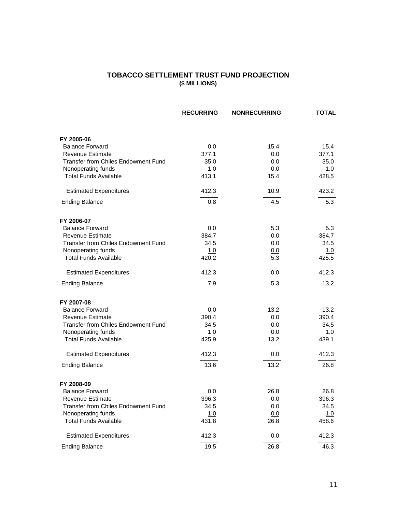### **TOBACCO SETTLEMENT TRUST FUND PROJECTION (\$ MILLIONS)**

|                                            | <b>RECURRING</b> | <b>NONRECURRING</b> | <b>TOTAL</b> |
|--------------------------------------------|------------------|---------------------|--------------|
|                                            |                  |                     |              |
| FY 2005-06                                 |                  |                     |              |
| <b>Balance Forward</b>                     | 0.0              | 15.4                | 15.4         |
| <b>Revenue Estimate</b>                    | 377.1            | 0.0                 | 377.1        |
| <b>Transfer from Chiles Endowment Fund</b> | 35.0             | 0.0                 | 35.0         |
| Nonoperating funds                         | 1.0              | 0.0                 | 1.0          |
| <b>Total Funds Available</b>               | 413.1            | 15.4                | 428.5        |
| <b>Estimated Expenditures</b>              | 412.3            | 10.9                | 423.2        |
| <b>Ending Balance</b>                      | 0.8              | 4.5                 | 5.3          |
| FY 2006-07                                 |                  |                     |              |
| <b>Balance Forward</b>                     | 0.0              | 5.3                 | 5.3          |
| <b>Revenue Estimate</b>                    | 384.7            | 0.0                 | 384.7        |
| <b>Transfer from Chiles Endowment Fund</b> | 34.5             | 0.0                 | 34.5         |
| Nonoperating funds                         | 1.0              | <u>0.0</u>          | 1.0          |
| <b>Total Funds Available</b>               | 420.2            | 5.3                 | 425.5        |
| <b>Estimated Expenditures</b>              | 412.3            | 0.0                 | 412.3        |
| <b>Ending Balance</b>                      | 7.9              | 5.3                 | 13.2         |
| FY 2007-08                                 |                  |                     |              |
| <b>Balance Forward</b>                     | 0.0              | 13.2                | 13.2         |
| <b>Revenue Estimate</b>                    | 390.4            | 0.0                 | 390.4        |
| Transfer from Chiles Endowment Fund        | 34.5             | 0.0                 | 34.5         |
| Nonoperating funds                         | 1.0              | 0.0                 | <u>1.0</u>   |
| <b>Total Funds Available</b>               | 425.9            | 13.2                | 439.1        |
| <b>Estimated Expenditures</b>              | 412.3            | 0.0                 | 412.3        |
| <b>Ending Balance</b>                      | 13.6             | 13.2                | 26.8         |
| FY 2008-09                                 |                  |                     |              |
| <b>Balance Forward</b>                     | 0.0              | 26.8                | 26.8         |
| <b>Revenue Estimate</b>                    | 396.3            | 0.0                 | 396.3        |
| Transfer from Chiles Endowment Fund        | 34.5             | 0.0                 | 34.5         |
| Nonoperating funds                         | 1.0              | 0.0                 | <u>1.0</u>   |
| <b>Total Funds Available</b>               | 431.8            | 26.8                | 458.6        |
| <b>Estimated Expenditures</b>              | 412.3            | 0.0                 | 412.3        |
| <b>Ending Balance</b>                      | 19.5             | 26.8                | 46.3         |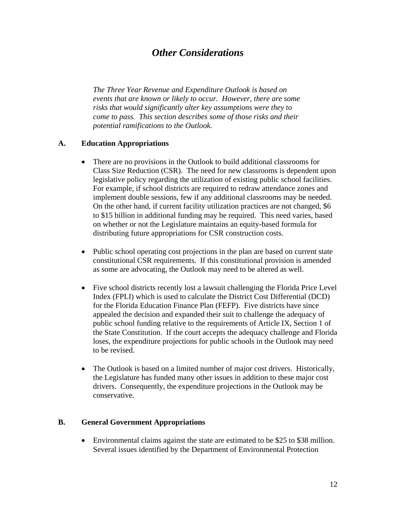# *Other Considerations*

*The Three Year Revenue and Expenditure Outlook is based on events that are known or likely to occur. However, there are some risks that would significantly alter key assumptions were they to come to pass. This section describes some of those risks and their potential ramifications to the Outlook.* 

### **A. Education Appropriations**

- There are no provisions in the Outlook to build additional classrooms for Class Size Reduction (CSR). The need for new classrooms is dependent upon legislative policy regarding the utilization of existing public school facilities. For example, if school districts are required to redraw attendance zones and implement double sessions, few if any additional classrooms may be needed. On the other hand, if current facility utilization practices are not changed, \$6 to \$15 billion in additional funding may be required. This need varies, based on whether or not the Legislature maintains an equity-based formula for distributing future appropriations for CSR construction costs.
- Public school operating cost projections in the plan are based on current state constitutional CSR requirements. If this constitutional provision is amended as some are advocating, the Outlook may need to be altered as well.
- Five school districts recently lost a lawsuit challenging the Florida Price Level Index (FPLI) which is used to calculate the District Cost Differential (DCD) for the Florida Education Finance Plan (FEFP). Five districts have since appealed the decision and expanded their suit to challenge the adequacy of public school funding relative to the requirements of Article IX, Section 1 of the State Constitution. If the court accepts the adequacy challenge and Florida loses, the expenditure projections for public schools in the Outlook may need to be revised.
- The Outlook is based on a limited number of major cost drivers. Historically, the Legislature has funded many other issues in addition to these major cost drivers. Consequently, the expenditure projections in the Outlook may be conservative.

### **B. General Government Appropriations**

• Environmental claims against the state are estimated to be \$25 to \$38 million. Several issues identified by the Department of Environmental Protection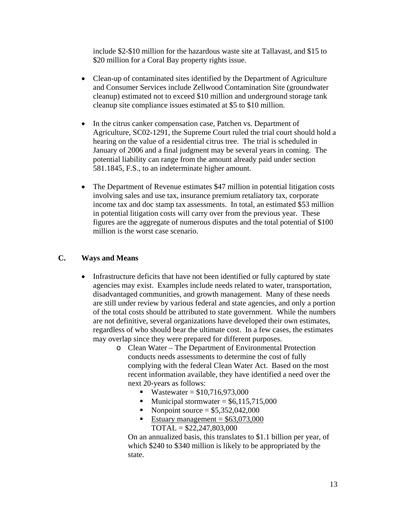include \$2-\$10 million for the hazardous waste site at Tallavast, and \$15 to \$20 million for a Coral Bay property rights issue.

- Clean-up of contaminated sites identified by the Department of Agriculture and Consumer Services include Zellwood Contamination Site (groundwater cleanup) estimated not to exceed \$10 million and underground storage tank cleanup site compliance issues estimated at \$5 to \$10 million.
- In the citrus canker compensation case, Patchen vs. Department of Agriculture, SC02-1291, the Supreme Court ruled the trial court should hold a hearing on the value of a residential citrus tree. The trial is scheduled in January of 2006 and a final judgment may be several years in coming. The potential liability can range from the amount already paid under section 581.1845, F.S., to an indeterminate higher amount.
- The Department of Revenue estimates \$47 million in potential litigation costs involving sales and use tax, insurance premium retaliatory tax, corporate income tax and doc stamp tax assessments. In total, an estimated \$53 million in potential litigation costs will carry over from the previous year. These figures are the aggregate of numerous disputes and the total potential of \$100 million is the worst case scenario.

# **C. Ways and Means**

- Infrastructure deficits that have not been identified or fully captured by state agencies may exist. Examples include needs related to water, transportation, disadvantaged communities, and growth management. Many of these needs are still under review by various federal and state agencies, and only a portion of the total costs should be attributed to state government. While the numbers are not definitive, several organizations have developed their own estimates, regardless of who should bear the ultimate cost. In a few cases, the estimates may overlap since they were prepared for different purposes.
	- o Clean Water The Department of Environmental Protection conducts needs assessments to determine the cost of fully complying with the federal Clean Water Act. Based on the most recent information available, they have identified a need over the next 20-years as follows:
		- Wastewater =  $$10,716,973,000$
		- Municipal stormwater  $= $6,115,715,000$
		- Nonpoint source = \$5,352,042,000
		- Estuary management =  $$63,073,000$  $TOTAL = $22,247,803,000$

On an annualized basis, this translates to \$1.1 billion per year, of which \$240 to \$340 million is likely to be appropriated by the state.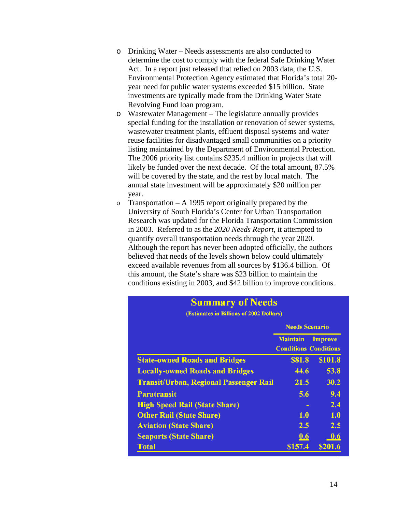- o Drinking Water Needs assessments are also conducted to determine the cost to comply with the federal Safe Drinking Water Act. In a report just released that relied on 2003 data, the U.S. Environmental Protection Agency estimated that Florida's total 20 year need for public water systems exceeded \$15 billion. State investments are typically made from the Drinking Water State Revolving Fund loan program.
- o Wastewater Management The legislature annually provides special funding for the installation or renovation of sewer systems, wastewater treatment plants, effluent disposal systems and water reuse facilities for disadvantaged small communities on a priority listing maintained by the Department of Environmental Protection. The 2006 priority list contains \$235.4 million in projects that will likely be funded over the next decade. Of the total amount, 87.5% will be covered by the state, and the rest by local match. The annual state investment will be approximately \$20 million per year.
- o Transportation A 1995 report originally prepared by the University of South Florida's Center for Urban Transportation Research was updated for the Florida Transportation Commission in 2003. Referred to as the *2020 Needs Report*, it attempted to quantify overall transportation needs through the year 2020. Although the report has never been adopted officially, the authors believed that needs of the levels shown below could ultimately exceed available revenues from all sources by \$136.4 billion. Of this amount, the State's share was \$23 billion to maintain the conditions existing in 2003, and \$42 billion to improve conditions.

| Summary of Neeus<br>(Estimates in Billions of 2002 Dollars) |                                                 |                |  |  |
|-------------------------------------------------------------|-------------------------------------------------|----------------|--|--|
|                                                             | <b>Needs Scenario</b>                           |                |  |  |
|                                                             | <b>Maintain</b><br><b>Conditions Conditions</b> | <b>Improve</b> |  |  |
| <b>State-owned Roads and Bridges</b>                        | \$81.8                                          | <b>\$101.8</b> |  |  |
| <b>Locally-owned Roads and Bridges</b>                      | 44.6                                            | 53.8           |  |  |
| <b>Transit/Urban, Regional Passenger Rail</b>               | 21.5                                            | 30.2           |  |  |
| <b>Paratransit</b>                                          | 5.6                                             | 9.4            |  |  |
| <b>High Speed Rail (State Share)</b>                        |                                                 | 2.4            |  |  |
| <b>Other Rail (State Share)</b>                             | 1.0                                             | 1.0            |  |  |
| <b>Aviation (State Share)</b>                               | 2.5                                             | 2.5            |  |  |
| <b>Seaports (State Share)</b>                               | 0.6                                             | 0.6            |  |  |
| <b>Total</b>                                                | \$157.4                                         | \$201.6        |  |  |

**CALL**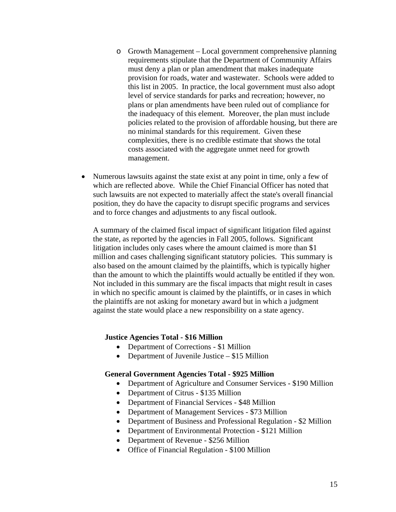- o Growth Management Local government comprehensive planning requirements stipulate that the Department of Community Affairs must deny a plan or plan amendment that makes inadequate provision for roads, water and wastewater. Schools were added to this list in 2005. In practice, the local government must also adopt level of service standards for parks and recreation; however, no plans or plan amendments have been ruled out of compliance for the inadequacy of this element. Moreover, the plan must include policies related to the provision of affordable housing, but there are no minimal standards for this requirement. Given these complexities, there is no credible estimate that shows the total costs associated with the aggregate unmet need for growth management.
- Numerous lawsuits against the state exist at any point in time, only a few of which are reflected above. While the Chief Financial Officer has noted that such lawsuits are not expected to materially affect the state's overall financial position, they do have the capacity to disrupt specific programs and services and to force changes and adjustments to any fiscal outlook.

A summary of the claimed fiscal impact of significant litigation filed against the state, as reported by the agencies in Fall 2005, follows. Significant litigation includes only cases where the amount claimed is more than \$1 million and cases challenging significant statutory policies. This summary is also based on the amount claimed by the plaintiffs, which is typically higher than the amount to which the plaintiffs would actually be entitled if they won. Not included in this summary are the fiscal impacts that might result in cases in which no specific amount is claimed by the plaintiffs, or in cases in which the plaintiffs are not asking for monetary award but in which a judgment against the state would place a new responsibility on a state agency.

### **Justice Agencies Total - \$16 Million**

- Department of Corrections \$1 Million
- Department of Juvenile Justice \$15 Million

#### **General Government Agencies Total - \$925 Million**

- Department of Agriculture and Consumer Services \$190 Million
- Department of Citrus \$135 Million
- Department of Financial Services \$48 Million
- Department of Management Services \$73 Million
- Department of Business and Professional Regulation \$2 Million
- Department of Environmental Protection \$121 Million
- Department of Revenue \$256 Million
- Office of Financial Regulation \$100 Million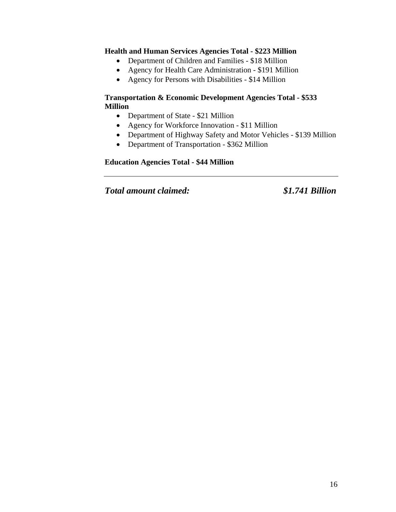### **Health and Human Services Agencies Total - \$223 Million**

- Department of Children and Families \$18 Million
- Agency for Health Care Administration \$191 Million
- Agency for Persons with Disabilities \$14 Million

### **Transportation & Economic Development Agencies Total - \$533 Million**

- Department of State \$21 Million
- Agency for Workforce Innovation \$11 Million
- Department of Highway Safety and Motor Vehicles \$139 Million
- Department of Transportation \$362 Million

# **Education Agencies Total - \$44 Million**

*Total amount claimed: \$1.741 Billion*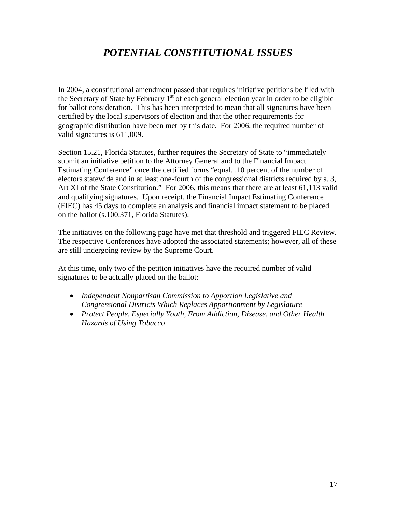# *POTENTIAL CONSTITUTIONAL ISSUES*

In 2004, a constitutional amendment passed that requires initiative petitions be filed with the Secretary of State by February  $1<sup>st</sup>$  of each general election year in order to be eligible for ballot consideration. This has been interpreted to mean that all signatures have been certified by the local supervisors of election and that the other requirements for geographic distribution have been met by this date. For 2006, the required number of valid signatures is 611,009.

Section 15.21, Florida Statutes, further requires the Secretary of State to "immediately submit an initiative petition to the Attorney General and to the Financial Impact Estimating Conference" once the certified forms "equal...10 percent of the number of electors statewide and in at least one-fourth of the congressional districts required by s. 3, Art XI of the State Constitution." For 2006, this means that there are at least 61,113 valid and qualifying signatures. Upon receipt, the Financial Impact Estimating Conference (FIEC) has 45 days to complete an analysis and financial impact statement to be placed on the ballot (s.100.371, Florida Statutes).

The initiatives on the following page have met that threshold and triggered FIEC Review. The respective Conferences have adopted the associated statements; however, all of these are still undergoing review by the Supreme Court.

At this time, only two of the petition initiatives have the required number of valid signatures to be actually placed on the ballot:

- *Independent Nonpartisan Commission to Apportion Legislative and Congressional Districts Which Replaces Apportionment by Legislature*
- *Protect People, Especially Youth, From Addiction, Disease, and Other Health Hazards of Using Tobacco*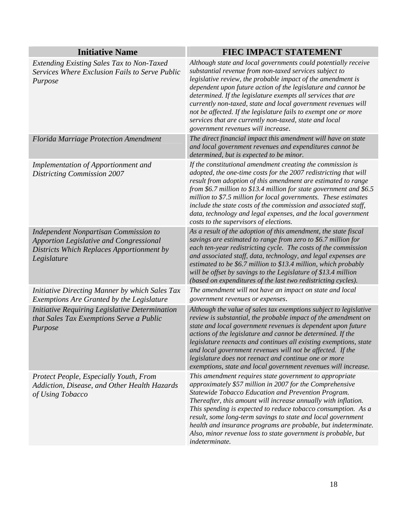| <b>Initiative Name</b>                                                                                                                                     | FIEC IMPACT STATEMENT                                                                                                                                                                                                                                                                                                                                                                                                                                                                                                                                        |
|------------------------------------------------------------------------------------------------------------------------------------------------------------|--------------------------------------------------------------------------------------------------------------------------------------------------------------------------------------------------------------------------------------------------------------------------------------------------------------------------------------------------------------------------------------------------------------------------------------------------------------------------------------------------------------------------------------------------------------|
| Extending Existing Sales Tax to Non-Taxed<br>Services Where Exclusion Fails to Serve Public<br>Purpose                                                     | Although state and local governments could potentially receive<br>substantial revenue from non-taxed services subject to<br>legislative review, the probable impact of the amendment is<br>dependent upon future action of the legislature and cannot be<br>determined. If the legislature exempts all services that are<br>currently non-taxed, state and local government revenues will<br>not be affected. If the legislature fails to exempt one or more<br>services that are currently non-taxed, state and local<br>government revenues will increase. |
| <b>Florida Marriage Protection Amendment</b>                                                                                                               | The direct financial impact this amendment will have on state<br>and local government revenues and expenditures cannot be<br>determined, but is expected to be minor.                                                                                                                                                                                                                                                                                                                                                                                        |
| <b>Implementation of Apportionment and</b><br><b>Districting Commission 2007</b>                                                                           | If the constitutional amendment creating the commission is<br>adopted, the one-time costs for the 2007 redistricting that will<br>result from adoption of this amendment are estimated to range<br>from \$6.7 million to \$13.4 million for state government and \$6.5<br>million to \$7.5 million for local governments. These estimates<br>include the state costs of the commission and associated staff,<br>data, technology and legal expenses, and the local government<br>costs to the supervisors of elections.                                      |
| <b>Independent Nonpartisan Commission to</b><br><b>Apportion Legislative and Congressional</b><br>Districts Which Replaces Apportionment by<br>Legislature | As a result of the adoption of this amendment, the state fiscal<br>savings are estimated to range from zero to \$6.7 million for<br>each ten-year redistricting cycle. The costs of the commission<br>and associated staff, data, technology, and legal expenses are<br>estimated to be \$6.7 million to \$13.4 million, which probably<br>will be offset by savings to the Legislature of \$13.4 million<br>(based on expenditures of the last two redistricting cycles).                                                                                   |
| Initiative Directing Manner by which Sales Tax<br><b>Exemptions Are Granted by the Legislature</b>                                                         | The amendment will not have an impact on state and local<br>government revenues or expenses.                                                                                                                                                                                                                                                                                                                                                                                                                                                                 |
| Initiative Requiring Legislative Determination<br>that Sales Tax Exemptions Serve a Public<br>Purpose                                                      | Although the value of sales tax exemptions subject to legislative<br>review is substantial, the probable impact of the amendment on<br>state and local government revenues is dependent upon future<br>actions of the legislature and cannot be determined. If the<br>legislature reenacts and continues all existing exemptions, state<br>and local government revenues will not be affected. If the<br>legislature does not reenact and continue one or more<br>exemptions, state and local government revenues will increase.                             |
| Protect People, Especially Youth, From<br>Addiction, Disease, and Other Health Hazards<br>of Using Tobacco                                                 | This amendment requires state government to appropriate<br>approximately \$57 million in 2007 for the Comprehensive<br>Statewide Tobacco Education and Prevention Program.<br>Thereafter, this amount will increase annually with inflation.<br>This spending is expected to reduce tobacco consumption. As a<br>result, some long-term savings to state and local government<br>health and insurance programs are probable, but indeterminate.<br>Also, minor revenue loss to state government is probable, but<br>indeterminate.                           |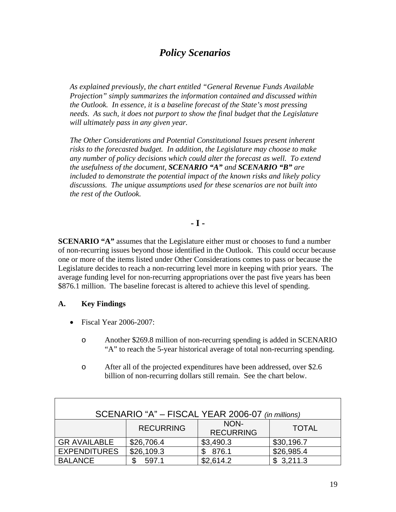# *Policy Scenarios*

*As explained previously, the chart entitled "General Revenue Funds Available Projection" simply summarizes the information contained and discussed within the Outlook. In essence, it is a baseline forecast of the State's most pressing needs. As such, it does not purport to show the final budget that the Legislature will ultimately pass in any given year.* 

*The Other Considerations and Potential Constitutional Issues present inherent risks to the forecasted budget. In addition, the Legislature may choose to make any number of policy decisions which could alter the forecast as well. To extend the usefulness of the document, SCENARIO "A" and SCENARIO "B" are included to demonstrate the potential impact of the known risks and likely policy discussions. The unique assumptions used for these scenarios are not built into the rest of the Outlook.* 

# **- I -**

**SCENARIO** "A" assumes that the Legislature either must or chooses to fund a number of non-recurring issues beyond those identified in the Outlook. This could occur because one or more of the items listed under Other Considerations comes to pass or because the Legislature decides to reach a non-recurring level more in keeping with prior years. The average funding level for non-recurring appropriations over the past five years has been \$876.1 million. The baseline forecast is altered to achieve this level of spending.

# **A. Key Findings**

- Fiscal Year 2006-2007:
	- o Another \$269.8 million of non-recurring spending is added in SCENARIO "A" to reach the 5-year historical average of total non-recurring spending.
	- o After all of the projected expenditures have been addressed, over \$2.6 billion of non-recurring dollars still remain. See the chart below.

| SCENARIO "A" - FISCAL YEAR 2006-07 (in millions) |                  |                          |              |  |
|--------------------------------------------------|------------------|--------------------------|--------------|--|
|                                                  | <b>RECURRING</b> | NON-<br><b>RECURRING</b> | <b>TOTAL</b> |  |
| <b>GR AVAILABLE</b>                              | \$26,706.4       | \$3,490.3                | \$30,196.7   |  |
| <b>EXPENDITURES</b>                              | \$26,109.3       | \$876.1                  | \$26,985.4   |  |
| <b>BALANCE</b>                                   | 597.1            | \$2,614.2                | \$3,211.3    |  |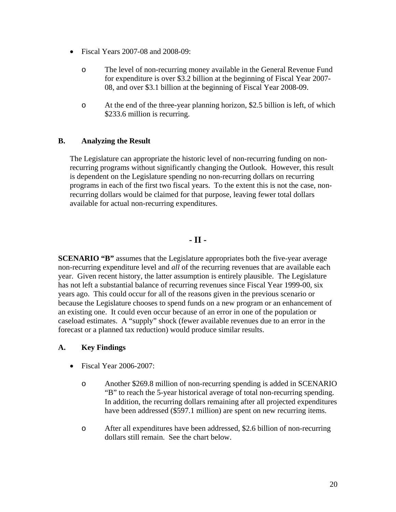- Fiscal Years 2007-08 and 2008-09:
	- o The level of non-recurring money available in the General Revenue Fund for expenditure is over \$3.2 billion at the beginning of Fiscal Year 2007- 08, and over \$3.1 billion at the beginning of Fiscal Year 2008-09.
	- o At the end of the three-year planning horizon, \$2.5 billion is left, of which \$233.6 million is recurring.

# **B. Analyzing the Result**

The Legislature can appropriate the historic level of non-recurring funding on nonrecurring programs without significantly changing the Outlook. However, this result is dependent on the Legislature spending no non-recurring dollars on recurring programs in each of the first two fiscal years. To the extent this is not the case, nonrecurring dollars would be claimed for that purpose, leaving fewer total dollars available for actual non-recurring expenditures.

# **- II -**

**SCENARIO "B"** assumes that the Legislature appropriates both the five-year average non-recurring expenditure level and *all* of the recurring revenues that are available each year. Given recent history, the latter assumption is entirely plausible. The Legislature has not left a substantial balance of recurring revenues since Fiscal Year 1999-00, six years ago. This could occur for all of the reasons given in the previous scenario or because the Legislature chooses to spend funds on a new program or an enhancement of an existing one. It could even occur because of an error in one of the population or caseload estimates. A "supply" shock (fewer available revenues due to an error in the forecast or a planned tax reduction) would produce similar results.

### **A. Key Findings**

- Fiscal Year 2006-2007:
	- o Another \$269.8 million of non-recurring spending is added in SCENARIO "B" to reach the 5-year historical average of total non-recurring spending. In addition, the recurring dollars remaining after all projected expenditures have been addressed (\$597.1 million) are spent on new recurring items.
	- o After all expenditures have been addressed, \$2.6 billion of non-recurring dollars still remain. See the chart below.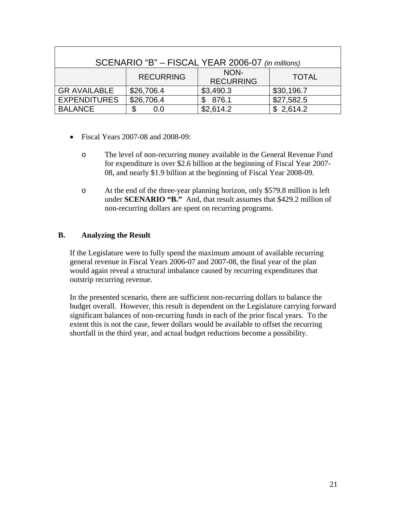| SCENARIO "B" - FISCAL YEAR 2006-07 (in millions)             |            |           |            |  |
|--------------------------------------------------------------|------------|-----------|------------|--|
| NON-<br><b>RECURRING</b><br><b>TOTAL</b><br><b>RECURRING</b> |            |           |            |  |
| <b>GR AVAILABLE</b>                                          | \$26,706.4 | \$3,490.3 | \$30,196.7 |  |
| <b>EXPENDITURES</b>                                          | \$26,706.4 | 876.1     | \$27,582.5 |  |
| <b>BALANCE</b>                                               | \$<br>0.0  | \$2,614.2 | \$2,614.2  |  |

- Fiscal Years 2007-08 and 2008-09:
	- o The level of non-recurring money available in the General Revenue Fund for expenditure is over \$2.6 billion at the beginning of Fiscal Year 2007- 08, and nearly \$1.9 billion at the beginning of Fiscal Year 2008-09.
	- o At the end of the three-year planning horizon, only \$579.8 million is left under **SCENARIO "B."** And, that result assumes that \$429.2 million of non-recurring dollars are spent on recurring programs.

# **B. Analyzing the Result**

If the Legislature were to fully spend the maximum amount of available recurring general revenue in Fiscal Years 2006-07 and 2007-08, the final year of the plan would again reveal a structural imbalance caused by recurring expenditures that outstrip recurring revenue.

In the presented scenario, there are sufficient non-recurring dollars to balance the budget overall. However, this result is dependent on the Legislature carrying forward significant balances of non-recurring funds in each of the prior fiscal years. To the extent this is not the case, fewer dollars would be available to offset the recurring shortfall in the third year, and actual budget reductions become a possibility.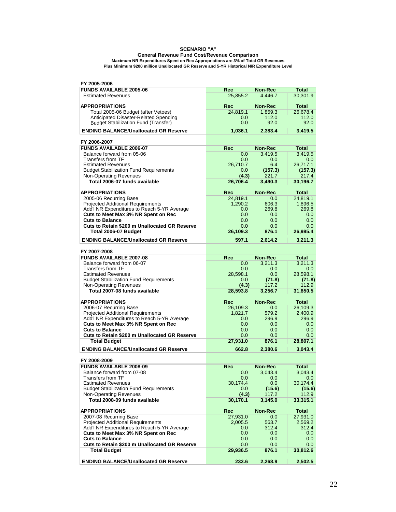#### **SCENARIO "A"**

#### **Maximum NR Expenditures Spent on Rec Appropriations are 3% of Total GR Revenues General Revenue Fund Cost/Revenue Comparison Plus Minimum \$200 million Unallocated GR Reserve and 5-YR Historical N/R Expenditure Level**

| FY 2005-2006                                                                       |              |                  |                  |
|------------------------------------------------------------------------------------|--------------|------------------|------------------|
| <b>FUNDS AVAILABLE 2005-06</b>                                                     | Rec          | <b>Non-Rec</b>   | Total            |
| <b>Estimated Revenues</b>                                                          | 25,855.2     | 4,446.7          | 30,301.9         |
|                                                                                    |              |                  |                  |
| <b>APPROPRIATIONS</b>                                                              | Rec          | <b>Non-Rec</b>   | <b>Total</b>     |
| Total 2005-06 Budget (after Vetoes)                                                | 24,819.1     | 1,859.3          | 26,678.4         |
| Anticipated Disaster-Related Spending                                              | 0.0          | 112.0            | 112.0            |
| <b>Budget Stabilization Fund (Transfer)</b>                                        | 0.0          | 92.0             | 92.0             |
| <b>ENDING BALANCE/Unallocated GR Reserve</b>                                       | 1,036.1      | 2,383.4          | 3,419.5          |
|                                                                                    |              |                  |                  |
| FY 2006-2007                                                                       |              |                  |                  |
| <b>FUNDS AVAILABLE 2006-07</b>                                                     | <b>Rec</b>   | <b>Non-Rec</b>   | <b>Total</b>     |
| Balance forward from 05-06                                                         | 0.0          | 3.419.5          | 3,419.5          |
| <b>Transfers from TF</b>                                                           | 0.0          | 0.0              | 0.0              |
| <b>Estimated Revenues</b>                                                          | 26,710.7     | 6.4              | 26,717.1         |
| <b>Budget Stabilization Fund Requirements</b>                                      | 0.0<br>(4.3) | (157.3)<br>221.7 | (157.3)<br>217.4 |
| <b>Non-Operating Revenues</b><br>Total 2006-07 funds available                     | 26,706.4     | 3,490.3          | 30,196.7         |
|                                                                                    |              |                  |                  |
| <b>APPROPRIATIONS</b>                                                              | Rec          | <b>Non-Rec</b>   | Total            |
| 2005-06 Recurring Base                                                             | 24,819.1     | 0.0              | 24,819.1         |
| <b>Projected Additional Requirements</b>                                           | 1,290.2      | 606.3            | 1,896.5          |
| Add'l NR Expenditures to Reach 5-YR Average                                        | 0.0          | 269.8            | 269.8            |
| Cuts to Meet Max 3% NR Spent on Rec                                                | 0.0          | 0.0              | 0.0              |
| <b>Cuts to Balance</b>                                                             | 0.0          | 0.0              | 0.0              |
| Cuts to Retain \$200 m Unallocated GR Reserve                                      | 0.0          | 0.0              | 0.0              |
| Total 2006-07 Budget                                                               | 26,109.3     | 876.1            | 26,985.4         |
| <b>ENDING BALANCE/Unallocated GR Reserve</b>                                       | 597.1        | 2.614.2          | 3,211.3          |
|                                                                                    |              |                  |                  |
| FY 2007-2008                                                                       |              |                  |                  |
| <b>FUNDS AVAILABLE 2007-08</b>                                                     | Rec          | <b>Non-Rec</b>   | <b>Total</b>     |
| Balance forward from 06-07                                                         | 0.0          | 3,211.3          | 3,211.3          |
| <b>Transfers from TF</b>                                                           | 0.0          | 0.0              | 0.0              |
| <b>Estimated Revenues</b>                                                          | 28,598.1     | 0.0              | 28,598.1         |
| <b>Budget Stabilization Fund Requirements</b>                                      | 0.0          | (71.8)           | (71.8)           |
| <b>Non-Operating Revenues</b>                                                      | (4.3)        | 117.2            | 112.9            |
| Total 2007-08 funds available                                                      | 28,593.8     | 3,256.7          | 31,850.5         |
|                                                                                    |              |                  |                  |
| <b>APPROPRIATIONS</b>                                                              | Rec          | Non-Rec          | <b>Total</b>     |
| 2006-07 Recurring Base                                                             | 26,109.3     | 0.0              | 26,109.3         |
| <b>Projected Additional Requirements</b>                                           | 1,821.7      | 579.2<br>296.9   | 2,400.9<br>296.9 |
| Add'l NR Expenditures to Reach 5-YR Average<br>Cuts to Meet Max 3% NR Spent on Rec | 0.0<br>0.0   | 0.0              | 0.0              |
| <b>Cuts to Balance</b>                                                             | 0.0          | 0.0              | 0.0              |
| Cuts to Retain \$200 m Unallocated GR Reserve                                      | 0.0          | 0.0              | 0.0              |
| <b>Total Budget</b>                                                                | 27,931.0     | 876.1            | 28,807.1         |
|                                                                                    |              |                  |                  |
| <b>ENDING BALANCE/Unallocated GR Reserve</b>                                       | 662.8        | 2,380.6          | 3,043.4          |
| FY 2008-2009                                                                       |              |                  |                  |
| <b>FUNDS AVAILABLE 2008-09</b>                                                     | Rec          | <b>Non-Rec</b>   | Total            |
| Balance forward from 07-08                                                         | 0.0          | 3,043.4          | 3,043.4          |
| Transfers from TF                                                                  | 0.0          | 0.0              | 0.0 <sub>1</sub> |
| <b>Estimated Revenues</b>                                                          | 30,174.4     | 0.0              | 30,174.4         |
| <b>Budget Stabilization Fund Requirements</b>                                      | 0.0          | (15.6)           | (15.6)           |
| <b>Non-Operating Revenues</b>                                                      | (4.3)        | 117.2            | 112.9            |
| Total 2008-09 funds available                                                      | 30,170.1     | 3,145.0          | 33,315.1         |
|                                                                                    |              |                  |                  |
| <b>APPROPRIATIONS</b>                                                              | Rec          | Non-Rec          | <b>Total</b>     |
| 2007-08 Recurring Base                                                             | 27,931.0     | 0.0              | 27,931.0         |
| <b>Projected Additional Requirements</b>                                           | 2,005.5      | 563.7            | 2,569.2          |
| Add'l NR Expenditures to Reach 5-YR Average                                        | 0.0          | 312.4            | 312.4            |
| Cuts to Meet Max 3% NR Spent on Rec                                                | 0.0          | 0.0              | 0.0              |
| <b>Cuts to Balance</b>                                                             | 0.0          | 0.0              | $0.0\,$          |
| <b>Cuts to Retain \$200 m Unallocated GR Reserve</b>                               | 0.0          | 0.0              | 0.0              |
| <b>Total Budget</b>                                                                | 29,936.5     | 876.1            | 30,812.6         |
| <b>ENDING BALANCE/Unallocated GR Reserve</b>                                       | 233.6        | 2,268.9          | 2,502.5          |
|                                                                                    |              |                  |                  |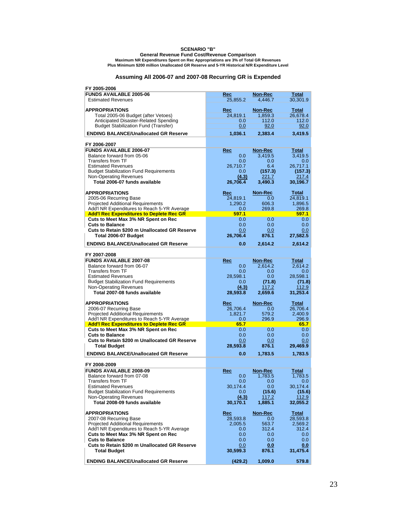#### **SCENARIO "B"**

**Maximum NR Expenditures Spent on Rec Appropriations are 3% of Total GR Revenues General Revenue Fund Cost/Revenue Comparison**

**Plus Minimum \$200 million Unallocated GR Reserve and 5-YR Historical N/R Expenditure Level**

#### **Assuming All 2006-07 and 2007-08 Recurring GR is Expended**

| FY 2005-2006                                                       |                |                |                  |
|--------------------------------------------------------------------|----------------|----------------|------------------|
| <b>FUNDS AVAILABLE 2005-06</b>                                     | Rec            | Non-Rec        | Total            |
| <b>Estimated Revenues</b>                                          | 25,855.2       | 4,446.7        | 30,301.9         |
|                                                                    |                |                |                  |
| <b>APPROPRIATIONS</b>                                              | Rec            | Non-Rec        | Total            |
| Total 2005-06 Budget (after Vetoes)                                | 24,819.1       | 1,859.3        | 26,678.4         |
| Anticipated Disaster-Related Spending                              | 0.0            | 112.0          | 112.0            |
| <b>Budget Stabilization Fund (Transfer)</b>                        | 0.0            | 92.0           | 92.0             |
| <b>ENDING BALANCE/Unallocated GR Reserve</b>                       | 1,036.1        | 2,383.4        | 3,419.5          |
|                                                                    |                |                |                  |
| FY 2006-2007                                                       |                |                |                  |
| <b>FUNDS AVAILABLE 2006-07</b>                                     | Rec            | Non-Rec        | <b>Total</b>     |
| Balance forward from 05-06                                         | 0.0            | 3,419.5        | 3,419.5          |
| <b>Transfers from TF</b>                                           | 0.0            | 0.0            | 0.0              |
| <b>Estimated Revenues</b>                                          | 26,710.7       | 6.4            | 26,717.1         |
| <b>Budget Stabilization Fund Requirements</b>                      | 0.0            | (157.3)        | (157.3)          |
| <b>Non-Operating Revenues</b>                                      | (4.3)          | 221.7          | 217.4            |
| Total 2006-07 funds available                                      | 26,706.4       | 3,490.3        | 30,196.7         |
|                                                                    |                |                |                  |
| <b>APPROPRIATIONS</b>                                              | Rec            | Non-Rec        | <b>Total</b>     |
| 2005-06 Recurring Base                                             | 24,819.1       | 0.0            | 24,819.1         |
| <b>Projected Additional Requirements</b>                           | 1,290.2        | 606.3          | 1,896.5          |
| Add'l NR Expenditures to Reach 5-YR Average                        | 0.0            | 269.8          | 269.8            |
| <b>Add'I Rec Expenditures to Deplete Rec GR</b>                    | 597.1          |                | 597.1            |
| Cuts to Meet Max 3% NR Spent on Rec                                | 0.0            | 0.0            | 0.0              |
| <b>Cuts to Balance</b>                                             | 0.0            | 0.0            | 0.0              |
| Cuts to Retain \$200 m Unallocated GR Reserve                      | 0.0            | 0.0            | 0.0              |
| Total 2006-07 Budget                                               | 26,706.4       | 876.1          | 27,582.5         |
| <b>ENDING BALANCE/Unallocated GR Reserve</b>                       | 0.0            | 2,614.2        | 2,614.2          |
|                                                                    |                |                |                  |
| FY 2007-2008                                                       |                |                |                  |
| <b>FUNDS AVAILABLE 2007-08</b>                                     | Rec            | Non-Rec        | Total            |
| Balance forward from 06-07                                         | 0.0            | 2,614.2        | 2,614.2          |
| <b>Transfers from TF</b>                                           | 0.0            | 0.0            | 0.0              |
| <b>Estimated Revenues</b>                                          | 28,598.1       | 0.0            | 28,598.1         |
| <b>Budget Stabilization Fund Requirements</b>                      | 0.0            | (71.8)         | (71.8)           |
| Non-Operating Revenues                                             | (4.3)          | 117.2          | 112.9            |
| Total 2007-08 funds available                                      | 28,593.8       | 2,659.6        | 31,253.4         |
|                                                                    |                |                |                  |
| <b>APPROPRIATIONS</b>                                              | Rec            | Non-Rec        | <b>Total</b>     |
| 2006-07 Recurring Base                                             | 26,706.4       | 0.0            | 26,706.4         |
| <b>Projected Additional Requirements</b>                           | 1,821.7        | 579.2          | 2,400.9          |
| Add'l NR Expenditures to Reach 5-YR Average                        | 0.0            | 296.9          | 296.9            |
| <b>Add'I Rec Expenditures to Deplete Rec GR</b>                    | 65.7           |                | 65.7             |
| Cuts to Meet Max 3% NR Spent on Rec                                | 0.0            | 0.0            | 0.0              |
| <b>Cuts to Balance</b>                                             | 0.0            | 0.0            | 0.0              |
| <b>Cuts to Retain \$200 m Unallocated GR Reserve</b>               | 0.0            | 0.0            | 0.0              |
| <b>Total Budget</b>                                                | 28,593.8       | 876.1          | 29,469.9         |
| <b>ENDING BALANCE/Unallocated GR Reserve</b>                       | 0.0            | 1,783.5        | 1,783.5          |
|                                                                    |                |                |                  |
| FY 2008-2009                                                       |                |                |                  |
| <b>FUNDS AVAILABLE 2008-09</b>                                     | Rec            | <b>Non-Rec</b> | Total            |
| Balance forward from 07-08                                         | 0.0            | 1,783.5        | 1,783.5          |
| <b>Transfers from TF</b>                                           | 0.0            | 0.0            | 0.0              |
| <b>Estimated Revenues</b>                                          | 30,174.4       | 0.0            | 30,174.4         |
| <b>Budget Stabilization Fund Requirements</b>                      | 0.0            | (15.6)         | (15.6)           |
| Non-Operating Revenues                                             | (4.3)          | 117.2          | 112.9            |
| Total 2008-09 funds available                                      | 30,170.1       | 1,885.1        | 32,055.2         |
|                                                                    |                |                |                  |
| <b>APPROPRIATIONS</b>                                              | Rec            | Non-Rec        | <b>Total</b>     |
| 2007-08 Recurring Base<br><b>Projected Additional Requirements</b> | 28,593.8       | 0.0            | 28,593.8         |
| Add'l NR Expenditures to Reach 5-YR Average                        | 2,005.5<br>0.0 | 563.7<br>312.4 | 2,569.2<br>312.4 |
| Cuts to Meet Max 3% NR Spent on Rec                                | 0.0            | 0.0            | 0.0              |
| <b>Cuts to Balance</b>                                             | 0.0            | 0.0            | 0.0              |
| Cuts to Retain \$200 m Unallocated GR Reserve                      | 0.0            | 0.0            | 0.0              |
| <b>Total Budget</b>                                                | 30,599.3       | 876.1          | 31,475.4         |
|                                                                    |                |                |                  |
| <b>ENDING BALANCE/Unallocated GR Reserve</b>                       | (429.2)        | 1,009.0        | 579.8            |
|                                                                    |                |                |                  |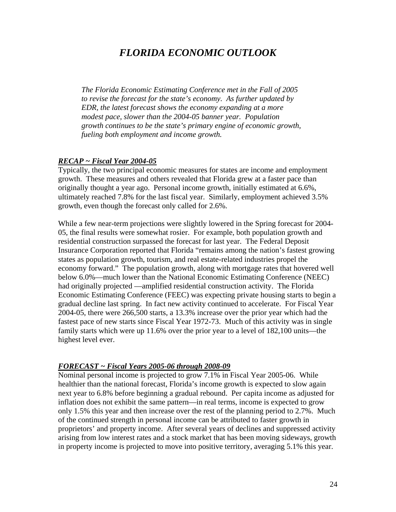# *FLORIDA ECONOMIC OUTLOOK*

*The Florida Economic Estimating Conference met in the Fall of 2005 to revise the forecast for the state's economy. As further updated by EDR, the latest forecast shows the economy expanding at a more modest pace, slower than the 2004-05 banner year. Population growth continues to be the state's primary engine of economic growth, fueling both employment and income growth.* 

### *RECAP ~ Fiscal Year 2004-05*

Typically, the two principal economic measures for states are income and employment growth. These measures and others revealed that Florida grew at a faster pace than originally thought a year ago. Personal income growth, initially estimated at 6.6%, ultimately reached 7.8% for the last fiscal year. Similarly, employment achieved 3.5% growth, even though the forecast only called for 2.6%.

While a few near-term projections were slightly lowered in the Spring forecast for 2004- 05, the final results were somewhat rosier. For example, both population growth and residential construction surpassed the forecast for last year. The Federal Deposit Insurance Corporation reported that Florida "remains among the nation's fastest growing states as population growth, tourism, and real estate-related industries propel the economy forward." The population growth, along with mortgage rates that hovered well below 6.0%—much lower than the National Economic Estimating Conference (NEEC) had originally projected —amplified residential construction activity. The Florida Economic Estimating Conference (FEEC) was expecting private housing starts to begin a gradual decline last spring. In fact new activity continued to accelerate. For Fiscal Year 2004-05, there were 266,500 starts, a 13.3% increase over the prior year which had the fastest pace of new starts since Fiscal Year 1972-73. Much of this activity was in single family starts which were up 11.6% over the prior year to a level of 182,100 units—the highest level ever.

### *FORECAST ~ Fiscal Years 2005-06 through 2008-09*

Nominal personal income is projected to grow 7.1% in Fiscal Year 2005-06. While healthier than the national forecast, Florida's income growth is expected to slow again next year to 6.8% before beginning a gradual rebound. Per capita income as adjusted for inflation does not exhibit the same pattern—in real terms, income is expected to grow only 1.5% this year and then increase over the rest of the planning period to 2.7%. Much of the continued strength in personal income can be attributed to faster growth in proprietors' and property income. After several years of declines and suppressed activity arising from low interest rates and a stock market that has been moving sideways, growth in property income is projected to move into positive territory, averaging 5.1% this year.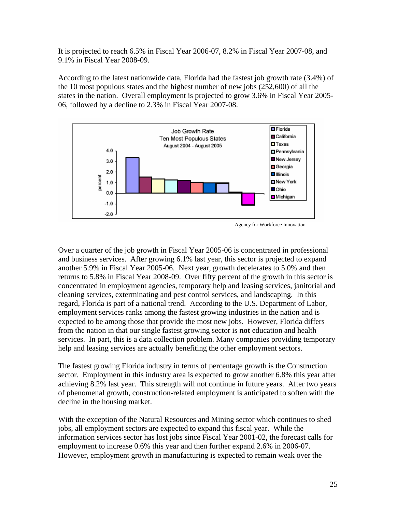It is projected to reach 6.5% in Fiscal Year 2006-07, 8.2% in Fiscal Year 2007-08, and 9.1% in Fiscal Year 2008-09.

According to the latest nationwide data, Florida had the fastest job growth rate (3.4%) of the 10 most populous states and the highest number of new jobs (252,600) of all the states in the nation. Overall employment is projected to grow 3.6% in Fiscal Year 2005- 06, followed by a decline to 2.3% in Fiscal Year 2007-08.



Agency for Workforce Innovation

Over a quarter of the job growth in Fiscal Year 2005-06 is concentrated in professional and business services. After growing 6.1% last year, this sector is projected to expand another 5.9% in Fiscal Year 2005-06. Next year, growth decelerates to 5.0% and then returns to 5.8% in Fiscal Year 2008-09. Over fifty percent of the growth in this sector is concentrated in employment agencies, temporary help and leasing services, janitorial and cleaning services, exterminating and pest control services, and landscaping. In this regard, Florida is part of a national trend. According to the U.S. Department of Labor, employment services ranks among the fastest growing industries in the nation and is expected to be among those that provide the most new jobs. However, Florida differs from the nation in that our single fastest growing sector is **not** education and health services. In part, this is a data collection problem. Many companies providing temporary help and leasing services are actually benefiting the other employment sectors.

The fastest growing Florida industry in terms of percentage growth is the Construction sector. Employment in this industry area is expected to grow another 6.8% this year after achieving 8.2% last year. This strength will not continue in future years. After two years of phenomenal growth, construction-related employment is anticipated to soften with the decline in the housing market.

With the exception of the Natural Resources and Mining sector which continues to shed jobs, all employment sectors are expected to expand this fiscal year. While the information services sector has lost jobs since Fiscal Year 2001-02, the forecast calls for employment to increase 0.6% this year and then further expand 2.6% in 2006-07. However, employment growth in manufacturing is expected to remain weak over the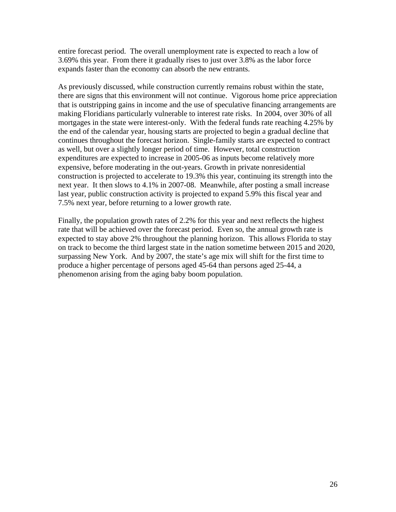entire forecast period. The overall unemployment rate is expected to reach a low of 3.69% this year. From there it gradually rises to just over 3.8% as the labor force expands faster than the economy can absorb the new entrants.

As previously discussed, while construction currently remains robust within the state, there are signs that this environment will not continue. Vigorous home price appreciation that is outstripping gains in income and the use of speculative financing arrangements are making Floridians particularly vulnerable to interest rate risks. In 2004, over 30% of all mortgages in the state were interest-only. With the federal funds rate reaching 4.25% by the end of the calendar year, housing starts are projected to begin a gradual decline that continues throughout the forecast horizon. Single-family starts are expected to contract as well, but over a slightly longer period of time. However, total construction expenditures are expected to increase in 2005-06 as inputs become relatively more expensive, before moderating in the out-years. Growth in private nonresidential construction is projected to accelerate to 19.3% this year, continuing its strength into the next year. It then slows to 4.1% in 2007-08. Meanwhile, after posting a small increase last year, public construction activity is projected to expand 5.9% this fiscal year and 7.5% next year, before returning to a lower growth rate.

Finally, the population growth rates of 2.2% for this year and next reflects the highest rate that will be achieved over the forecast period. Even so, the annual growth rate is expected to stay above 2% throughout the planning horizon. This allows Florida to stay on track to become the third largest state in the nation sometime between 2015 and 2020, surpassing New York. And by 2007, the state's age mix will shift for the first time to produce a higher percentage of persons aged 45-64 than persons aged 25-44, a phenomenon arising from the aging baby boom population.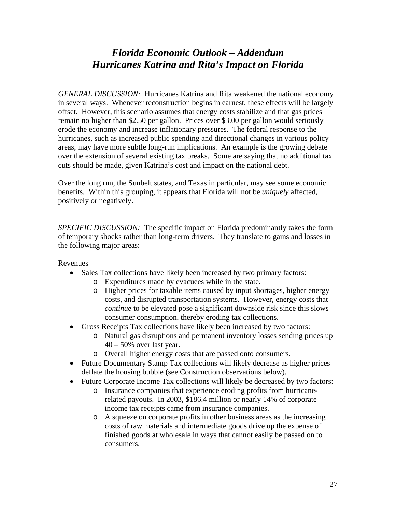*GENERAL DISCUSSION:* Hurricanes Katrina and Rita weakened the national economy in several ways. Whenever reconstruction begins in earnest, these effects will be largely offset. However, this scenario assumes that energy costs stabilize and that gas prices remain no higher than \$2.50 per gallon. Prices over \$3.00 per gallon would seriously erode the economy and increase inflationary pressures. The federal response to the hurricanes, such as increased public spending and directional changes in various policy areas, may have more subtle long-run implications. An example is the growing debate over the extension of several existing tax breaks. Some are saying that no additional tax cuts should be made, given Katrina's cost and impact on the national debt.

Over the long run, the Sunbelt states, and Texas in particular, may see some economic benefits. Within this grouping, it appears that Florida will not be *uniquely* affected, positively or negatively.

*SPECIFIC DISCUSSION:* The specific impact on Florida predominantly takes the form of temporary shocks rather than long-term drivers. They translate to gains and losses in the following major areas:

Revenues –

- Sales Tax collections have likely been increased by two primary factors:
	- o Expenditures made by evacuees while in the state.
	- o Higher prices for taxable items caused by input shortages, higher energy costs, and disrupted transportation systems. However, energy costs that *continue* to be elevated pose a significant downside risk since this slows consumer consumption, thereby eroding tax collections.
- Gross Receipts Tax collections have likely been increased by two factors:
	- o Natural gas disruptions and permanent inventory losses sending prices up  $40 - 50\%$  over last year.
	- o Overall higher energy costs that are passed onto consumers.
- Future Documentary Stamp Tax collections will likely decrease as higher prices deflate the housing bubble (see Construction observations below).
- Future Corporate Income Tax collections will likely be decreased by two factors:
	- o Insurance companies that experience eroding profits from hurricanerelated payouts. In 2003, \$186.4 million or nearly 14% of corporate income tax receipts came from insurance companies.
		- o A squeeze on corporate profits in other business areas as the increasing costs of raw materials and intermediate goods drive up the expense of finished goods at wholesale in ways that cannot easily be passed on to consumers.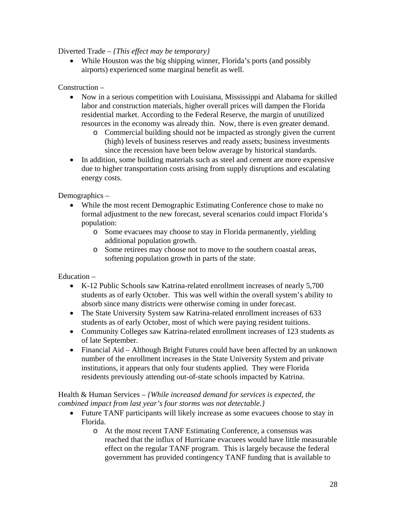Diverted Trade – *{This effect may be temporary}* 

• While Houston was the big shipping winner, Florida's ports (and possibly airports) experienced some marginal benefit as well.

### Construction –

- Now in a serious competition with Louisiana, Mississippi and Alabama for skilled labor and construction materials, higher overall prices will dampen the Florida residential market. According to the Federal Reserve, the margin of unutilized resources in the economy was already thin. Now, there is even greater demand.
	- o Commercial building should not be impacted as strongly given the current (high) levels of business reserves and ready assets; business investments since the recession have been below average by historical standards.
- In addition, some building materials such as steel and cement are more expensive due to higher transportation costs arising from supply disruptions and escalating energy costs.

Demographics –

- While the most recent Demographic Estimating Conference chose to make no formal adjustment to the new forecast, several scenarios could impact Florida's population:
	- o Some evacuees may choose to stay in Florida permanently, yielding additional population growth.
	- o Some retirees may choose not to move to the southern coastal areas, softening population growth in parts of the state.

Education –

- K-12 Public Schools saw Katrina-related enrollment increases of nearly 5,700 students as of early October. This was well within the overall system's ability to absorb since many districts were otherwise coming in under forecast.
- The State University System saw Katrina-related enrollment increases of 633 students as of early October, most of which were paying resident tuitions.
- Community Colleges saw Katrina-related enrollment increases of 123 students as of late September.
- Financial Aid Although Bright Futures could have been affected by an unknown number of the enrollment increases in the State University System and private institutions, it appears that only four students applied. They were Florida residents previously attending out-of-state schools impacted by Katrina.

Health & Human Services – *{While increased demand for services is expected, the combined impact from last year's four storms was not detectable.}* 

- Future TANF participants will likely increase as some evacuees choose to stay in Florida.
	- o At the most recent TANF Estimating Conference, a consensus was reached that the influx of Hurricane evacuees would have little measurable effect on the regular TANF program. This is largely because the federal government has provided contingency TANF funding that is available to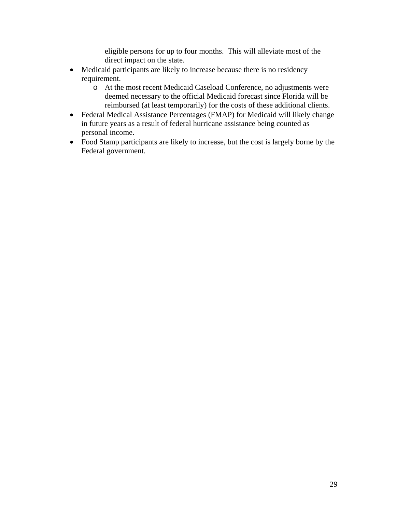eligible persons for up to four months. This will alleviate most of the direct impact on the state.

- Medicaid participants are likely to increase because there is no residency requirement.
	- o At the most recent Medicaid Caseload Conference, no adjustments were deemed necessary to the official Medicaid forecast since Florida will be reimbursed (at least temporarily) for the costs of these additional clients.
- Federal Medical Assistance Percentages (FMAP) for Medicaid will likely change in future years as a result of federal hurricane assistance being counted as personal income.
- Food Stamp participants are likely to increase, but the cost is largely borne by the Federal government.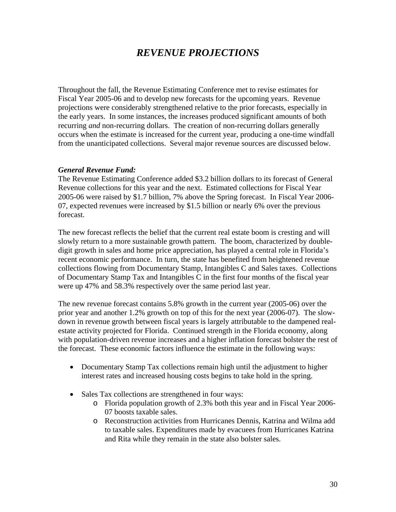# *REVENUE PROJECTIONS*

Throughout the fall, the Revenue Estimating Conference met to revise estimates for Fiscal Year 2005-06 and to develop new forecasts for the upcoming years. Revenue projections were considerably strengthened relative to the prior forecasts, especially in the early years. In some instances, the increases produced significant amounts of both recurring *and* non-recurring dollars. The creation of non-recurring dollars generally occurs when the estimate is increased for the current year, producing a one-time windfall from the unanticipated collections. Several major revenue sources are discussed below.

#### *General Revenue Fund:*

The Revenue Estimating Conference added \$3.2 billion dollars to its forecast of General Revenue collections for this year and the next. Estimated collections for Fiscal Year 2005-06 were raised by \$1.7 billion, 7% above the Spring forecast. In Fiscal Year 2006- 07, expected revenues were increased by \$1.5 billion or nearly 6% over the previous forecast.

The new forecast reflects the belief that the current real estate boom is cresting and will slowly return to a more sustainable growth pattern. The boom, characterized by doubledigit growth in sales and home price appreciation, has played a central role in Florida's recent economic performance. In turn, the state has benefited from heightened revenue collections flowing from Documentary Stamp, Intangibles C and Sales taxes. Collections of Documentary Stamp Tax and Intangibles C in the first four months of the fiscal year were up 47% and 58.3% respectively over the same period last year.

The new revenue forecast contains 5.8% growth in the current year (2005-06) over the prior year and another 1.2% growth on top of this for the next year (2006-07). The slowdown in revenue growth between fiscal years is largely attributable to the dampened realestate activity projected for Florida. Continued strength in the Florida economy, along with population-driven revenue increases and a higher inflation forecast bolster the rest of the forecast. These economic factors influence the estimate in the following ways:

- Documentary Stamp Tax collections remain high until the adjustment to higher interest rates and increased housing costs begins to take hold in the spring.
- Sales Tax collections are strengthened in four ways:
	- o Florida population growth of 2.3% both this year and in Fiscal Year 2006- 07 boosts taxable sales.
	- o Reconstruction activities from Hurricanes Dennis, Katrina and Wilma add to taxable sales. Expenditures made by evacuees from Hurricanes Katrina and Rita while they remain in the state also bolster sales.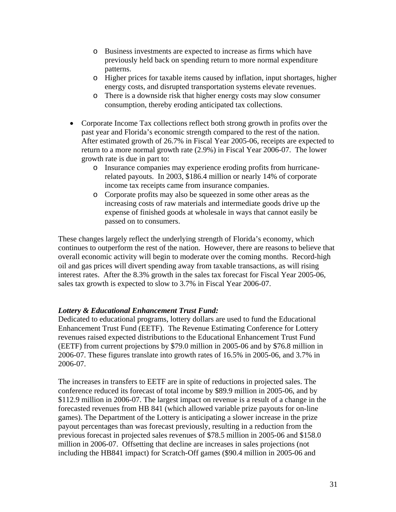- o Business investments are expected to increase as firms which have previously held back on spending return to more normal expenditure patterns.
- o Higher prices for taxable items caused by inflation, input shortages, higher energy costs, and disrupted transportation systems elevate revenues.
- o There is a downside risk that higher energy costs may slow consumer consumption, thereby eroding anticipated tax collections.
- Corporate Income Tax collections reflect both strong growth in profits over the past year and Florida's economic strength compared to the rest of the nation. After estimated growth of 26.7% in Fiscal Year 2005-06, receipts are expected to return to a more normal growth rate (2.9%) in Fiscal Year 2006-07. The lower growth rate is due in part to:
	- o Insurance companies may experience eroding profits from hurricanerelated payouts. In 2003, \$186.4 million or nearly 14% of corporate income tax receipts came from insurance companies.
	- o Corporate profits may also be squeezed in some other areas as the increasing costs of raw materials and intermediate goods drive up the expense of finished goods at wholesale in ways that cannot easily be passed on to consumers.

These changes largely reflect the underlying strength of Florida's economy, which continues to outperform the rest of the nation. However, there are reasons to believe that overall economic activity will begin to moderate over the coming months. Record-high oil and gas prices will divert spending away from taxable transactions, as will rising interest rates. After the 8.3% growth in the sales tax forecast for Fiscal Year 2005-06, sales tax growth is expected to slow to 3.7% in Fiscal Year 2006-07.

### *Lottery & Educational Enhancement Trust Fund:*

Dedicated to educational programs, lottery dollars are used to fund the Educational Enhancement Trust Fund (EETF). The Revenue Estimating Conference for Lottery revenues raised expected distributions to the Educational Enhancement Trust Fund (EETF) from current projections by \$79.0 million in 2005-06 and by \$76.8 million in 2006-07. These figures translate into growth rates of 16.5% in 2005-06, and 3.7% in 2006-07.

The increases in transfers to EETF are in spite of reductions in projected sales. The conference reduced its forecast of total income by \$89.9 million in 2005-06, and by \$112.9 million in 2006-07. The largest impact on revenue is a result of a change in the forecasted revenues from HB 841 (which allowed variable prize payouts for on-line games). The Department of the Lottery is anticipating a slower increase in the prize payout percentages than was forecast previously, resulting in a reduction from the previous forecast in projected sales revenues of \$78.5 million in 2005-06 and \$158.0 million in 2006-07. Offsetting that decline are increases in sales projections (not including the HB841 impact) for Scratch-Off games (\$90.4 million in 2005-06 and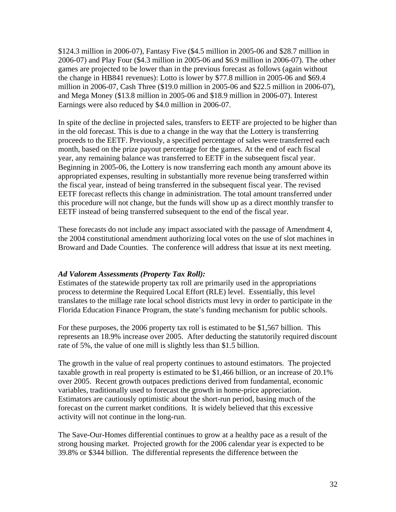\$124.3 million in 2006-07), Fantasy Five (\$4.5 million in 2005-06 and \$28.7 million in 2006-07) and Play Four (\$4.3 million in 2005-06 and \$6.9 million in 2006-07). The other games are projected to be lower than in the previous forecast as follows (again without the change in HB841 revenues): Lotto is lower by \$77.8 million in 2005-06 and \$69.4 million in 2006-07, Cash Three (\$19.0 million in 2005-06 and \$22.5 million in 2006-07), and Mega Money (\$13.8 million in 2005-06 and \$18.9 million in 2006-07). Interest Earnings were also reduced by \$4.0 million in 2006-07.

In spite of the decline in projected sales, transfers to EETF are projected to be higher than in the old forecast. This is due to a change in the way that the Lottery is transferring proceeds to the EETF. Previously, a specified percentage of sales were transferred each month, based on the prize payout percentage for the games. At the end of each fiscal year, any remaining balance was transferred to EETF in the subsequent fiscal year. Beginning in 2005-06, the Lottery is now transferring each month any amount above its appropriated expenses, resulting in substantially more revenue being transferred within the fiscal year, instead of being transferred in the subsequent fiscal year. The revised EETF forecast reflects this change in administration. The total amount transferred under this procedure will not change, but the funds will show up as a direct monthly transfer to EETF instead of being transferred subsequent to the end of the fiscal year.

These forecasts do not include any impact associated with the passage of Amendment 4, the 2004 constitutional amendment authorizing local votes on the use of slot machines in Broward and Dade Counties. The conference will address that issue at its next meeting.

### *Ad Valorem Assessments (Property Tax Roll):*

Estimates of the statewide property tax roll are primarily used in the appropriations process to determine the Required Local Effort (RLE) level. Essentially, this level translates to the millage rate local school districts must levy in order to participate in the Florida Education Finance Program, the state's funding mechanism for public schools.

For these purposes, the 2006 property tax roll is estimated to be \$1,567 billion. This represents an 18.9% increase over 2005. After deducting the statutorily required discount rate of 5%, the value of one mill is slightly less than \$1.5 billion.

The growth in the value of real property continues to astound estimators. The projected taxable growth in real property is estimated to be \$1,466 billion, or an increase of 20.1% over 2005. Recent growth outpaces predictions derived from fundamental, economic variables, traditionally used to forecast the growth in home-price appreciation. Estimators are cautiously optimistic about the short-run period, basing much of the forecast on the current market conditions. It is widely believed that this excessive activity will not continue in the long-run.

The Save-Our-Homes differential continues to grow at a healthy pace as a result of the strong housing market. Projected growth for the 2006 calendar year is expected to be 39.8% or \$344 billion. The differential represents the difference between the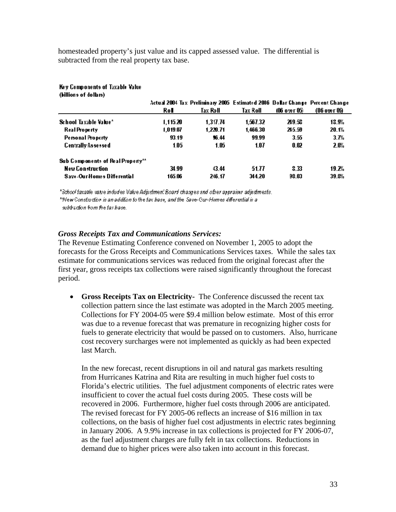homesteaded property's just value and its capped assessed value. The differential is subtracted from the real property tax base.

#### Key Components of Taxable Value (billions of dollars)

|                                    | Rol      | Actual 2004 Tax Preliminary 2005 Estimated 2006 Dollar Change Percent Change<br>Tax Roll | Tax Roll | 106 over 051 | (Ob over Ob) |
|------------------------------------|----------|------------------------------------------------------------------------------------------|----------|--------------|--------------|
| School Taxable Value*              | 1.115.20 | 1.317.74                                                                                 | 1.567.32 | 219.53       | 13.9%        |
| <b>Real Property</b>               | 1.019.07 | 1,220.71                                                                                 | 1,466.30 | 245.59       | 20.1%        |
| <b>Personal Property</b>           | 93.19    | \$6.44                                                                                   | 99.99    | 3.55         | 3.7%         |
| <b>Centrally Assessed</b>          | 1.05     | 1.05                                                                                     | 1.07     | 0.O2         | 2.0%         |
| Sub Components of Real Property**  |          |                                                                                          |          |              |              |
| <b>New Construction</b>            | 34.99    | 43.44                                                                                    | 51.77    | 333          | 19.2%        |
| <b>Save-Our-Homes Differential</b> | 165.06   | 246.17                                                                                   | 344.20   | 93.03        | 39.8%        |

\*School faxable vatue indudes Value Adjustment Board changes and other appraiser adjustments. \*New Constardion is an addition to the tax base, and the Save-Cur-Homes differential is a subtraction from the tay hase.

### *Gross Receipts Tax and Communications Services:*

The Revenue Estimating Conference convened on November 1, 2005 to adopt the forecasts for the Gross Receipts and Communications Services taxes. While the sales tax estimate for communications services was reduced from the original forecast after the first year, gross receipts tax collections were raised significantly throughout the forecast period.

• **Gross Receipts Tax on Electricity-** The Conference discussed the recent tax collection pattern since the last estimate was adopted in the March 2005 meeting. Collections for FY 2004-05 were \$9.4 million below estimate. Most of this error was due to a revenue forecast that was premature in recognizing higher costs for fuels to generate electricity that would be passed on to customers. Also, hurricane cost recovery surcharges were not implemented as quickly as had been expected last March.

In the new forecast, recent disruptions in oil and natural gas markets resulting from Hurricanes Katrina and Rita are resulting in much higher fuel costs to Florida's electric utilities. The fuel adjustment components of electric rates were insufficient to cover the actual fuel costs during 2005. These costs will be recovered in 2006. Furthermore, higher fuel costs through 2006 are anticipated. The revised forecast for FY 2005-06 reflects an increase of \$16 million in tax collections, on the basis of higher fuel cost adjustments in electric rates beginning in January 2006. A 9.9% increase in tax collections is projected for FY 2006-07, as the fuel adjustment charges are fully felt in tax collections. Reductions in demand due to higher prices were also taken into account in this forecast.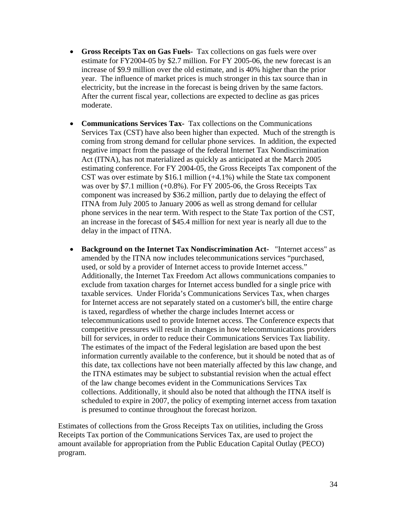- **Gross Receipts Tax on Gas Fuels-** Tax collections on gas fuels were over estimate for FY2004-05 by \$2.7 million. For FY 2005-06, the new forecast is an increase of \$9.9 million over the old estimate, and is 40% higher than the prior year. The influence of market prices is much stronger in this tax source than in electricity, but the increase in the forecast is being driven by the same factors. After the current fiscal year, collections are expected to decline as gas prices moderate.
- **Communications Services Tax-** Tax collections on the Communications Services Tax (CST) have also been higher than expected. Much of the strength is coming from strong demand for cellular phone services. In addition, the expected negative impact from the passage of the federal Internet Tax Nondiscrimination Act (ITNA), has not materialized as quickly as anticipated at the March 2005 estimating conference. For FY 2004-05, the Gross Receipts Tax component of the CST was over estimate by \$16.1 million (+4.1%) while the State tax component was over by \$7.1 million (+0.8%). For FY 2005-06, the Gross Receipts Tax component was increased by \$36.2 million, partly due to delaying the effect of ITNA from July 2005 to January 2006 as well as strong demand for cellular phone services in the near term. With respect to the State Tax portion of the CST, an increase in the forecast of \$45.4 million for next year is nearly all due to the delay in the impact of ITNA.
- **Background on the Internet Tax Nondiscrimination Act-** "Internet access" as amended by the ITNA now includes telecommunications services "purchased, used, or sold by a provider of Internet access to provide Internet access." Additionally, the Internet Tax Freedom Act allows communications companies to exclude from taxation charges for Internet access bundled for a single price with taxable services. Under Florida's Communications Services Tax, when charges for Internet access are not separately stated on a customer's bill, the entire charge is taxed, regardless of whether the charge includes Internet access or telecommunications used to provide Internet access. The Conference expects that competitive pressures will result in changes in how telecommunications providers bill for services, in order to reduce their Communications Services Tax liability. The estimates of the impact of the Federal legislation are based upon the best information currently available to the conference, but it should be noted that as of this date, tax collections have not been materially affected by this law change, and the ITNA estimates may be subject to substantial revision when the actual effect of the law change becomes evident in the Communications Services Tax collections. Additionally, it should also be noted that although the ITNA itself is scheduled to expire in 2007, the policy of exempting internet access from taxation is presumed to continue throughout the forecast horizon.

Estimates of collections from the Gross Receipts Tax on utilities, including the Gross Receipts Tax portion of the Communications Services Tax, are used to project the amount available for appropriation from the Public Education Capital Outlay (PECO) program.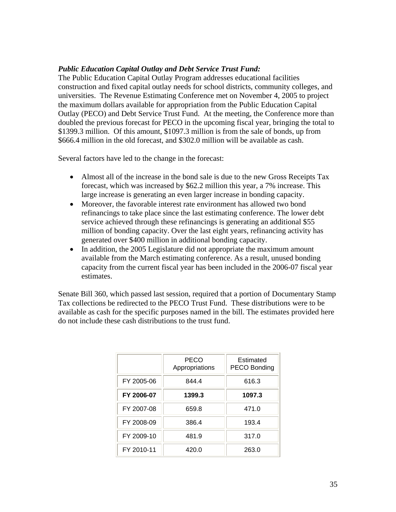### *Public Education Capital Outlay and Debt Service Trust Fund:*

The Public Education Capital Outlay Program addresses educational facilities construction and fixed capital outlay needs for school districts, community colleges, and universities. The Revenue Estimating Conference met on November 4, 2005 to project the maximum dollars available for appropriation from the Public Education Capital Outlay (PECO) and Debt Service Trust Fund. At the meeting, the Conference more than doubled the previous forecast for PECO in the upcoming fiscal year, bringing the total to \$1399.3 million. Of this amount, \$1097.3 million is from the sale of bonds, up from \$666.4 million in the old forecast, and \$302.0 million will be available as cash.

Several factors have led to the change in the forecast:

- Almost all of the increase in the bond sale is due to the new Gross Receipts Tax forecast, which was increased by \$62.2 million this year, a 7% increase. This large increase is generating an even larger increase in bonding capacity.
- Moreover, the favorable interest rate environment has allowed two bond refinancings to take place since the last estimating conference. The lower debt service achieved through these refinancings is generating an additional \$55 million of bonding capacity. Over the last eight years, refinancing activity has generated over \$400 million in additional bonding capacity.
- In addition, the 2005 Legislature did not appropriate the maximum amount available from the March estimating conference. As a result, unused bonding capacity from the current fiscal year has been included in the 2006-07 fiscal year estimates.

Senate Bill 360, which passed last session, required that a portion of Documentary Stamp Tax collections be redirected to the PECO Trust Fund. These distributions were to be available as cash for the specific purposes named in the bill. The estimates provided here do not include these cash distributions to the trust fund.

|            | <b>PECO</b><br>Appropriations | Estimated<br>PECO Bonding |
|------------|-------------------------------|---------------------------|
| FY 2005-06 | 844.4                         | 616.3                     |
| FY 2006-07 | 1399.3                        | 1097.3                    |
| FY 2007-08 | 659.8                         | 471.0                     |
| FY 2008-09 | 386.4                         | 193.4                     |
| FY 2009-10 | 481.9                         | 317.0                     |
| FY 2010-11 | 420.0                         | 263.0                     |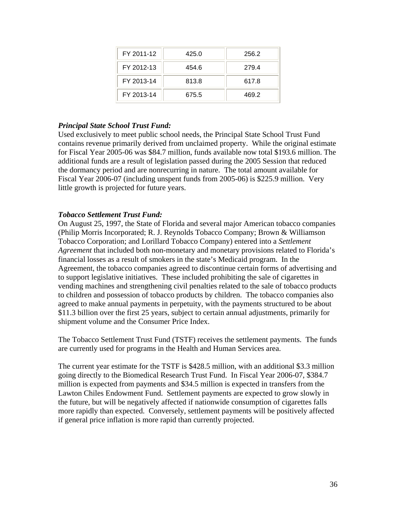| FY 2011-12 | 425.0 | 256.2 |
|------------|-------|-------|
| FY 2012-13 | 454.6 | 279.4 |
| FY 2013-14 | 813.8 | 617.8 |
| FY 2013-14 | 675.5 | 469.2 |

### *Principal State School Trust Fund:*

Used exclusively to meet public school needs, the Principal State School Trust Fund contains revenue primarily derived from unclaimed property. While the original estimate for Fiscal Year 2005-06 was \$84.7 million, funds available now total \$193.6 million. The additional funds are a result of legislation passed during the 2005 Session that reduced the dormancy period and are nonrecurring in nature. The total amount available for Fiscal Year 2006-07 (including unspent funds from 2005-06) is \$225.9 million. Very little growth is projected for future years.

### *Tobacco Settlement Trust Fund:*

On August 25, 1997, the State of Florida and several major American tobacco companies (Philip Morris Incorporated; R. J. Reynolds Tobacco Company; Brown & Williamson Tobacco Corporation; and Lorillard Tobacco Company) entered into a *Settlement Agreement* that included both non-monetary and monetary provisions related to Florida's financial losses as a result of smokers in the state's Medicaid program. In the Agreement, the tobacco companies agreed to discontinue certain forms of advertising and to support legislative initiatives. These included prohibiting the sale of cigarettes in vending machines and strengthening civil penalties related to the sale of tobacco products to children and possession of tobacco products by children. The tobacco companies also agreed to make annual payments in perpetuity, with the payments structured to be about \$11.3 billion over the first 25 years, subject to certain annual adjustments, primarily for shipment volume and the Consumer Price Index.

The Tobacco Settlement Trust Fund (TSTF) receives the settlement payments. The funds are currently used for programs in the Health and Human Services area.

The current year estimate for the TSTF is \$428.5 million, with an additional \$3.3 million going directly to the Biomedical Research Trust Fund. In Fiscal Year 2006-07, \$384.7 million is expected from payments and \$34.5 million is expected in transfers from the Lawton Chiles Endowment Fund. Settlement payments are expected to grow slowly in the future, but will be negatively affected if nationwide consumption of cigarettes falls more rapidly than expected. Conversely, settlement payments will be positively affected if general price inflation is more rapid than currently projected.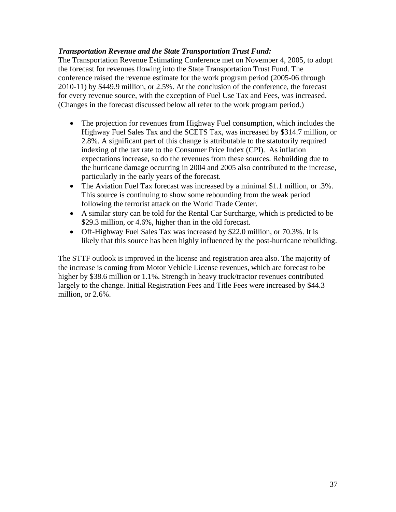### *Transportation Revenue and the State Transportation Trust Fund:*

The Transportation Revenue Estimating Conference met on November 4, 2005, to adopt the forecast for revenues flowing into the State Transportation Trust Fund. The conference raised the revenue estimate for the work program period (2005-06 through 2010-11) by \$449.9 million, or 2.5%. At the conclusion of the conference, the forecast for every revenue source, with the exception of Fuel Use Tax and Fees, was increased. (Changes in the forecast discussed below all refer to the work program period.)

- The projection for revenues from Highway Fuel consumption, which includes the Highway Fuel Sales Tax and the SCETS Tax, was increased by \$314.7 million, or 2.8%. A significant part of this change is attributable to the statutorily required indexing of the tax rate to the Consumer Price Index (CPI). As inflation expectations increase, so do the revenues from these sources. Rebuilding due to the hurricane damage occurring in 2004 and 2005 also contributed to the increase, particularly in the early years of the forecast.
- The Aviation Fuel Tax forecast was increased by a minimal \$1.1 million, or .3%. This source is continuing to show some rebounding from the weak period following the terrorist attack on the World Trade Center.
- A similar story can be told for the Rental Car Surcharge, which is predicted to be \$29.3 million, or 4.6%, higher than in the old forecast.
- Off-Highway Fuel Sales Tax was increased by \$22.0 million, or 70.3%. It is likely that this source has been highly influenced by the post-hurricane rebuilding.

The STTF outlook is improved in the license and registration area also. The majority of the increase is coming from Motor Vehicle License revenues, which are forecast to be higher by \$38.6 million or 1.1%. Strength in heavy truck/tractor revenues contributed largely to the change. Initial Registration Fees and Title Fees were increased by \$44.3 million, or 2.6%.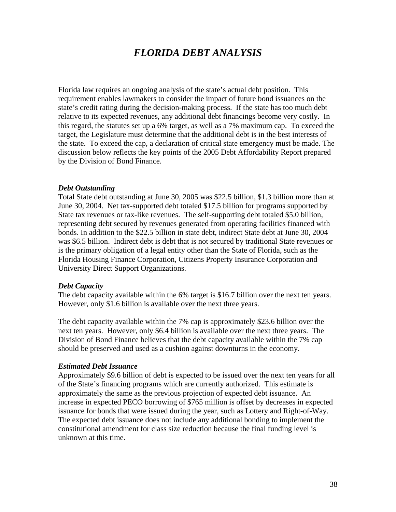# *FLORIDA DEBT ANALYSIS*

Florida law requires an ongoing analysis of the state's actual debt position. This requirement enables lawmakers to consider the impact of future bond issuances on the state's credit rating during the decision-making process. If the state has too much debt relative to its expected revenues, any additional debt financings become very costly. In this regard, the statutes set up a 6% target, as well as a 7% maximum cap. To exceed the target, the Legislature must determine that the additional debt is in the best interests of the state. To exceed the cap, a declaration of critical state emergency must be made. The discussion below reflects the key points of the 2005 Debt Affordability Report prepared by the Division of Bond Finance.

### *Debt Outstanding*

Total State debt outstanding at June 30, 2005 was \$22.5 billion, \$1.3 billion more than at June 30, 2004. Net tax-supported debt totaled \$17.5 billion for programs supported by State tax revenues or tax-like revenues. The self-supporting debt totaled \$5.0 billion, representing debt secured by revenues generated from operating facilities financed with bonds. In addition to the \$22.5 billion in state debt, indirect State debt at June 30, 2004 was \$6.5 billion. Indirect debt is debt that is not secured by traditional State revenues or is the primary obligation of a legal entity other than the State of Florida, such as the Florida Housing Finance Corporation, Citizens Property Insurance Corporation and University Direct Support Organizations.

### *Debt Capacity*

The debt capacity available within the 6% target is \$16.7 billion over the next ten years. However, only \$1.6 billion is available over the next three years.

The debt capacity available within the 7% cap is approximately \$23.6 billion over the next ten years. However, only \$6.4 billion is available over the next three years. The Division of Bond Finance believes that the debt capacity available within the 7% cap should be preserved and used as a cushion against downturns in the economy.

### *Estimated Debt Issuance*

Approximately \$9.6 billion of debt is expected to be issued over the next ten years for all of the State's financing programs which are currently authorized. This estimate is approximately the same as the previous projection of expected debt issuance. An increase in expected PECO borrowing of \$765 million is offset by decreases in expected issuance for bonds that were issued during the year, such as Lottery and Right-of-Way. The expected debt issuance does not include any additional bonding to implement the constitutional amendment for class size reduction because the final funding level is unknown at this time.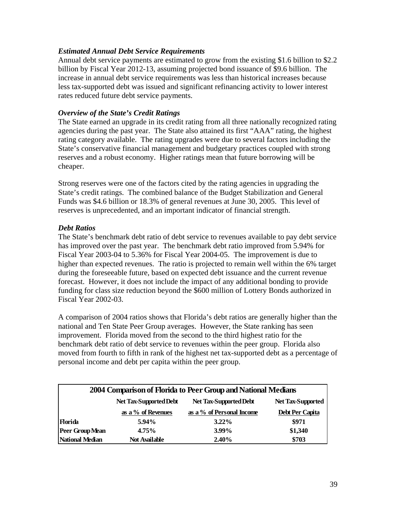### *Estimated Annual Debt Service Requirements*

Annual debt service payments are estimated to grow from the existing \$1.6 billion to \$2.2 billion by Fiscal Year 2012-13, assuming projected bond issuance of \$9.6 billion. The increase in annual debt service requirements was less than historical increases because less tax-supported debt was issued and significant refinancing activity to lower interest rates reduced future debt service payments.

### *Overview of the State's Credit Ratings*

The State earned an upgrade in its credit rating from all three nationally recognized rating agencies during the past year. The State also attained its first "AAA" rating, the highest rating category available. The rating upgrades were due to several factors including the State's conservative financial management and budgetary practices coupled with strong reserves and a robust economy. Higher ratings mean that future borrowing will be cheaper.

Strong reserves were one of the factors cited by the rating agencies in upgrading the State's credit ratings. The combined balance of the Budget Stabilization and General Funds was \$4.6 billion or 18.3% of general revenues at June 30, 2005.This level of reserves is unprecedented, and an important indicator of financial strength.

### *Debt Ratios*

The State's benchmark debt ratio of debt service to revenues available to pay debt service has improved over the past year. The benchmark debt ratio improved from 5.94% for Fiscal Year 2003-04 to 5.36% for Fiscal Year 2004-05. The improvement is due to higher than expected revenues. The ratio is projected to remain well within the 6% target during the foreseeable future, based on expected debt issuance and the current revenue forecast. However, it does not include the impact of any additional bonding to provide funding for class size reduction beyond the \$600 million of Lottery Bonds authorized in Fiscal Year 2002-03.

A comparison of 2004 ratios shows that Florida's debt ratios are generally higher than the national and Ten State Peer Group averages. However, the State ranking has seen improvement. Florida moved from the second to the third highest ratio for the benchmark debt ratio of debt service to revenues within the peer group. Florida also moved from fourth to fifth in rank of the highest net tax-supported debt as a percentage of personal income and debt per capita within the peer group.

| 2004 Comparison of Florida to Peer Group and National Medians |                                                                              |                           |                 |  |  |
|---------------------------------------------------------------|------------------------------------------------------------------------------|---------------------------|-----------------|--|--|
|                                                               | Net Tax-Supported Debt<br>Net Tax-Supported Debt<br><b>Net Tax-Supported</b> |                           |                 |  |  |
|                                                               | as a % of Revenues                                                           | as a % of Personal Income | Debt Per Capita |  |  |
| <b>Florida</b>                                                | 5.94%                                                                        | $3.22\%$                  | \$971           |  |  |
| Peer Group Mean                                               | 4.75%                                                                        | 3.99%                     | \$1,340         |  |  |
| National Median                                               | <b>Not Available</b>                                                         | $2.40\%$                  | \$703           |  |  |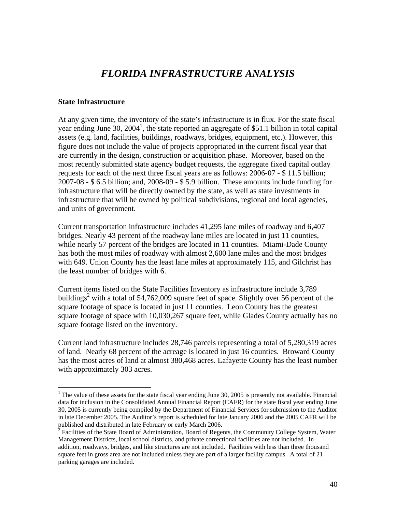# *FLORIDA INFRASTRUCTURE ANALYSIS*

### **State Infrastructure**

 $\overline{a}$ 

At any given time, the inventory of the state's infrastructure is in flux. For the state fiscal year ending June 30,  $2004<sup>1</sup>$ , the state reported an aggregate of \$51.1 billion in total capital assets (e.g. land, facilities, buildings, roadways, bridges, equipment, etc.). However, this figure does not include the value of projects appropriated in the current fiscal year that are currently in the design, construction or acquisition phase. Moreover, based on the most recently submitted state agency budget requests, the aggregate fixed capital outlay requests for each of the next three fiscal years are as follows: 2006-07 - \$ 11.5 billion; 2007-08 - \$ 6.5 billion; and, 2008-09 - \$ 5.9 billion. These amounts include funding for infrastructure that will be directly owned by the state, as well as state investments in infrastructure that will be owned by political subdivisions, regional and local agencies, and units of government.

Current transportation infrastructure includes 41,295 lane miles of roadway and 6,407 bridges. Nearly 43 percent of the roadway lane miles are located in just 11 counties, while nearly 57 percent of the bridges are located in 11 counties. Miami-Dade County has both the most miles of roadway with almost 2,600 lane miles and the most bridges with 649. Union County has the least lane miles at approximately 115, and Gilchrist has the least number of bridges with 6.

Current items listed on the State Facilities Inventory as infrastructure include 3,789 buildings<sup>2</sup> with a total of 54,762,009 square feet of space. Slightly over 56 percent of the square footage of space is located in just 11 counties. Leon County has the greatest square footage of space with 10,030,267 square feet, while Glades County actually has no square footage listed on the inventory.

Current land infrastructure includes 28,746 parcels representing a total of 5,280,319 acres of land. Nearly 68 percent of the acreage is located in just 16 counties. Broward County has the most acres of land at almost 380,468 acres. Lafayette County has the least number with approximately 303 acres.

<sup>&</sup>lt;sup>1</sup> The value of these assets for the state fiscal year ending June 30, 2005 is presently not available. Financial data for inclusion in the Consolidated Annual Financial Report (CAFR) for the state fiscal year ending June 30, 2005 is currently being compiled by the Department of Financial Services for submission to the Auditor in late December 2005. The Auditor's report is scheduled for late January 2006 and the 2005 CAFR will be published and distributed in late February or early March 2006.

 $2^2$  Facilities of the State Board of Administration, Board of Regents, the Community College System, Water Management Districts, local school districts, and private correctional facilities are not included. In addition, roadways, bridges, and like structures are not included. Facilities with less than three thousand square feet in gross area are not included unless they are part of a larger facility campus. A total of 21 parking garages are included.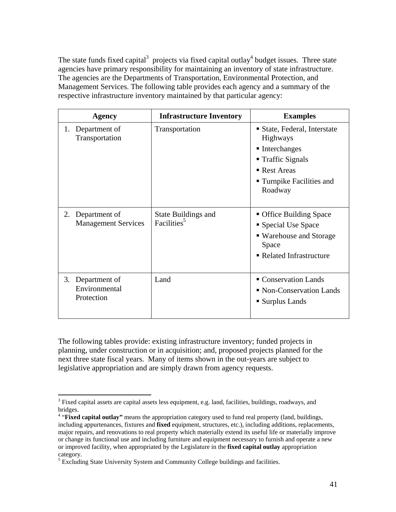The state funds fixed capital<sup>3</sup> projects via fixed capital outlay<sup>4</sup> budget issues. Three state agencies have primary responsibility for maintaining an inventory of state infrastructure. The agencies are the Departments of Transportation, Environmental Protection, and Management Services. The following table provides each agency and a summary of the respective infrastructure inventory maintained by that particular agency:

| <b>Agency</b>                                     | <b>Infrastructure Inventory</b>                       | <b>Examples</b>                                                                                                                                           |
|---------------------------------------------------|-------------------------------------------------------|-----------------------------------------------------------------------------------------------------------------------------------------------------------|
| 1. Department of<br>Transportation                | Transportation                                        | • State, Federal, Interstate<br><b>Highways</b><br>$\blacksquare$ Interchanges<br>■ Traffic Signals<br>Rest Areas<br>■ Turnpike Facilities and<br>Roadway |
| 2.<br>Department of<br><b>Management Services</b> | <b>State Buildings and</b><br>Facilities <sup>5</sup> | • Office Building Space<br>Special Use Space<br>■ Warehouse and Storage<br>Space<br>Related Infrastructure                                                |
| 3. Department of<br>Environmental<br>Protection   | Land                                                  | Conservation Lands<br>• Non-Conservation Lands<br>■ Surplus Lands                                                                                         |

The following tables provide: existing infrastructure inventory; funded projects in planning, under construction or in acquisition; and, proposed projects planned for the next three state fiscal years. Many of items shown in the out-years are subject to legislative appropriation and are simply drawn from agency requests.

<sup>&</sup>lt;sup>3</sup> Fixed capital assets are capital assets less equipment, e.g. land, facilities, buildings, roadways, and bridges.

<sup>&</sup>lt;sup>4</sup> "Fixed capital outlay" means the appropriation category used to fund real property (land, buildings, including appurtenances, fixtures and **fixed** equipment, structures, etc.), including additions, replacements, major repairs, and renovations to real property which materially extend its useful life or materially improve or change its functional use and including furniture and equipment necessary to furnish and operate a new or improved facility, when appropriated by the Legislature in the **fixed capital outlay** appropriation category.

<sup>&</sup>lt;sup>5</sup> Excluding State University System and Community College buildings and facilities.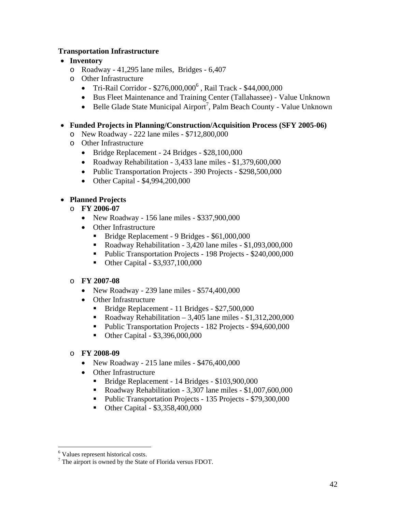### **Transportation Infrastructure**

### • **Inventory**

- o Roadway 41,295 lane miles, Bridges 6,407
- o Other Infrastructure
	- $\bullet$  Tri-Rail Corridor \$276,000,000<sup>6</sup>, Rail Track \$44,000,000
	- Bus Fleet Maintenance and Training Center (Tallahassee) Value Unknown
	- Belle Glade State Municipal Airport<sup>7</sup>, Palm Beach County Value Unknown
- **Funded Projects in Planning/Construction/Acquisition Process (SFY 2005-06)** 
	- o New Roadway 222 lane miles \$712,800,000
	- o Other Infrastructure
		- Bridge Replacement 24 Bridges \$28,100,000
		- Roadway Rehabilitation 3,433 lane miles \$1,379,600,000
		- Public Transportation Projects 390 Projects \$298,500,000
		- Other Capital \$4,994,200,000

# • **Planned Projects**

- o **FY 2006-07** 
	- New Roadway 156 lane miles \$337,900,000
	- Other Infrastructure
		- Bridge Replacement 9 Bridges \$61,000,000
		- Roadway Rehabilitation 3,420 lane miles \$1,093,000,000
		- Public Transportation Projects 198 Projects \$240,000,000
		- Other Capital \$3,937,100,000

## o **FY 2007-08**

- New Roadway 239 lane miles \$574,400,000
- Other Infrastructure
	- Bridge Replacement 11 Bridges \$27,500,000
	- Roadway Rehabilitation 3,405 lane miles \$1,312,200,000
	- Public Transportation Projects 182 Projects \$94,600,000
	- Other Capital \$3,396,000,000
- o **FY 2008-09** 
	- New Roadway 215 lane miles \$476,400,000
	- Other Infrastructure
		- Bridge Replacement 14 Bridges \$103,900,000
		- Roadway Rehabilitation 3,307 lane miles \$1,007,600,000
		- Public Transportation Projects 135 Projects \$79,300,000
		- Other Capital \$3,358,400,000

<sup>6</sup> Values represent historical costs.

<sup>&</sup>lt;sup>7</sup> The airport is owned by the State of Florida versus FDOT.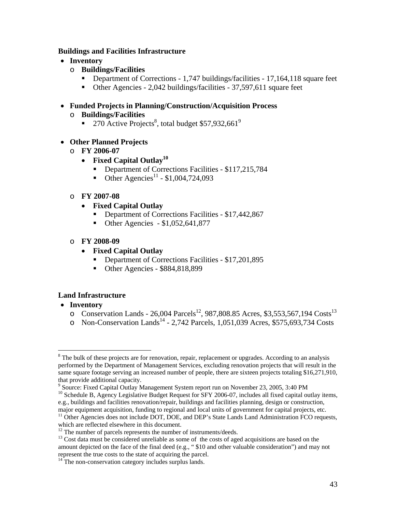### **Buildings and Facilities Infrastructure**

- **Inventory** 
	- o **Buildings/Facilities** 
		- Department of Corrections 1,747 buildings/facilities 17,164,118 square feet
		- Other Agencies 2,042 buildings/facilities 37,597,611 square feet
- **Funded Projects in Planning/Construction/Acquisition Process**  o **Buildings/Facilities** 
	- 270 Active Projects<sup>8</sup>, total budget \$57,932,661<sup>9</sup>
- **Other Planned Projects** 
	- o **FY 2006-07** 
		- **Fixed Capital Outlay10**
			- Department of Corrections Facilities \$117,215,784
			- Other Agencies<sup>11</sup> \$1,004,724,093
	- o **FY 2007-08** 
		- **Fixed Capital Outlay** 
			- Department of Corrections Facilities \$17,442,867
			- Other Agencies \$1,052,641,877
	- o **FY 2008-09** 
		- **Fixed Capital Outlay** 
			- Department of Corrections Facilities \$17,201,895
			- Other Agencies \$884,818,899

## **Land Infrastructure**

• **Inventory** 

- $\circ$  Conservation Lands 26,004 Parcels<sup>12</sup>, 987,808.85 Acres, \$3,553,567,194 Costs<sup>13</sup>
- $\circ$  Non-Conservation Lands<sup>14</sup> 2,742 Parcels, 1,051,039 Acres, \$575,693,734 Costs

<sup>&</sup>lt;sup>8</sup> The bulk of these projects are for renovation, repair, replacement or upgrades. According to an analysis performed by the Department of Management Services, excluding renovation projects that will result in the same square footage serving an increased number of people, there are sixteen projects totaling \$16,271,910, that provide additional capacity.

<sup>&</sup>lt;sup>9</sup> Source: Fixed Capital Outlay Management System report run on November 23, 2005, 3:40 PM

<sup>&</sup>lt;sup>10</sup> Schedule B, Agency Legislative Budget Request for SFY 2006-07, includes all fixed capital outlay items, e.g., buildings and facilities renovation/repair, buildings and facilities planning, design or construction,

major equipment acquisition, funding to regional and local units of government for capital projects, etc.<br><sup>11</sup> Other Agencies does not include DOT, DOE, and DEP's State Lands Land Administration FCO requests, which are reflected elsewhere in this document.

 $12$  The number of parcels represents the number of instruments/deeds.<br><sup>13</sup> Cost data must be considered unreliable as some of the costs of aged acquisitions are based on the amount depicted on the face of the final deed (e.g., " \$10 and other valuable consideration") and may not represent the true costs to the state of acquiring the parcel. 14 The non-conservation category includes surplus lands.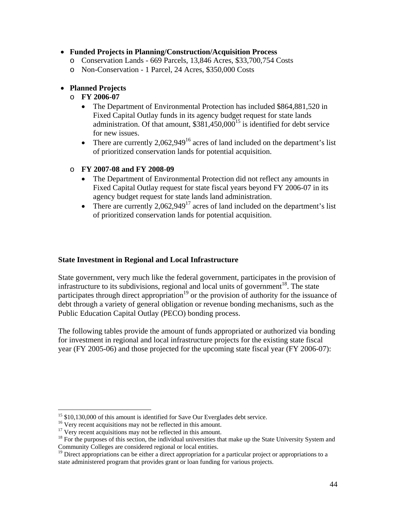### • **Funded Projects in Planning/Construction/Acquisition Process**

- o Conservation Lands 669 Parcels, 13,846 Acres, \$33,700,754 Costs
- o Non-Conservation 1 Parcel, 24 Acres, \$350,000 Costs

# • **Planned Projects**

## o **FY 2006-07**

- The Department of Environmental Protection has included \$864,881,520 in Fixed Capital Outlay funds in its agency budget request for state lands administration. Of that amount,  $$381,450,000^{15}$  is identified for debt service for new issues.
- There are currently  $2.062.949^{16}$  acres of land included on the department's list of prioritized conservation lands for potential acquisition.

# o **FY 2007-08 and FY 2008-09**

- The Department of Environmental Protection did not reflect any amounts in Fixed Capital Outlay request for state fiscal years beyond FY 2006-07 in its agency budget request for state lands land administration.
- There are currently 2,062,949<sup>17</sup> acres of land included on the department's list of prioritized conservation lands for potential acquisition.

## **State Investment in Regional and Local Infrastructure**

State government, very much like the federal government, participates in the provision of infrastructure to its subdivisions, regional and local units of government<sup>18</sup>. The state participates through direct appropriation<sup>19</sup> or the provision of authority for the issuance of debt through a variety of general obligation or revenue bonding mechanisms, such as the Public Education Capital Outlay (PECO) bonding process.

The following tables provide the amount of funds appropriated or authorized via bonding for investment in regional and local infrastructure projects for the existing state fiscal year (FY 2005-06) and those projected for the upcoming state fiscal year (FY 2006-07):

 $15 \text{ } $10,130,000$  of this amount is identified for Save Our Everglades debt service.

<sup>&</sup>lt;sup>16</sup> Very recent acquisitions may not be reflected in this amount.<br><sup>17</sup> Very recent acquisitions may not be reflected in this amount.<br><sup>18</sup> For the purposes of this section, the individual universities that make up the Sta Community Colleges are considered regional or local entities.

<sup>&</sup>lt;sup>19</sup> Direct appropriations can be either a direct appropriation for a particular project or appropriations to a state administered program that provides grant or loan funding for various projects.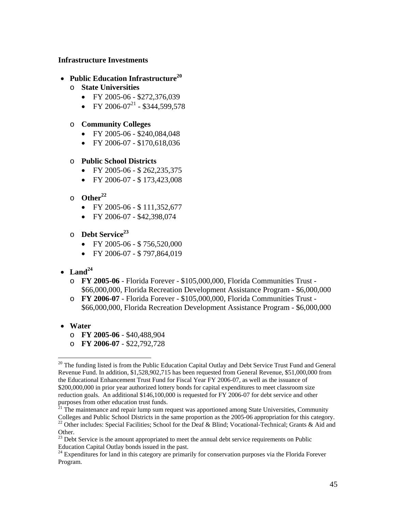### **Infrastructure Investments**

- **Public Education Infrastructure**<sup>20</sup>
	- o **State Universities** 
		- FY 2005-06 \$272,376,039
		- FY 2006-07<sup>21</sup> \$344,599,578

### o **Community Colleges**

- FY 2005-06 \$240,084,048
- FY 2006-07 \$170,618,036

### o **Public School Districts**

- FY 2005-06 \$ 262,235,375
- FY 2006-07 \$ 173,423,008
- $\circ$  Other<sup>22</sup>
	- FY 2005-06 \$ 111,352,677
	- FY 2006-07 \$42,398,074
- o **Debt Service<sup>23</sup>**
	- FY 2005-06 \$ 756,520,000
	- FY 2006-07 \$ 797,864,019
- $\bullet$  **Land**<sup>24</sup>
	- o **FY 2005-06** Florida Forever \$105,000,000, Florida Communities Trust \$66,000,000, Florida Recreation Development Assistance Program - \$6,000,000
	- o **FY 2006-07** Florida Forever \$105,000,000, Florida Communities Trust \$66,000,000, Florida Recreation Development Assistance Program - \$6,000,000
- **Water**

 $\overline{a}$ 

- o **FY 2005-06** \$40,488,904
- o **FY 2006-07** \$22,792,728

 $21$ <sup>1</sup>. The maintenance and repair lump sum request was apportioned among State Universities, Community Colleges and Public School Districts in the same proportion as the 2005-06 appropriation for this category.

<sup>22</sup> Other includes: Special Facilities; School for the Deaf & Blind; Vocational-Technical; Grants & Aid and Other.

<sup>&</sup>lt;sup>20</sup> The funding listed is from the Public Education Capital Outlay and Debt Service Trust Fund and General Revenue Fund. In addition, \$1,528,902,715 has been requested from General Revenue, \$51,000,000 from the Educational Enhancement Trust Fund for Fiscal Year FY 2006-07, as well as the issuance of \$200,000,000 in prior year authorized lottery bonds for capital expenditures to meet classroom size reduction goals. An additional \$146,100,000 is requested for FY 2006-07 for debt service and other purposes from other education trust funds.

<sup>&</sup>lt;sup>23</sup> Debt Service is the amount appropriated to meet the annual debt service requirements on Public Education Capital Outlay bonds issued in the past.

<sup>&</sup>lt;sup>24</sup> Expenditures for land in this category are primarily for conservation purposes via the Florida Forever Program.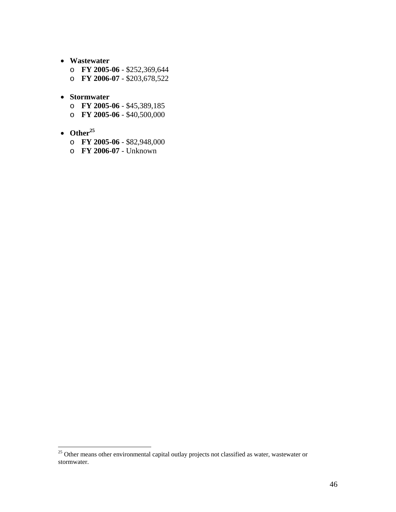- **Wastewater** 
	- o **FY 2005-06** \$252,369,644
	- o **FY 2006-07** \$203,678,522
- **Stormwater** 
	- o **FY 2005-06** \$45,389,185
	- o **FY 2005-06** \$40,500,000
- $\bullet$  Other<sup>25</sup>

- o **FY 2005-06** \$82,948,000
- o **FY 2006-07** Unknown

 $25$  Other means other environmental capital outlay projects not classified as water, wastewater or stormwater.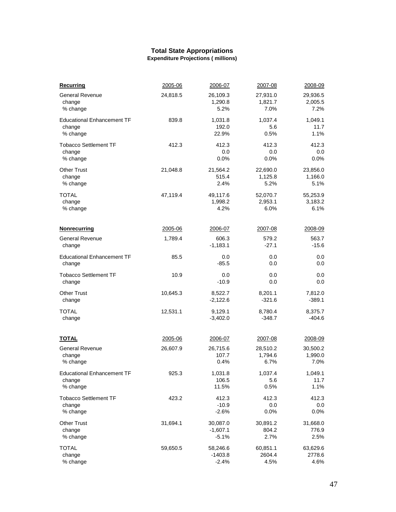#### **Total State Appropriations Expenditure Projections ( millions)**

| Recurring                                        | 2005-06            | 2006-07                        | 2007-08                     | 2008-09                     |
|--------------------------------------------------|--------------------|--------------------------------|-----------------------------|-----------------------------|
| <b>General Revenue</b>                           | 24,818.5           | 26,109.3                       | 27,931.0                    | 29,936.5                    |
| change                                           |                    | 1,290.8                        | 1,821.7                     | 2,005.5                     |
| % change                                         |                    | 5.2%                           | 7.0%                        | 7.2%                        |
| <b>Educational Enhancement TF</b>                | 839.8              | 1,031.8                        | 1.037.4                     | 1,049.1                     |
| change                                           |                    | 192.0                          | 5.6                         | 11.7                        |
| % change                                         |                    | 22.9%                          | 0.5%                        | 1.1%                        |
| <b>Tobacco Settlement TF</b>                     | 412.3              | 412.3                          | 412.3                       | 412.3                       |
| change                                           |                    | 0.0                            | 0.0                         | 0.0                         |
| % change                                         |                    | 0.0%                           | 0.0%                        | 0.0%                        |
| <b>Other Trust</b>                               | 21,048.8           | 21,564.2                       | 22,690.0                    | 23,856.0                    |
| change                                           |                    | 515.4                          | 1,125.8                     | 1,166.0                     |
| % change                                         |                    | 2.4%                           | 5.2%                        | 5.1%                        |
| TOTAL                                            | 47,119.4           | 49,117.6                       | 52,070.7                    | 55,253.9                    |
| change                                           |                    | 1,998.2                        | 2,953.1                     | 3,183.2                     |
| % change                                         |                    | 4.2%                           | 6.0%                        | 6.1%                        |
| Nonrecurring<br><b>General Revenue</b><br>change | 2005-06<br>1,789.4 | 2006-07<br>606.3<br>$-1,183.1$ | 2007-08<br>579.2<br>$-27.1$ | 2008-09<br>563.7<br>$-15.6$ |
| <b>Educational Enhancement TF</b>                | 85.5               | 0.0                            | 0.0                         | 0.0                         |
| change                                           |                    | $-85.5$                        | 0.0                         | 0.0                         |
| <b>Tobacco Settlement TF</b>                     | 10.9               | 0.0                            | 0.0                         | 0.0                         |
| change                                           |                    | $-10.9$                        | 0.0                         | 0.0                         |
| <b>Other Trust</b>                               | 10,645.3           | 8,522.7                        | 8,201.1                     | 7,812.0                     |
| change                                           |                    | $-2,122.6$                     | $-321.6$                    | $-389.1$                    |
| TOTAL                                            | 12,531.1           | 9,129.1                        | 8,780.4                     | 8,375.7                     |
| change                                           |                    | $-3,402.0$                     | $-348.7$                    | $-404.6$                    |
| <b>TOTAL</b>                                     | 2005-06            | 2006-07                        | 2007-08                     | 2008-09                     |
| <b>General Revenue</b>                           | 26,607.9           | 26,715.6                       | 28,510.2                    | 30,500.2                    |
| change                                           |                    | 107.7                          | 1,794.6                     | 1,990.0                     |
| % change                                         |                    | 0.4%                           | 6.7%                        | 7.0%                        |
| <b>Educational Enhancement TF</b>                | 925.3              | 1,031.8                        | 1,037.4                     | 1,049.1                     |
| change                                           |                    | 106.5                          | 5.6                         | 11.7                        |
| % change                                         |                    | 11.5%                          | 0.5%                        | 1.1%                        |
| <b>Tobacco Settlement TF</b>                     | 423.2              | 412.3                          | 412.3                       | 412.3                       |
| change                                           |                    | $-10.9$                        | 0.0                         | 0.0                         |
| % change                                         |                    | $-2.6%$                        | 0.0%                        | 0.0%                        |
| <b>Other Trust</b>                               | 31,694.1           | 30,087.0                       | 30,891.2                    | 31,668.0                    |
| change                                           |                    | $-1,607.1$                     | 804.2                       | 776.9                       |
| % change                                         |                    | $-5.1%$                        | 2.7%                        | 2.5%                        |
| <b>TOTAL</b>                                     | 59,650.5           | 58,246.6                       | 60,851.1                    | 63,629.6                    |
| change                                           |                    | $-1403.8$                      | 2604.4                      | 2778.6                      |
| % change                                         |                    | $-2.4%$                        | 4.5%                        | 4.6%                        |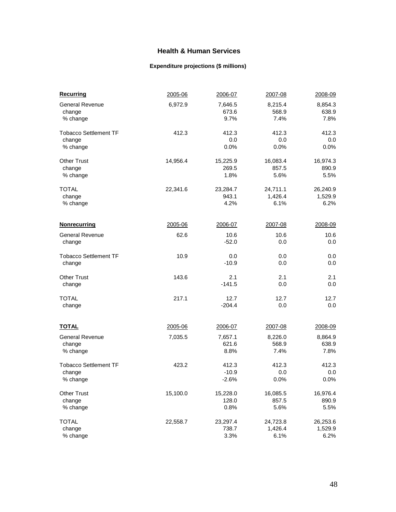## **Health & Human Services**

### **Expenditure projections (\$ millions)**

| <b>Recurring</b>             | 2005-06  | 2006-07  | 2007-08  | 2008-09  |
|------------------------------|----------|----------|----------|----------|
| <b>General Revenue</b>       | 6,972.9  | 7,646.5  | 8,215.4  | 8,854.3  |
| change                       |          | 673.6    | 568.9    | 638.9    |
| % change                     |          | 9.7%     | 7.4%     | 7.8%     |
| <b>Tobacco Settlement TF</b> | 412.3    | 412.3    | 412.3    | 412.3    |
| change                       |          | 0.0      | 0.0      | 0.0      |
| % change                     |          | 0.0%     | 0.0%     | 0.0%     |
| <b>Other Trust</b>           | 14,956.4 | 15,225.9 | 16,083.4 | 16,974.3 |
| change                       |          | 269.5    | 857.5    | 890.9    |
| % change                     |          | 1.8%     | 5.6%     | 5.5%     |
| <b>TOTAL</b>                 | 22,341.6 | 23,284.7 | 24,711.1 | 26,240.9 |
| change                       |          | 943.1    | 1,426.4  | 1,529.9  |
| % change                     |          | 4.2%     | 6.1%     | 6.2%     |
| <b>Nonrecurring</b>          | 2005-06  | 2006-07  | 2007-08  | 2008-09  |
| <b>General Revenue</b>       | 62.6     | 10.6     | 10.6     | 10.6     |
| change                       |          | $-52.0$  | 0.0      | 0.0      |
| <b>Tobacco Settlement TF</b> | 10.9     | 0.0      | 0.0      | 0.0      |
| change                       |          | $-10.9$  | 0.0      | 0.0      |
| <b>Other Trust</b>           | 143.6    | 2.1      | 2.1      | 2.1      |
| change                       |          | $-141.5$ | 0.0      | 0.0      |
| <b>TOTAL</b>                 | 217.1    | 12.7     | 12.7     | 12.7     |
| change                       |          | $-204.4$ | 0.0      | 0.0      |
| <b>TOTAL</b>                 | 2005-06  | 2006-07  | 2007-08  | 2008-09  |
| <b>General Revenue</b>       | 7,035.5  | 7,657.1  | 8,226.0  | 8,864.9  |
| change                       |          | 621.6    | 568.9    | 638.9    |
| % change                     |          | 8.8%     | 7.4%     | 7.8%     |
| <b>Tobacco Settlement TF</b> | 423.2    | 412.3    | 412.3    | 412.3    |
| change                       |          | $-10.9$  | 0.0      | 0.0      |
| % change                     |          | $-2.6%$  | 0.0%     | 0.0%     |
| <b>Other Trust</b>           | 15,100.0 | 15,228.0 | 16,085.5 | 16,976.4 |
| change                       |          | 128.0    | 857.5    | 890.9    |
| % change                     |          | 0.8%     | 5.6%     | 5.5%     |
| <b>TOTAL</b>                 | 22,558.7 | 23,297.4 | 24,723.8 | 26,253.6 |
| change                       |          | 738.7    | 1,426.4  | 1,529.9  |
| % change                     |          | 3.3%     | 6.1%     | 6.2%     |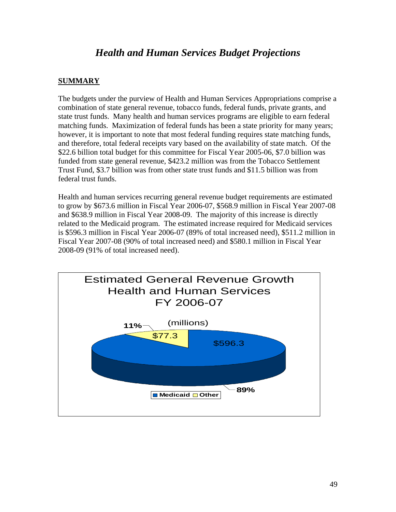# *Health and Human Services Budget Projections*

## **SUMMARY**

The budgets under the purview of Health and Human Services Appropriations comprise a combination of state general revenue, tobacco funds, federal funds, private grants, and state trust funds. Many health and human services programs are eligible to earn federal matching funds. Maximization of federal funds has been a state priority for many years; however, it is important to note that most federal funding requires state matching funds, and therefore, total federal receipts vary based on the availability of state match. Of the \$22.6 billion total budget for this committee for Fiscal Year 2005-06, \$7.0 billion was funded from state general revenue, \$423.2 million was from the Tobacco Settlement Trust Fund, \$3.7 billion was from other state trust funds and \$11.5 billion was from federal trust funds.

Health and human services recurring general revenue budget requirements are estimated to grow by \$673.6 million in Fiscal Year 2006-07, \$568.9 million in Fiscal Year 2007-08 and \$638.9 million in Fiscal Year 2008-09. The majority of this increase is directly related to the Medicaid program. The estimated increase required for Medicaid services is \$596.3 million in Fiscal Year 2006-07 (89% of total increased need), \$511.2 million in Fiscal Year 2007-08 (90% of total increased need) and \$580.1 million in Fiscal Year 2008-09 (91% of total increased need).

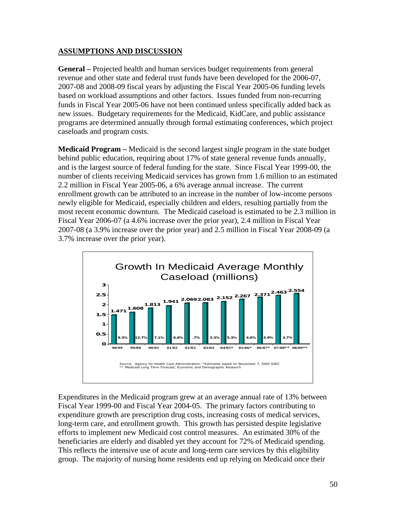### **ASSUMPTIONS AND DISCUSSION**

**General –** Projected health and human services budget requirements from general revenue and other state and federal trust funds have been developed for the 2006-07, 2007-08 and 2008-09 fiscal years by adjusting the Fiscal Year 2005-06 funding levels based on workload assumptions and other factors. Issues funded from non-recurring funds in Fiscal Year 2005-06 have not been continued unless specifically added back as new issues. Budgetary requirements for the Medicaid, KidCare, and public assistance programs are determined annually through formal estimating conferences, which project caseloads and program costs.

**Medicaid Program –** Medicaid is the second largest single program in the state budget behind public education, requiring about 17% of state general revenue funds annually, and is the largest source of federal funding for the state. Since Fiscal Year 1999-00, the number of clients receiving Medicaid services has grown from 1.6 million to an estimated 2.2 million in Fiscal Year 2005-06, a 6% average annual increase. The current enrollment growth can be attributed to an increase in the number of low-income persons newly eligible for Medicaid, especially children and elders, resulting partially from the most recent economic downturn. The Medicaid caseload is estimated to be 2.3 million in Fiscal Year 2006-07 (a 4.6% increase over the prior year), 2.4 million in Fiscal Year 2007-08 (a 3.9% increase over the prior year) and 2.5 million in Fiscal Year 2008-09 (a 3.7% increase over the prior year).



Expenditures in the Medicaid program grew at an average annual rate of 13% between Fiscal Year 1999-00 and Fiscal Year 2004-05. The primary factors contributing to expenditure growth are prescription drug costs, increasing costs of medical services, long-term care, and enrollment growth. This growth has persisted despite legislative efforts to implement new Medicaid cost control measures. An estimated 30% of the beneficiaries are elderly and disabled yet they account for 72% of Medicaid spending. This reflects the intensive use of acute and long-term care services by this eligibility group. The majority of nursing home residents end up relying on Medicaid once their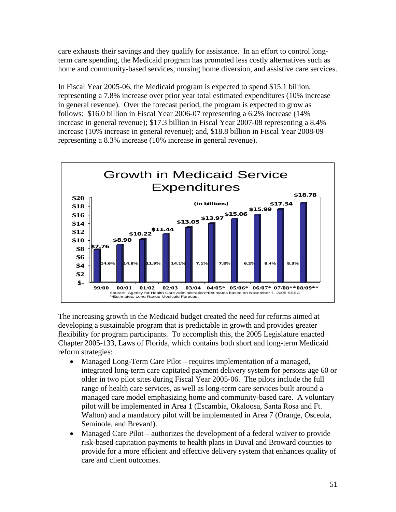care exhausts their savings and they qualify for assistance. In an effort to control longterm care spending, the Medicaid program has promoted less costly alternatives such as home and community-based services, nursing home diversion, and assistive care services.

In Fiscal Year 2005-06, the Medicaid program is expected to spend \$15.1 billion, representing a 7.8% increase over prior year total estimated expenditures (10% increase in general revenue). Over the forecast period, the program is expected to grow as follows: \$16.0 billion in Fiscal Year 2006-07 representing a 6.2% increase (14% increase in general revenue); \$17.3 billion in Fiscal Year 2007-08 representing a 8.4% increase (10% increase in general revenue); and, \$18.8 billion in Fiscal Year 2008-09 representing a 8.3% increase (10% increase in general revenue).



The increasing growth in the Medicaid budget created the need for reforms aimed at developing a sustainable program that is predictable in growth and provides greater flexibility for program participants. To accomplish this, the 2005 Legislature enacted Chapter 2005-133, Laws of Florida, which contains both short and long-term Medicaid reform strategies:

- Managed Long-Term Care Pilot requires implementation of a managed, integrated long-term care capitated payment delivery system for persons age 60 or older in two pilot sites during Fiscal Year 2005-06. The pilots include the full range of health care services, as well as long-term care services built around a managed care model emphasizing home and community-based care. A voluntary pilot will be implemented in Area 1 (Escambia, Okaloosa, Santa Rosa and Ft. Walton) and a mandatory pilot will be implemented in Area 7 (Orange, Osceola, Seminole, and Brevard).
- Managed Care Pilot authorizes the development of a federal waiver to provide risk-based capitation payments to health plans in Duval and Broward counties to provide for a more efficient and effective delivery system that enhances quality of care and client outcomes.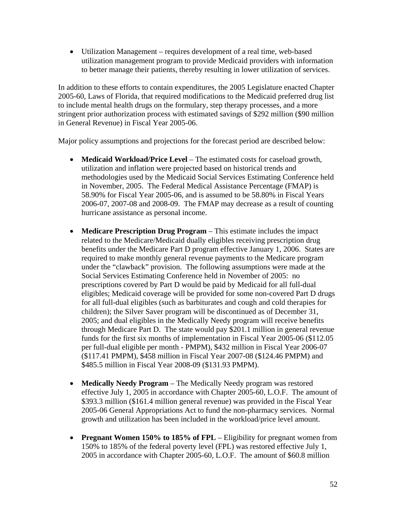• Utilization Management – requires development of a real time, web-based utilization management program to provide Medicaid providers with information to better manage their patients, thereby resulting in lower utilization of services.

In addition to these efforts to contain expenditures, the 2005 Legislature enacted Chapter 2005-60, Laws of Florida, that required modifications to the Medicaid preferred drug list to include mental health drugs on the formulary, step therapy processes, and a more stringent prior authorization process with estimated savings of \$292 million (\$90 million in General Revenue) in Fiscal Year 2005-06.

Major policy assumptions and projections for the forecast period are described below:

- **Medicaid Workload/Price Level** The estimated costs for caseload growth, utilization and inflation were projected based on historical trends and methodologies used by the Medicaid Social Services Estimating Conference held in November, 2005. The Federal Medical Assistance Percentage (FMAP) is 58.90% for Fiscal Year 2005-06, and is assumed to be 58.80% in Fiscal Years 2006-07, 2007-08 and 2008-09. The FMAP may decrease as a result of counting hurricane assistance as personal income.
- **Medicare Prescription Drug Program** This estimate includes the impact related to the Medicare/Medicaid dually eligibles receiving prescription drug benefits under the Medicare Part D program effective January 1, 2006. States are required to make monthly general revenue payments to the Medicare program under the "clawback" provision. The following assumptions were made at the Social Services Estimating Conference held in November of 2005: no prescriptions covered by Part D would be paid by Medicaid for all full-dual eligibles; Medicaid coverage will be provided for some non-covered Part D drugs for all full-dual eligibles (such as barbiturates and cough and cold therapies for children); the Silver Saver program will be discontinued as of December 31, 2005; and dual eligibles in the Medically Needy program will receive benefits through Medicare Part D. The state would pay \$201.1 million in general revenue funds for the first six months of implementation in Fiscal Year 2005-06 (\$112.05 per full-dual eligible per month - PMPM), \$432 million in Fiscal Year 2006-07 (\$117.41 PMPM), \$458 million in Fiscal Year 2007-08 (\$124.46 PMPM) and \$485.5 million in Fiscal Year 2008-09 (\$131.93 PMPM).
- **Medically Needy Program**  The Medically Needy program was restored effective July 1, 2005 in accordance with Chapter 2005-60, L.O.F. The amount of \$393.3 million (\$161.4 million general revenue) was provided in the Fiscal Year 2005-06 General Appropriations Act to fund the non-pharmacy services. Normal growth and utilization has been included in the workload/price level amount.
- **Pregnant Women 150% to 185% of FPL** Eligibility for pregnant women from 150% to 185% of the federal poverty level (FPL) was restored effective July 1, 2005 in accordance with Chapter 2005-60, L.O.F. The amount of \$60.8 million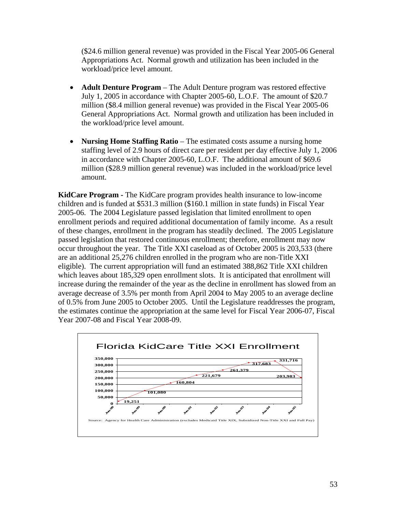(\$24.6 million general revenue) was provided in the Fiscal Year 2005-06 General Appropriations Act. Normal growth and utilization has been included in the workload/price level amount.

- **Adult Denture Program** The Adult Denture program was restored effective July 1, 2005 in accordance with Chapter 2005-60, L.O.F. The amount of \$20.7 million (\$8.4 million general revenue) was provided in the Fiscal Year 2005-06 General Appropriations Act. Normal growth and utilization has been included in the workload/price level amount.
- **Nursing Home Staffing Ratio** The estimated costs assume a nursing home staffing level of 2.9 hours of direct care per resident per day effective July 1, 2006 in accordance with Chapter 2005-60, L.O.F. The additional amount of \$69.6 million (\$28.9 million general revenue) was included in the workload/price level amount.

**KidCare Program -** The KidCare program provides health insurance to low-income children and is funded at \$531.3 million (\$160.1 million in state funds) in Fiscal Year 2005-06. The 2004 Legislature passed legislation that limited enrollment to open enrollment periods and required additional documentation of family income. As a result of these changes, enrollment in the program has steadily declined. The 2005 Legislature passed legislation that restored continuous enrollment; therefore, enrollment may now occur throughout the year. The Title XXI caseload as of October 2005 is 203,533 (there are an additional 25,276 children enrolled in the program who are non-Title XXI eligible). The current appropriation will fund an estimated 388,862 Title XXI children which leaves about 185,329 open enrollment slots. It is anticipated that enrollment will increase during the remainder of the year as the decline in enrollment has slowed from an average decrease of 3.5% per month from April 2004 to May 2005 to an average decline of 0.5% from June 2005 to October 2005. Until the Legislature readdresses the program, the estimates continue the appropriation at the same level for Fiscal Year 2006-07, Fiscal Year 2007-08 and Fiscal Year 2008-09.

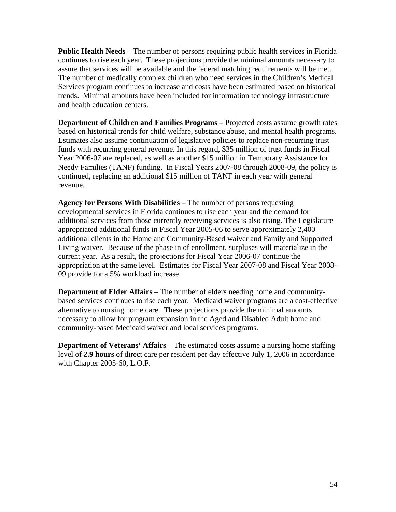**Public Health Needs** – The number of persons requiring public health services in Florida continues to rise each year. These projections provide the minimal amounts necessary to assure that services will be available and the federal matching requirements will be met. The number of medically complex children who need services in the Children's Medical Services program continues to increase and costs have been estimated based on historical trends. Minimal amounts have been included for information technology infrastructure and health education centers.

**Department of Children and Families Programs** – Projected costs assume growth rates based on historical trends for child welfare, substance abuse, and mental health programs. Estimates also assume continuation of legislative policies to replace non-recurring trust funds with recurring general revenue. In this regard, \$35 million of trust funds in Fiscal Year 2006-07 are replaced, as well as another \$15 million in Temporary Assistance for Needy Families (TANF) funding. In Fiscal Years 2007-08 through 2008-09, the policy is continued, replacing an additional \$15 million of TANF in each year with general revenue.

**Agency for Persons With Disabilities** – The number of persons requesting developmental services in Florida continues to rise each year and the demand for additional services from those currently receiving services is also rising. The Legislature appropriated additional funds in Fiscal Year 2005-06 to serve approximately 2,400 additional clients in the Home and Community-Based waiver and Family and Supported Living waiver. Because of the phase in of enrollment, surpluses will materialize in the current year. As a result, the projections for Fiscal Year 2006-07 continue the appropriation at the same level. Estimates for Fiscal Year 2007-08 and Fiscal Year 2008- 09 provide for a 5% workload increase.

**Department of Elder Affairs** – The number of elders needing home and communitybased services continues to rise each year. Medicaid waiver programs are a cost-effective alternative to nursing home care. These projections provide the minimal amounts necessary to allow for program expansion in the Aged and Disabled Adult home and community-based Medicaid waiver and local services programs.

**Department of Veterans' Affairs** – The estimated costs assume a nursing home staffing level of **2.9 hours** of direct care per resident per day effective July 1, 2006 in accordance with Chapter 2005-60, L.O.F.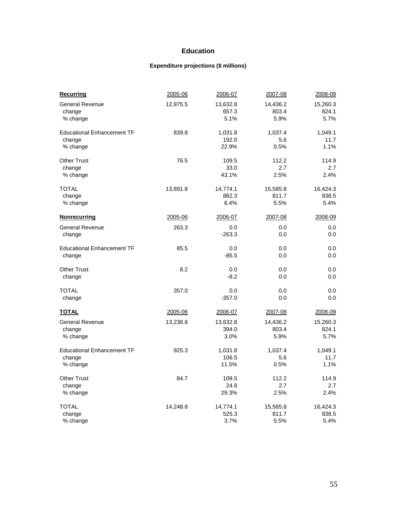### **Education**

### **Expenditure projections (\$ millions)**

| <b>Recurring</b>                  | 2005-06  | 2006-07  | 2007-08  | 2008-09  |
|-----------------------------------|----------|----------|----------|----------|
| <b>General Revenue</b>            | 12,975.5 | 13,632.8 | 14,436.2 | 15,260.3 |
| change                            |          | 657.3    | 803.4    | 824.1    |
| % change                          |          | 5.1%     | 5.9%     | 5.7%     |
| <b>Educational Enhancement TF</b> | 839.8    | 1,031.8  | 1,037.4  | 1,049.1  |
| change                            |          | 192.0    | 5.6      | 11.7     |
| % change                          |          | 22.9%    | 0.5%     | 1.1%     |
| <b>Other Trust</b>                | 76.5     | 109.5    | 112.2    | 114.9    |
| change                            |          | 33.0     | 2.7      | 2.7      |
| % change                          |          | 43.1%    | 2.5%     | 2.4%     |
| TOTAL                             | 13,891.8 | 14,774.1 | 15,585.8 | 16,424.3 |
| change                            |          | 882.3    | 811.7    | 838.5    |
| % change                          |          | 6.4%     | 5.5%     | 5.4%     |
| <b>Nonrecurring</b>               | 2005-06  | 2006-07  | 2007-08  | 2008-09  |
| <b>General Revenue</b>            | 263.3    | 0.0      | 0.0      | 0.0      |
| change                            |          | $-263.3$ | 0.0      | 0.0      |
| <b>Educational Enhancement TF</b> | 85.5     | 0.0      | 0.0      | 0.0      |
| change                            |          | $-85.5$  | 0.0      | 0.0      |
| <b>Other Trust</b>                | 8.2      | 0.0      | 0.0      | 0.0      |
| change                            |          | $-8.2$   | 0.0      | 0.0      |
| TOTAL                             | 357.0    | 0.0      | 0.0      | 0.0      |
| change                            |          | $-357.0$ | 0.0      | 0.0      |
| <b>TOTAL</b>                      | 2005-06  | 2006-07  | 2007-08  | 2008-09  |
| <b>General Revenue</b>            | 13,238.8 | 13,632.8 | 14,436.2 | 15,260.3 |
| change                            |          | 394.0    | 803.4    | 824.1    |
| % change                          |          | 3.0%     | 5.9%     | 5.7%     |
| <b>Educational Enhancement TF</b> | 925.3    | 1,031.8  | 1,037.4  | 1,049.1  |
| change                            |          | 106.5    | 5.6      | 11.7     |
| % change                          |          | 11.5%    | 0.5%     | 1.1%     |
| <b>Other Trust</b>                | 84.7     | 109.5    | 112.2    | 114.9    |
| change                            |          | 24.8     | 2.7      | 2.7      |
| % change                          |          | 29.3%    | 2.5%     | 2.4%     |
| <b>TOTAL</b>                      | 14,248.8 | 14,774.1 | 15,585.8 | 16,424.3 |
| change                            |          | 525.3    | 811.7    | 838.5    |
| % change                          |          | 3.7%     | 5.5%     | 5.4%     |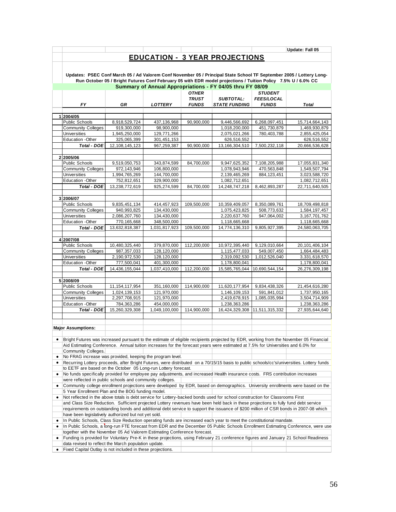|   |                                                                                                                                                                                              |                                |                            |              |                                                                                                               |                              | Update: Fall 05                                                                                                                           |
|---|----------------------------------------------------------------------------------------------------------------------------------------------------------------------------------------------|--------------------------------|----------------------------|--------------|---------------------------------------------------------------------------------------------------------------|------------------------------|-------------------------------------------------------------------------------------------------------------------------------------------|
|   |                                                                                                                                                                                              |                                |                            |              | <b>EDUCATION - 3 YEAR PROJECTIONS</b>                                                                         |                              |                                                                                                                                           |
|   |                                                                                                                                                                                              |                                |                            |              |                                                                                                               |                              |                                                                                                                                           |
|   |                                                                                                                                                                                              |                                |                            |              |                                                                                                               |                              |                                                                                                                                           |
|   |                                                                                                                                                                                              |                                |                            |              | Run October 05 / Bright Futures Conf February 05 with EDR model projections / Tuition Policy 7.5% U / 6.0% CC |                              | Updates: PSEC Conf March 05 / Ad Valorem Conf November 05 / Principal State School TF September 2005 / Lottery Long-                      |
|   |                                                                                                                                                                                              |                                |                            |              | Summary of Annual Appropriations - FY 04/05 thru FY 08/09                                                     |                              |                                                                                                                                           |
|   |                                                                                                                                                                                              |                                |                            | <b>OTHER</b> |                                                                                                               | <b>STUDENT</b>               |                                                                                                                                           |
|   |                                                                                                                                                                                              |                                |                            | <b>TRUST</b> | <b>SUBTOTAL:</b>                                                                                              | <b>FEES/LOCAL</b>            |                                                                                                                                           |
|   | <b>FY</b>                                                                                                                                                                                    | GR                             | <b>LOTTERY</b>             | <b>FUNDS</b> | <b>STATE FUNDING</b>                                                                                          | <b>FUNDS</b>                 | <b>Total</b>                                                                                                                              |
|   | 1 2004/05                                                                                                                                                                                    |                                |                            |              |                                                                                                               |                              |                                                                                                                                           |
|   | Public Schools                                                                                                                                                                               | 8,918,529,724                  | 437,136,968                | 90,900,000   | 9,446,566,692                                                                                                 | 6,268,097,451                | 15,714,664,143                                                                                                                            |
|   | <b>Community Colleges</b>                                                                                                                                                                    | 919,300,000                    | 98,900,000                 |              | 1,018,200,000                                                                                                 | 451,730,879                  | 1,469,930,879                                                                                                                             |
|   | <b>Universities</b>                                                                                                                                                                          | 1,945,250,000                  | 129,771,266                |              | 2,075,021,266                                                                                                 | 780,403,788                  | 2,855,425,054                                                                                                                             |
|   | Education - Other                                                                                                                                                                            | 325,065,399                    | 301,451,153                |              | 626,516,552                                                                                                   |                              | 626,516,552                                                                                                                               |
|   | Total - DOE                                                                                                                                                                                  | 12, 108, 145, 123              | 967,259,387                | 90,900,000   | 13,166,304,510                                                                                                | 7,500,232,118                | 20,666,536,628                                                                                                                            |
|   |                                                                                                                                                                                              |                                |                            |              |                                                                                                               |                              |                                                                                                                                           |
|   | 2 2005/06                                                                                                                                                                                    |                                |                            |              |                                                                                                               |                              |                                                                                                                                           |
|   | Public Schools                                                                                                                                                                               | 9,519,050,753                  | 343,874,599                | 84,700,000   | 9,947,625,352                                                                                                 | 7,108,205,988                | 17,055,831,340                                                                                                                            |
|   | <b>Community Colleges</b><br><b>Universities</b>                                                                                                                                             | 972,143,946<br>1,994,765,269   | 106,800,000<br>144,700,000 |              | 1,078,943,946<br>2,139,465,269                                                                                | 470,563,848<br>884, 123, 451 | 1,549,507,794                                                                                                                             |
|   | Education - Other                                                                                                                                                                            | 752,812,651                    | 329,900,000                |              | 1,082,712,651                                                                                                 |                              | 3,023,588,720<br>1,082,712,651                                                                                                            |
|   | <b>Total - DOE</b>                                                                                                                                                                           | 13,238,772,619                 | 925,274,599                | 84,700,000   | 14,248,747,218                                                                                                | 8,462,893,287                | 22,711,640,505                                                                                                                            |
|   |                                                                                                                                                                                              |                                |                            |              |                                                                                                               |                              |                                                                                                                                           |
|   | 3 2006/07                                                                                                                                                                                    |                                |                            |              |                                                                                                               |                              |                                                                                                                                           |
|   | Public Schools                                                                                                                                                                               | 9,835,451,134                  | 414,457,923                | 109,500,000  | 10,359,409,057                                                                                                | 8,350,089,761                | 18,709,498,818                                                                                                                            |
|   | <b>Community Colleges</b>                                                                                                                                                                    | 940,993,825                    | 134,430,000                |              | 1,075,423,825                                                                                                 | 508,773,632                  | 1,584,197,457                                                                                                                             |
|   | <b>Universities</b>                                                                                                                                                                          | 2,086,207,760                  | 134,430,000                |              | 2,220,637,760                                                                                                 | 947,064,002                  | 3, 167, 701, 762                                                                                                                          |
|   | Education - Other                                                                                                                                                                            | 770,165,668                    | 348,500,000                |              | 1,118,665,668                                                                                                 |                              | 1,118,665,668                                                                                                                             |
|   | Total - DOE                                                                                                                                                                                  | 13,632,818,387                 | 1,031,817,923              | 109,500,000  | 14,774,136,310                                                                                                | 9,805,927,395                | 24,580,063,705                                                                                                                            |
|   |                                                                                                                                                                                              |                                |                            |              |                                                                                                               |                              |                                                                                                                                           |
|   | 4 2007/08<br>Public Schools                                                                                                                                                                  | 10,480,325,440                 | 379,870,000                | 112,200,000  | 10,972,395,440                                                                                                | 9,129,010,664                | 20,101,406,104                                                                                                                            |
|   | <b>Community Colleges</b>                                                                                                                                                                    | 987,357,033                    | 128,120,000                |              | 1,115,477,033                                                                                                 | 549,007,450                  | 1,664,484,483                                                                                                                             |
|   | <b>Universities</b>                                                                                                                                                                          | 2,190,972,530                  | 128,120,000                |              | 2,319,092,530                                                                                                 | 1,012,526,040                | 3,331,618,570                                                                                                                             |
|   | <b>Education -Other</b>                                                                                                                                                                      | 777,500,041                    | 401,300,000                |              | 1,178,800,041                                                                                                 |                              | 1,178,800,041                                                                                                                             |
|   | <b>Total - DOE</b>                                                                                                                                                                           | 14,436,155,044                 | 1,037,410,000              | 112,200,000  | 15,585,765,044 10,690,544,154                                                                                 |                              | 26,276,309,198                                                                                                                            |
|   |                                                                                                                                                                                              |                                |                            |              |                                                                                                               |                              |                                                                                                                                           |
|   | 5 2008/09                                                                                                                                                                                    |                                |                            |              |                                                                                                               |                              |                                                                                                                                           |
|   | Public Schools                                                                                                                                                                               | 11, 154, 117, 954              | 351,160,000                | 114,900,000  | 11,620,177,954                                                                                                | 9,834,438,326                | 21,454,616,280                                                                                                                            |
|   | <b>Community Colleges</b><br>Universities                                                                                                                                                    | 1,024,139,153<br>2,297,708,915 | 121,970,000<br>121,970,000 |              | 1,146,109,153                                                                                                 | 591,841,012<br>1,085,035,994 | 1,737,950,165                                                                                                                             |
|   | Education - Other                                                                                                                                                                            | 784,363,286                    | 454,000,000                |              | 2,419,678,915<br>1,238,363,286                                                                                |                              | 3,504,714,909<br>1,238,363,286                                                                                                            |
|   | Total - DOE                                                                                                                                                                                  | 15,260,329,308                 | 1,049,100,000              | 114,900,000  | 16,424,329,308                                                                                                | 11,511,315,332               | 27,935,644,640                                                                                                                            |
|   |                                                                                                                                                                                              |                                |                            |              |                                                                                                               |                              |                                                                                                                                           |
|   |                                                                                                                                                                                              |                                |                            |              |                                                                                                               |                              |                                                                                                                                           |
|   | <b>Major Assumptions:</b>                                                                                                                                                                    |                                |                            |              |                                                                                                               |                              |                                                                                                                                           |
|   |                                                                                                                                                                                              |                                |                            |              |                                                                                                               |                              |                                                                                                                                           |
|   |                                                                                                                                                                                              |                                |                            |              |                                                                                                               |                              | Bright Futures was increased pursuant to the estimate of eligible recipients projected by EDR, working from the November 05 Financial     |
|   | Aid Estimating Conference. Annual tuition increases for the forecast years were estimated at 7.5% for Universities and 6.0% for                                                              |                                |                            |              |                                                                                                               |                              |                                                                                                                                           |
| ٠ | Community Colleges.<br>No FRAG increase was provided, keeping the program level.                                                                                                             |                                |                            |              |                                                                                                               |                              |                                                                                                                                           |
|   |                                                                                                                                                                                              |                                |                            |              |                                                                                                               |                              | Recurring Lottery proceeds, after Bright Futures, were distributed on a 70/15/15 basis to public schools/cc's/universities. Lottery funds |
|   | to EETF are based on the October 05 Long-run Lottery forecast.                                                                                                                               |                                |                            |              |                                                                                                               |                              |                                                                                                                                           |
| ٠ | No funds specifically provided for employee pay adjustments, and increased Health insurance costs. FRS contribution increases                                                                |                                |                            |              |                                                                                                               |                              |                                                                                                                                           |
|   | were reflected in public schools and community colleges.                                                                                                                                     |                                |                            |              |                                                                                                               |                              |                                                                                                                                           |
| ٠ |                                                                                                                                                                                              |                                |                            |              |                                                                                                               |                              | Community college enrollment projections were developed by EDR, based on demographics. University enrollments were based on the           |
|   | 5 Year Enrollment Plan and the BOG funding model.                                                                                                                                            |                                |                            |              |                                                                                                               |                              |                                                                                                                                           |
| ٠ | Not reflected in the above totals is debt service for Lottery-backed bonds used for school construction for Classrooms First                                                                 |                                |                            |              |                                                                                                               |                              |                                                                                                                                           |
|   | and Class Size Reduction. Sufficient projected Lottery revenues have been held back in these projections to fully fund debt service                                                          |                                |                            |              |                                                                                                               |                              |                                                                                                                                           |
|   | requirements on outstanding bonds and additional debt service to support the issuance of \$200 million of CSR bonds in 2007-08 which<br>have been legislatively authorized but not yet sold. |                                |                            |              |                                                                                                               |                              |                                                                                                                                           |
| ٠ | In Public Schools, Class Size Reduction operating funds are increased each year to meet the constitutional mandate.                                                                          |                                |                            |              |                                                                                                               |                              |                                                                                                                                           |
| ٠ |                                                                                                                                                                                              |                                |                            |              |                                                                                                               |                              | In Public Schools, a long-run FTE forecast from EDR and the December 05 Public Schools Enrollment Estimating Conference, were use         |
|   | together with the November 05 Ad Valorem Estimating Conference forecast.                                                                                                                     |                                |                            |              |                                                                                                               |                              |                                                                                                                                           |
|   |                                                                                                                                                                                              |                                |                            |              |                                                                                                               |                              | • Funding is provided for Voluntary Pre-K in these projections, using February 21 conference figures and January 21 School Readiness      |
|   | data revised to reflect the March population update.                                                                                                                                         |                                |                            |              |                                                                                                               |                              |                                                                                                                                           |
|   | • Fixed Capital Outlay is not included in these projections                                                                                                                                  |                                |                            |              |                                                                                                               |                              |                                                                                                                                           |

• Fixed Capital Outlay is not included in these projections.  $\mathbb{R}^n$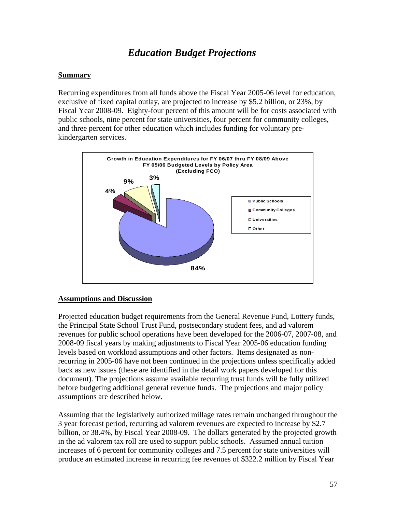# *Education Budget Projections*

### **Summary**

Recurring expenditures from all funds above the Fiscal Year 2005-06 level for education, exclusive of fixed capital outlay, are projected to increase by \$5.2 billion, or 23%, by Fiscal Year 2008-09. Eighty-four percent of this amount will be for costs associated with public schools, nine percent for state universities, four percent for community colleges, and three percent for other education which includes funding for voluntary prekindergarten services.



### **Assumptions and Discussion**

Projected education budget requirements from the General Revenue Fund, Lottery funds, the Principal State School Trust Fund, postsecondary student fees, and ad valorem revenues for public school operations have been developed for the 2006-07, 2007-08, and 2008-09 fiscal years by making adjustments to Fiscal Year 2005-06 education funding levels based on workload assumptions and other factors. Items designated as nonrecurring in 2005-06 have not been continued in the projections unless specifically added back as new issues (these are identified in the detail work papers developed for this document). The projections assume available recurring trust funds will be fully utilized before budgeting additional general revenue funds. The projections and major policy assumptions are described below.

Assuming that the legislatively authorized millage rates remain unchanged throughout the 3 year forecast period, recurring ad valorem revenues are expected to increase by \$2.7 billion, or 38.4%, by Fiscal Year 2008-09. The dollars generated by the projected growth in the ad valorem tax roll are used to support public schools. Assumed annual tuition increases of 6 percent for community colleges and 7.5 percent for state universities will produce an estimated increase in recurring fee revenues of \$322.2 million by Fiscal Year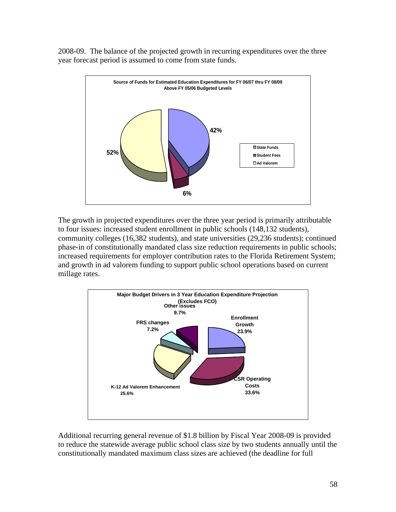2008-09. The balance of the projected growth in recurring expenditures over the three year forecast period is assumed to come from state funds.



The growth in projected expenditures over the three year period is primarily attributable to four issues: increased student enrollment in public schools (148,132 students), community colleges (16,382 students), and state universities (29,236 students); continued phase-in of constitutionally mandated class size reduction requirements in public schools; increased requirements for employer contribution rates to the Florida Retirement System; and growth in ad valorem funding to support public school operations based on current millage rates.



Additional recurring general revenue of \$1.8 billion by Fiscal Year 2008-09 is provided to reduce the statewide average public school class size by two students annually until the constitutionally mandated maximum class sizes are achieved (the deadline for full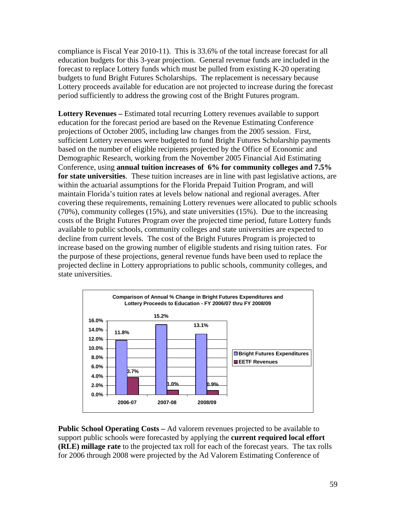compliance is Fiscal Year 2010-11). This is 33.6% of the total increase forecast for all education budgets for this 3-year projection. General revenue funds are included in the forecast to replace Lottery funds which must be pulled from existing K-20 operating budgets to fund Bright Futures Scholarships. The replacement is necessary because Lottery proceeds available for education are not projected to increase during the forecast period sufficiently to address the growing cost of the Bright Futures program.

**Lottery Revenues –** Estimated total recurring Lottery revenues available to support education for the forecast period are based on the Revenue Estimating Conference projections of October 2005, including law changes from the 2005 session. First, sufficient Lottery revenues were budgeted to fund Bright Futures Scholarship payments based on the number of eligible recipients projected by the Office of Economic and Demographic Research, working from the November 2005 Financial Aid Estimating Conference, using **annual tuition increases of 6% for community colleges and 7.5% for state universities**. These tuition increases are in line with past legislative actions, are within the actuarial assumptions for the Florida Prepaid Tuition Program, and will maintain Florida's tuition rates at levels below national and regional averages. After covering these requirements, remaining Lottery revenues were allocated to public schools (70%), community colleges (15%), and state universities (15%). Due to the increasing costs of the Bright Futures Program over the projected time period, future Lottery funds available to public schools, community colleges and state universities are expected to decline from current levels. The cost of the Bright Futures Program is projected to increase based on the growing number of eligible students and rising tuition rates. For the purpose of these projections, general revenue funds have been used to replace the projected decline in Lottery appropriations to public schools, community colleges, and state universities.



**Public School Operating Costs –** Ad valorem revenues projected to be available to support public schools were forecasted by applying the **current required local effort (RLE) millage rate** to the projected tax roll for each of the forecast years. The tax rolls for 2006 through 2008 were projected by the Ad Valorem Estimating Conference of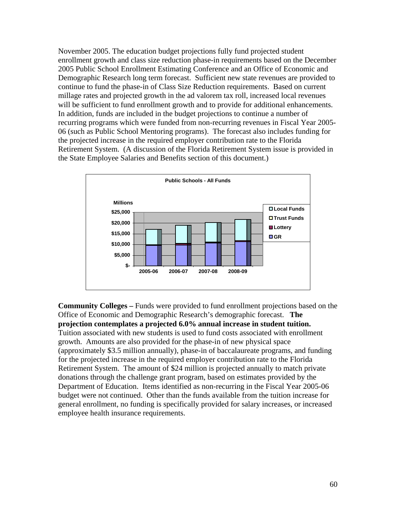November 2005. The education budget projections fully fund projected student enrollment growth and class size reduction phase-in requirements based on the December 2005 Public School Enrollment Estimating Conference and an Office of Economic and Demographic Research long term forecast. Sufficient new state revenues are provided to continue to fund the phase-in of Class Size Reduction requirements. Based on current millage rates and projected growth in the ad valorem tax roll, increased local revenues will be sufficient to fund enrollment growth and to provide for additional enhancements. In addition, funds are included in the budget projections to continue a number of recurring programs which were funded from non-recurring revenues in Fiscal Year 2005- 06 (such as Public School Mentoring programs). The forecast also includes funding for the projected increase in the required employer contribution rate to the Florida Retirement System. (A discussion of the Florida Retirement System issue is provided in the State Employee Salaries and Benefits section of this document.)



**Community Colleges –** Funds were provided to fund enrollment projections based on the Office of Economic and Demographic Research's demographic forecast. **The projection contemplates a projected 6.0% annual increase in student tuition.** Tuition associated with new students is used to fund costs associated with enrollment growth. Amounts are also provided for the phase-in of new physical space (approximately \$3.5 million annually), phase-in of baccalaureate programs, and funding for the projected increase in the required employer contribution rate to the Florida Retirement System. The amount of \$24 million is projected annually to match private donations through the challenge grant program, based on estimates provided by the Department of Education. Items identified as non-recurring in the Fiscal Year 2005-06 budget were not continued. Other than the funds available from the tuition increase for general enrollment, no funding is specifically provided for salary increases, or increased employee health insurance requirements.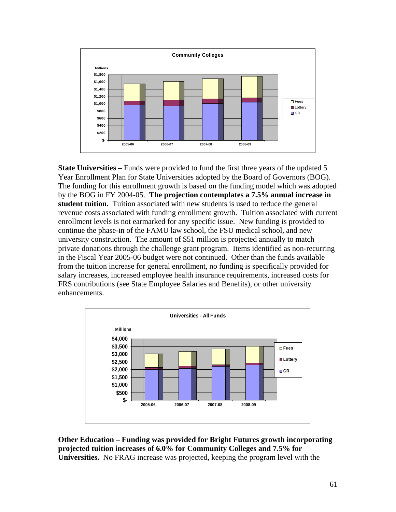

**State Universities** – Funds were provided to fund the first three years of the updated 5 Year Enrollment Plan for State Universities adopted by the Board of Governors (BOG). The funding for this enrollment growth is based on the funding model which was adopted by the BOG in FY 2004-05. **The projection contemplates a 7.5% annual increase in student tuition.** Tuition associated with new students is used to reduce the general revenue costs associated with funding enrollment growth. Tuition associated with current enrollment levels is not earmarked for any specific issue. New funding is provided to continue the phase-in of the FAMU law school, the FSU medical school, and new university construction. The amount of \$51 million is projected annually to match private donations through the challenge grant program. Items identified as non-recurring in the Fiscal Year 2005-06 budget were not continued. Other than the funds available from the tuition increase for general enrollment, no funding is specifically provided for salary increases, increased employee health insurance requirements, increased costs for FRS contributions (see State Employee Salaries and Benefits), or other university enhancements.



**Other Education – Funding was provided for Bright Futures growth incorporating projected tuition increases of 6.0% for Community Colleges and 7.5% for Universities.** No FRAG increase was projected, keeping the program level with the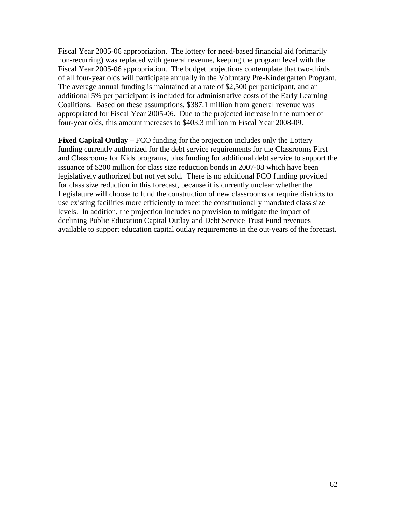Fiscal Year 2005-06 appropriation. The lottery for need-based financial aid (primarily non-recurring) was replaced with general revenue, keeping the program level with the Fiscal Year 2005-06 appropriation. The budget projections contemplate that two-thirds of all four-year olds will participate annually in the Voluntary Pre-Kindergarten Program. The average annual funding is maintained at a rate of \$2,500 per participant, and an additional 5% per participant is included for administrative costs of the Early Learning Coalitions. Based on these assumptions, \$387.1 million from general revenue was appropriated for Fiscal Year 2005-06. Due to the projected increase in the number of four-year olds, this amount increases to \$403.3 million in Fiscal Year 2008-09.

**Fixed Capital Outlay – FCO** funding for the projection includes only the Lottery funding currently authorized for the debt service requirements for the Classrooms First and Classrooms for Kids programs, plus funding for additional debt service to support the issuance of \$200 million for class size reduction bonds in 2007-08 which have been legislatively authorized but not yet sold. There is no additional FCO funding provided for class size reduction in this forecast, because it is currently unclear whether the Legislature will choose to fund the construction of new classrooms or require districts to use existing facilities more efficiently to meet the constitutionally mandated class size levels. In addition, the projection includes no provision to mitigate the impact of declining Public Education Capital Outlay and Debt Service Trust Fund revenues available to support education capital outlay requirements in the out-years of the forecast.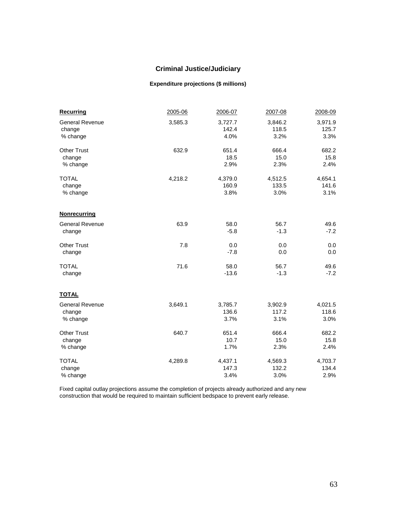# **Criminal Justice/Judiciary**

### **Expenditure projections (\$ millions)**

| <b>Recurring</b>       | 2005-06 | 2006-07 | 2007-08 | 2008-09 |
|------------------------|---------|---------|---------|---------|
| <b>General Revenue</b> | 3,585.3 | 3,727.7 | 3,846.2 | 3,971.9 |
| change                 |         | 142.4   | 118.5   | 125.7   |
| % change               |         | 4.0%    | 3.2%    | 3.3%    |
| <b>Other Trust</b>     | 632.9   | 651.4   | 666.4   | 682.2   |
| change                 |         | 18.5    | 15.0    | 15.8    |
| % change               |         | 2.9%    | 2.3%    | 2.4%    |
| <b>TOTAL</b>           | 4,218.2 | 4,379.0 | 4,512.5 | 4,654.1 |
| change                 |         | 160.9   | 133.5   | 141.6   |
| % change               |         | 3.8%    | 3.0%    | 3.1%    |
| <b>Nonrecurring</b>    |         |         |         |         |
| <b>General Revenue</b> | 63.9    | 58.0    | 56.7    | 49.6    |
| change                 |         | $-5.8$  | $-1.3$  | $-7.2$  |
| <b>Other Trust</b>     | 7.8     | 0.0     | 0.0     | 0.0     |
| change                 |         | $-7.8$  | 0.0     | 0.0     |
| <b>TOTAL</b>           | 71.6    | 58.0    | 56.7    | 49.6    |
| change                 |         | $-13.6$ | $-1.3$  | $-7.2$  |
| <b>TOTAL</b>           |         |         |         |         |
| <b>General Revenue</b> | 3,649.1 | 3,785.7 | 3,902.9 | 4,021.5 |
| change                 |         | 136.6   | 117.2   | 118.6   |
| % change               |         | 3.7%    | 3.1%    | 3.0%    |
| <b>Other Trust</b>     | 640.7   | 651.4   | 666.4   | 682.2   |
| change                 |         | 10.7    | 15.0    | 15.8    |
| % change               |         | 1.7%    | 2.3%    | 2.4%    |
| <b>TOTAL</b>           | 4,289.8 | 4,437.1 | 4,569.3 | 4,703.7 |
| change                 |         | 147.3   | 132.2   | 134.4   |
| % change               |         | 3.4%    | 3.0%    | 2.9%    |

Fixed capital outlay projections assume the completion of projects already authorized and any new construction that would be required to maintain sufficient bedspace to prevent early release.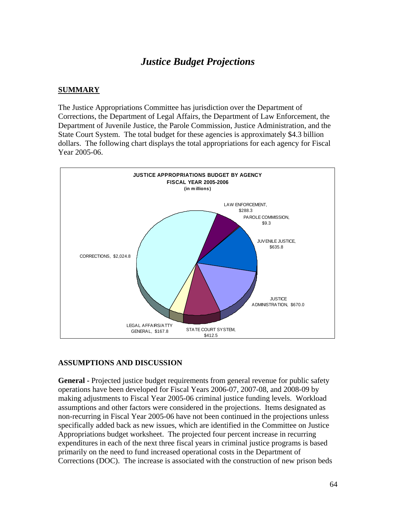# *Justice Budget Projections*

### **SUMMARY**

The Justice Appropriations Committee has jurisdiction over the Department of Corrections, the Department of Legal Affairs, the Department of Law Enforcement, the Department of Juvenile Justice, the Parole Commission, Justice Administration, and the State Court System. The total budget for these agencies is approximately \$4.3 billion dollars. The following chart displays the total appropriations for each agency for Fiscal Year 2005-06.



### **ASSUMPTIONS AND DISCUSSION**

**General -** Projected justice budget requirements from general revenue for public safety operations have been developed for Fiscal Years 2006-07, 2007-08, and 2008-09 by making adjustments to Fiscal Year 2005-06 criminal justice funding levels. Workload assumptions and other factors were considered in the projections. Items designated as non-recurring in Fiscal Year 2005-06 have not been continued in the projections unless specifically added back as new issues, which are identified in the Committee on Justice Appropriations budget worksheet. The projected four percent increase in recurring expenditures in each of the next three fiscal years in criminal justice programs is based primarily on the need to fund increased operational costs in the Department of Corrections (DOC). The increase is associated with the construction of new prison beds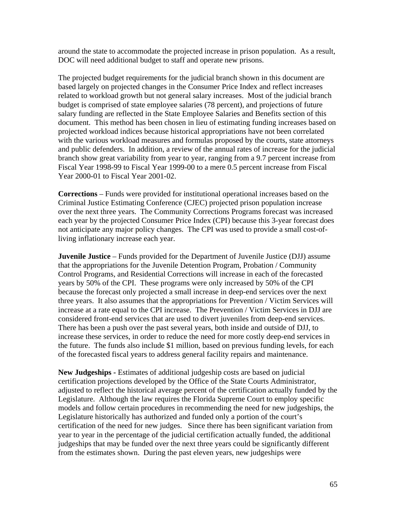around the state to accommodate the projected increase in prison population. As a result, DOC will need additional budget to staff and operate new prisons.

The projected budget requirements for the judicial branch shown in this document are based largely on projected changes in the Consumer Price Index and reflect increases related to workload growth but not general salary increases. Most of the judicial branch budget is comprised of state employee salaries (78 percent), and projections of future salary funding are reflected in the State Employee Salaries and Benefits section of this document. This method has been chosen in lieu of estimating funding increases based on projected workload indices because historical appropriations have not been correlated with the various workload measures and formulas proposed by the courts, state attorneys and public defenders. In addition, a review of the annual rates of increase for the judicial branch show great variability from year to year, ranging from a 9.7 percent increase from Fiscal Year 1998-99 to Fiscal Year 1999-00 to a mere 0.5 percent increase from Fiscal Year 2000-01 to Fiscal Year 2001-02.

**Corrections** – Funds were provided for institutional operational increases based on the Criminal Justice Estimating Conference (CJEC) projected prison population increase over the next three years. The Community Corrections Programs forecast was increased each year by the projected Consumer Price Index (CPI) because this 3-year forecast does not anticipate any major policy changes. The CPI was used to provide a small cost-ofliving inflationary increase each year.

**Juvenile Justice** – Funds provided for the Department of Juvenile Justice (DJJ) assume that the appropriations for the Juvenile Detention Program, Probation / Community Control Programs, and Residential Corrections will increase in each of the forecasted years by 50% of the CPI. These programs were only increased by 50% of the CPI because the forecast only projected a small increase in deep-end services over the next three years. It also assumes that the appropriations for Prevention / Victim Services will increase at a rate equal to the CPI increase. The Prevention / Victim Services in DJJ are considered front-end services that are used to divert juveniles from deep-end services. There has been a push over the past several years, both inside and outside of DJJ, to increase these services, in order to reduce the need for more costly deep-end services in the future. The funds also include \$1 million, based on previous funding levels, for each of the forecasted fiscal years to address general facility repairs and maintenance.

**New Judgeships -** Estimates of additional judgeship costs are based on judicial certification projections developed by the Office of the State Courts Administrator, adjusted to reflect the historical average percent of the certification actually funded by the Legislature. Although the law requires the Florida Supreme Court to employ specific models and follow certain procedures in recommending the need for new judgeships, the Legislature historically has authorized and funded only a portion of the court's certification of the need for new judges. Since there has been significant variation from year to year in the percentage of the judicial certification actually funded, the additional judgeships that may be funded over the next three years could be significantly different from the estimates shown. During the past eleven years, new judgeships were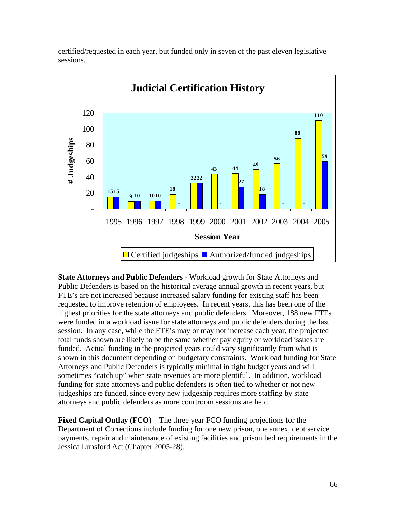

certified/requested in each year, but funded only in seven of the past eleven legislative sessions.

**State Attorneys and Public Defenders -** Workload growth for State Attorneys and Public Defenders is based on the historical average annual growth in recent years, but FTE's are not increased because increased salary funding for existing staff has been requested to improve retention of employees. In recent years, this has been one of the highest priorities for the state attorneys and public defenders. Moreover, 188 new FTEs were funded in a workload issue for state attorneys and public defenders during the last session. In any case, while the FTE's may or may not increase each year, the projected total funds shown are likely to be the same whether pay equity or workload issues are funded. Actual funding in the projected years could vary significantly from what is shown in this document depending on budgetary constraints. Workload funding for State Attorneys and Public Defenders is typically minimal in tight budget years and will sometimes "catch up" when state revenues are more plentiful. In addition, workload funding for state attorneys and public defenders is often tied to whether or not new judgeships are funded, since every new judgeship requires more staffing by state attorneys and public defenders as more courtroom sessions are held.

**Fixed Capital Outlay (FCO)** – The three year FCO funding projections for the Department of Corrections include funding for one new prison, one annex, debt service payments, repair and maintenance of existing facilities and prison bed requirements in the Jessica Lunsford Act (Chapter 2005-28).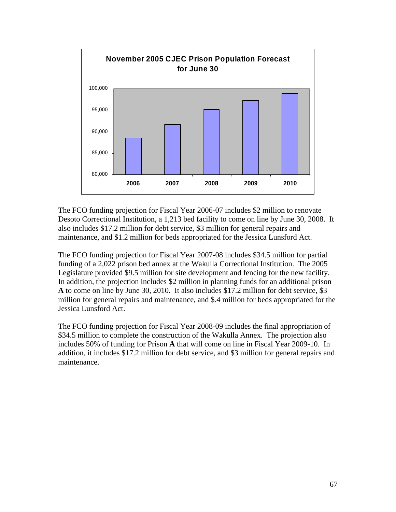

The FCO funding projection for Fiscal Year 2006-07 includes \$2 million to renovate Desoto Correctional Institution, a 1,213 bed facility to come on line by June 30, 2008. It also includes \$17.2 million for debt service, \$3 million for general repairs and maintenance, and \$1.2 million for beds appropriated for the Jessica Lunsford Act.

The FCO funding projection for Fiscal Year 2007-08 includes \$34.5 million for partial funding of a 2,022 prison bed annex at the Wakulla Correctional Institution. The 2005 Legislature provided \$9.5 million for site development and fencing for the new facility. In addition, the projection includes \$2 million in planning funds for an additional prison **A** to come on line by June 30, 2010. It also includes \$17.2 million for debt service, \$3 million for general repairs and maintenance, and \$.4 million for beds appropriated for the Jessica Lunsford Act.

The FCO funding projection for Fiscal Year 2008-09 includes the final appropriation of \$34.5 million to complete the construction of the Wakulla Annex. The projection also includes 50% of funding for Prison **A** that will come on line in Fiscal Year 2009-10. In addition, it includes \$17.2 million for debt service, and \$3 million for general repairs and maintenance.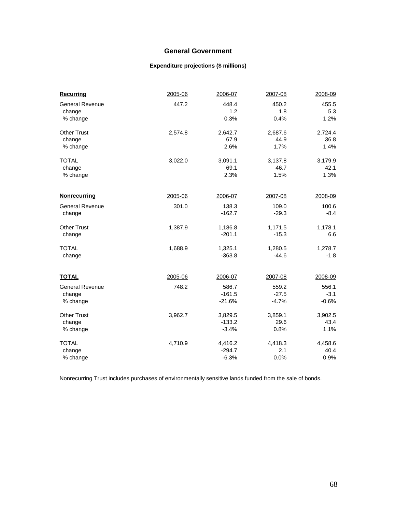### **General Government**

### **Expenditure projections (\$ millions)**

| <b>Recurring</b>       | 2005-06 | 2006-07  | 2007-08 | 2008-09 |
|------------------------|---------|----------|---------|---------|
| <b>General Revenue</b> | 447.2   | 448.4    | 450.2   | 455.5   |
| change                 |         | 1.2      | 1.8     | 5.3     |
| % change               |         | 0.3%     | 0.4%    | 1.2%    |
| <b>Other Trust</b>     | 2,574.8 | 2,642.7  | 2,687.6 | 2,724.4 |
| change                 |         | 67.9     | 44.9    | 36.8    |
| % change               |         | 2.6%     | 1.7%    | 1.4%    |
| <b>TOTAL</b>           | 3,022.0 | 3,091.1  | 3,137.8 | 3,179.9 |
| change                 |         | 69.1     | 46.7    | 42.1    |
| % change               |         | 2.3%     | 1.5%    | 1.3%    |
| <b>Nonrecurring</b>    | 2005-06 | 2006-07  | 2007-08 | 2008-09 |
| <b>General Revenue</b> | 301.0   | 138.3    | 109.0   | 100.6   |
| change                 |         | $-162.7$ | $-29.3$ | $-8.4$  |
| <b>Other Trust</b>     | 1,387.9 | 1,186.8  | 1,171.5 | 1,178.1 |
| change                 |         | $-201.1$ | $-15.3$ | 6.6     |
| <b>TOTAL</b>           | 1,688.9 | 1,325.1  | 1,280.5 | 1,278.7 |
| change                 |         | $-363.8$ | $-44.6$ | $-1.8$  |
| <b>TOTAL</b>           | 2005-06 | 2006-07  | 2007-08 | 2008-09 |
| <b>General Revenue</b> | 748.2   | 586.7    | 559.2   | 556.1   |
| change                 |         | $-161.5$ | $-27.5$ | $-3.1$  |
| % change               |         | $-21.6%$ | $-4.7%$ | $-0.6%$ |
|                        |         |          |         |         |
| <b>Other Trust</b>     | 3,962.7 | 3,829.5  | 3,859.1 | 3,902.5 |
| change                 |         | $-133.2$ | 29.6    | 43.4    |
| % change               |         | $-3.4%$  | 0.8%    | 1.1%    |
| <b>TOTAL</b>           | 4,710.9 | 4,416.2  | 4,418.3 | 4,458.6 |
| change                 |         | $-294.7$ | 2.1     | 40.4    |
| % change               |         | $-6.3%$  | 0.0%    | 0.9%    |

Nonrecurring Trust includes purchases of environmentally sensitive lands funded from the sale of bonds.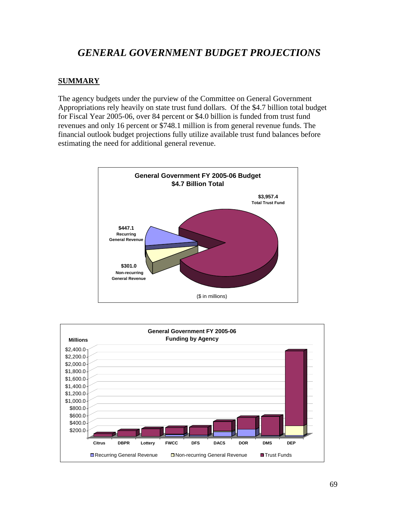# *GENERAL GOVERNMENT BUDGET PROJECTIONS*

### **SUMMARY**

The agency budgets under the purview of the Committee on General Government Appropriations rely heavily on state trust fund dollars. Of the \$4.7 billion total budget for Fiscal Year 2005-06, over 84 percent or \$4.0 billion is funded from trust fund revenues and only 16 percent or \$748.1 million is from general revenue funds. The financial outlook budget projections fully utilize available trust fund balances before estimating the need for additional general revenue.



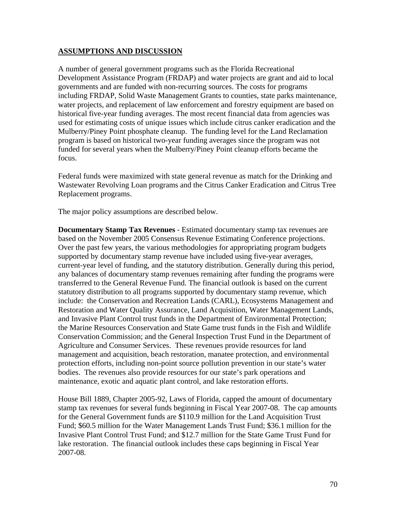### **ASSUMPTIONS AND DISCUSSION**

A number of general government programs such as the Florida Recreational Development Assistance Program (FRDAP) and water projects are grant and aid to local governments and are funded with non-recurring sources. The costs for programs including FRDAP, Solid Waste Management Grants to counties, state parks maintenance, water projects, and replacement of law enforcement and forestry equipment are based on historical five-year funding averages. The most recent financial data from agencies was used for estimating costs of unique issues which include citrus canker eradication and the Mulberry/Piney Point phosphate cleanup. The funding level for the Land Reclamation program is based on historical two-year funding averages since the program was not funded for several years when the Mulberry/Piney Point cleanup efforts became the focus.

Federal funds were maximized with state general revenue as match for the Drinking and Wastewater Revolving Loan programs and the Citrus Canker Eradication and Citrus Tree Replacement programs.

The major policy assumptions are described below.

**Documentary Stamp Tax Revenues** - Estimated documentary stamp tax revenues are based on the November 2005 Consensus Revenue Estimating Conference projections. Over the past few years, the various methodologies for appropriating program budgets supported by documentary stamp revenue have included using five-year averages, current-year level of funding, and the statutory distribution. Generally during this period, any balances of documentary stamp revenues remaining after funding the programs were transferred to the General Revenue Fund. The financial outlook is based on the current statutory distribution to all programs supported by documentary stamp revenue, which include: the Conservation and Recreation Lands (CARL), Ecosystems Management and Restoration and Water Quality Assurance, Land Acquisition, Water Management Lands, and Invasive Plant Control trust funds in the Department of Environmental Protection; the Marine Resources Conservation and State Game trust funds in the Fish and Wildlife Conservation Commission; and the General Inspection Trust Fund in the Department of Agriculture and Consumer Services. These revenues provide resources for land management and acquisition, beach restoration, manatee protection, and environmental protection efforts, including non-point source pollution prevention in our state's water bodies. The revenues also provide resources for our state's park operations and maintenance, exotic and aquatic plant control, and lake restoration efforts.

House Bill 1889, Chapter 2005-92, Laws of Florida, capped the amount of documentary stamp tax revenues for several funds beginning in Fiscal Year 2007-08. The cap amounts for the General Government funds are \$110.9 million for the Land Acquisition Trust Fund; \$60.5 million for the Water Management Lands Trust Fund; \$36.1 million for the Invasive Plant Control Trust Fund; and \$12.7 million for the State Game Trust Fund for lake restoration. The financial outlook includes these caps beginning in Fiscal Year 2007-08.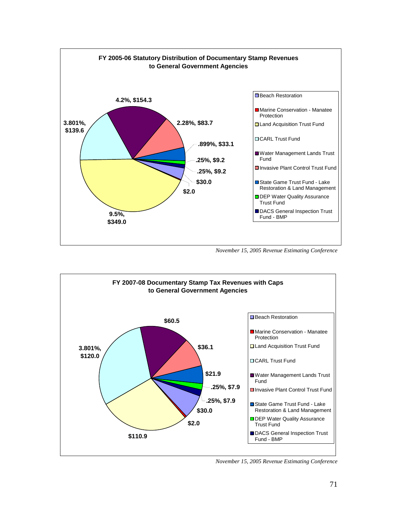

*November 15, 2005 Revenue Estimating Conference*



 *November 15, 2005 Revenue Estimating Conference*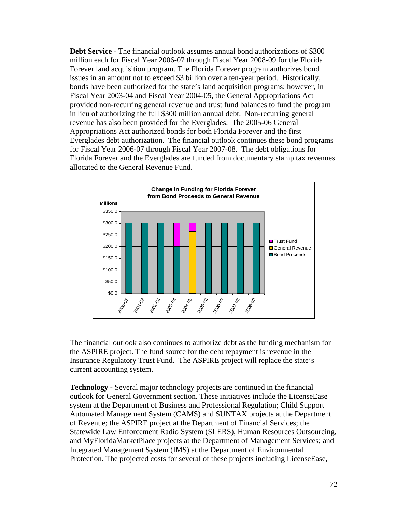**Debt Service** - The financial outlook assumes annual bond authorizations of \$300 million each for Fiscal Year 2006-07 through Fiscal Year 2008-09 for the Florida Forever land acquisition program. The Florida Forever program authorizes bond issues in an amount not to exceed \$3 billion over a ten-year period. Historically, bonds have been authorized for the state's land acquisition programs; however, in Fiscal Year 2003-04 and Fiscal Year 2004-05, the General Appropriations Act provided non-recurring general revenue and trust fund balances to fund the program in lieu of authorizing the full \$300 million annual debt. Non-recurring general revenue has also been provided for the Everglades. The 2005-06 General Appropriations Act authorized bonds for both Florida Forever and the first Everglades debt authorization. The financial outlook continues these bond programs for Fiscal Year 2006-07 through Fiscal Year 2007-08. The debt obligations for Florida Forever and the Everglades are funded from documentary stamp tax revenues allocated to the General Revenue Fund.



The financial outlook also continues to authorize debt as the funding mechanism for the ASPIRE project. The fund source for the debt repayment is revenue in the Insurance Regulatory Trust Fund. The ASPIRE project will replace the state's current accounting system.

**Technology -** Several major technology projects are continued in the financial outlook for General Government section. These initiatives include the LicenseEase system at the Department of Business and Professional Regulation; Child Support Automated Management System (CAMS) and SUNTAX projects at the Department of Revenue; the ASPIRE project at the Department of Financial Services; the Statewide Law Enforcement Radio System (SLERS), Human Resources Outsourcing, and MyFloridaMarketPlace projects at the Department of Management Services; and Integrated Management System (IMS) at the Department of Environmental Protection. The projected costs for several of these projects including LicenseEase,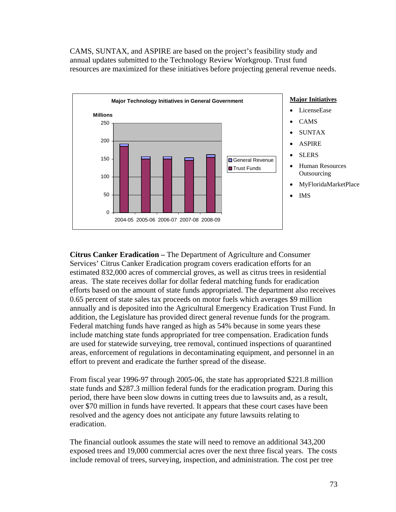CAMS, SUNTAX, and ASPIRE are based on the project's feasibility study and annual updates submitted to the Technology Review Workgroup. Trust fund resources are maximized for these initiatives before projecting general revenue needs.



#### **Major Initiatives**

- LicenseEase
- CAMS
- SUNTAX
- ASPIRE
- **SLERS**
- Human Resources **Outsourcing**
- MyFloridaMarketPlace
- IMS

**Citrus Canker Eradication –** The Department of Agriculture and Consumer Services' Citrus Canker Eradication program covers eradication efforts for an estimated 832,000 acres of commercial groves, as well as citrus trees in residential areas. The state receives dollar for dollar federal matching funds for eradication efforts based on the amount of state funds appropriated. The department also receives 0.65 percent of state sales tax proceeds on motor fuels which averages \$9 million annually and is deposited into the Agricultural Emergency Eradication Trust Fund. In addition, the Legislature has provided direct general revenue funds for the program. Federal matching funds have ranged as high as 54% because in some years these include matching state funds appropriated for tree compensation. Eradication funds are used for statewide surveying, tree removal, continued inspections of quarantined areas, enforcement of regulations in decontaminating equipment, and personnel in an effort to prevent and eradicate the further spread of the disease.

From fiscal year 1996-97 through 2005-06, the state has appropriated \$221.8 million state funds and \$287.3 million federal funds for the eradication program. During this period, there have been slow downs in cutting trees due to lawsuits and, as a result, over \$70 million in funds have reverted. It appears that these court cases have been resolved and the agency does not anticipate any future lawsuits relating to eradication.

The financial outlook assumes the state will need to remove an additional 343,200 exposed trees and 19,000 commercial acres over the next three fiscal years. The costs include removal of trees, surveying, inspection, and administration. The cost per tree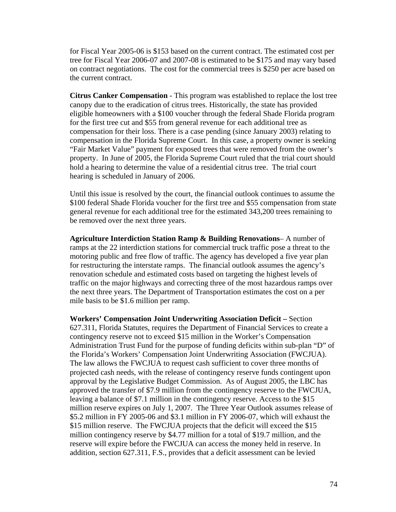for Fiscal Year 2005-06 is \$153 based on the current contract. The estimated cost per tree for Fiscal Year 2006-07 and 2007-08 is estimated to be \$175 and may vary based on contract negotiations. The cost for the commercial trees is \$250 per acre based on the current contract.

**Citrus Canker Compensation** - This program was established to replace the lost tree canopy due to the eradication of citrus trees. Historically, the state has provided eligible homeowners with a \$100 voucher through the federal Shade Florida program for the first tree cut and \$55 from general revenue for each additional tree as compensation for their loss. There is a case pending (since January 2003) relating to compensation in the Florida Supreme Court. In this case, a property owner is seeking "Fair Market Value" payment for exposed trees that were removed from the owner's property. In June of 2005, the Florida Supreme Court ruled that the trial court should hold a hearing to determine the value of a residential citrus tree. The trial court hearing is scheduled in January of 2006.

Until this issue is resolved by the court, the financial outlook continues to assume the \$100 federal Shade Florida voucher for the first tree and \$55 compensation from state general revenue for each additional tree for the estimated 343,200 trees remaining to be removed over the next three years.

**Agriculture Interdiction Station Ramp & Building Renovations**– A number of ramps at the 22 interdiction stations for commercial truck traffic pose a threat to the motoring public and free flow of traffic. The agency has developed a five year plan for restructuring the interstate ramps. The financial outlook assumes the agency's renovation schedule and estimated costs based on targeting the highest levels of traffic on the major highways and correcting three of the most hazardous ramps over the next three years. The Department of Transportation estimates the cost on a per mile basis to be \$1.6 million per ramp.

**Workers' Compensation Joint Underwriting Association Deficit –** Section 627.311, Florida Statutes, requires the Department of Financial Services to create a contingency reserve not to exceed \$15 million in the Worker's Compensation Administration Trust Fund for the purpose of funding deficits within sub-plan "D" of the Florida's Workers' Compensation Joint Underwriting Association (FWCJUA). The law allows the FWCJUA to request cash sufficient to cover three months of projected cash needs, with the release of contingency reserve funds contingent upon approval by the Legislative Budget Commission. As of August 2005, the LBC has approved the transfer of \$7.9 million from the contingency reserve to the FWCJUA, leaving a balance of \$7.1 million in the contingency reserve. Access to the \$15 million reserve expires on July 1, 2007. The Three Year Outlook assumes release of \$5.2 million in FY 2005-06 and \$3.1 million in FY 2006-07, which will exhaust the \$15 million reserve. The FWCJUA projects that the deficit will exceed the \$15 million contingency reserve by \$4.77 million for a total of \$19.7 million, and the reserve will expire before the FWCJUA can access the money held in reserve. In addition, section 627.311, F.S., provides that a deficit assessment can be levied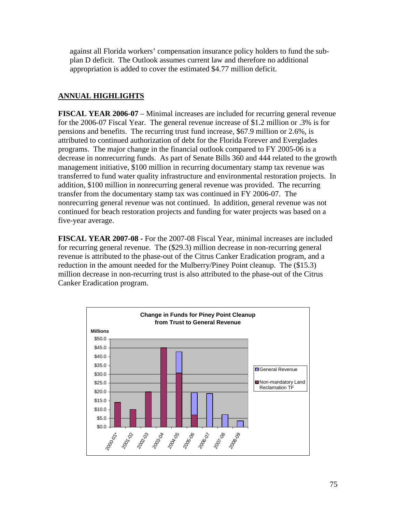against all Florida workers' compensation insurance policy holders to fund the subplan D deficit. The Outlook assumes current law and therefore no additional appropriation is added to cover the estimated \$4.77 million deficit.

## **ANNUAL HIGHLIGHTS**

**FISCAL YEAR 2006-07** – Minimal increases are included for recurring general revenue for the 2006-07 Fiscal Year. The general revenue increase of \$1.2 million or .3% is for pensions and benefits. The recurring trust fund increase, \$67.9 million or 2.6%, is attributed to continued authorization of debt for the Florida Forever and Everglades programs. The major change in the financial outlook compared to FY 2005-06 is a decrease in nonrecurring funds. As part of Senate Bills 360 and 444 related to the growth management initiative, \$100 million in recurring documentary stamp tax revenue was transferred to fund water quality infrastructure and environmental restoration projects. In addition, \$100 million in nonrecurring general revenue was provided. The recurring transfer from the documentary stamp tax was continued in FY 2006-07. The nonrecurring general revenue was not continued. In addition, general revenue was not continued for beach restoration projects and funding for water projects was based on a five-year average.

**FISCAL YEAR 2007-08 -** For the 2007-08 Fiscal Year, minimal increases are included for recurring general revenue. The (\$29.3) million decrease in non-recurring general revenue is attributed to the phase-out of the Citrus Canker Eradication program, and a reduction in the amount needed for the Mulberry/Piney Point cleanup. The (\$15.3) million decrease in non-recurring trust is also attributed to the phase-out of the Citrus Canker Eradication program.

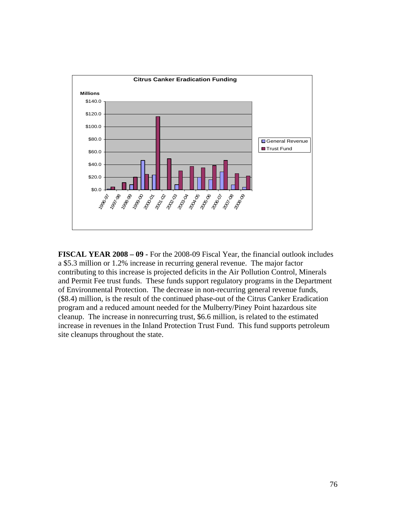

**FISCAL YEAR 2008 – 09 -** For the 2008-09 Fiscal Year, the financial outlook includes a \$5.3 million or 1.2% increase in recurring general revenue. The major factor contributing to this increase is projected deficits in the Air Pollution Control, Minerals and Permit Fee trust funds. These funds support regulatory programs in the Department of Environmental Protection. The decrease in non-recurring general revenue funds, (\$8.4) million, is the result of the continued phase-out of the Citrus Canker Eradication program and a reduced amount needed for the Mulberry/Piney Point hazardous site cleanup. The increase in nonrecurring trust, \$6.6 million, is related to the estimated increase in revenues in the Inland Protection Trust Fund. This fund supports petroleum site cleanups throughout the state.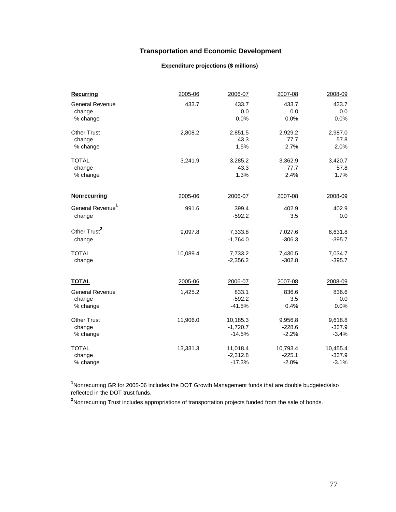## **Transportation and Economic Development**

#### **Expenditure projections (\$ millions)**

| <b>Recurring</b>             | 2005-06  | 2006-07    | 2007-08  | 2008-09  |
|------------------------------|----------|------------|----------|----------|
| <b>General Revenue</b>       | 433.7    | 433.7      | 433.7    | 433.7    |
| change                       |          | 0.0        | 0.0      | 0.0      |
| % change                     |          | 0.0%       | 0.0%     | 0.0%     |
| <b>Other Trust</b>           | 2,808.2  | 2,851.5    | 2,929.2  | 2,987.0  |
| change                       |          | 43.3       | 77.7     | 57.8     |
| % change                     |          | 1.5%       | 2.7%     | 2.0%     |
| <b>TOTAL</b>                 | 3,241.9  | 3,285.2    | 3,362.9  | 3,420.7  |
| change                       |          | 43.3       | 77.7     | 57.8     |
| % change                     |          | 1.3%       | 2.4%     | 1.7%     |
| Nonrecurring                 | 2005-06  | 2006-07    | 2007-08  | 2008-09  |
|                              |          |            |          |          |
| General Revenue <sup>1</sup> | 991.6    | 399.4      | 402.9    | 402.9    |
| change                       |          | $-592.2$   | 3.5      | 0.0      |
| Other Trust <sup>2</sup>     | 9,097.8  | 7,333.8    | 7,027.6  | 6,631.8  |
| change                       |          | $-1,764.0$ | $-306.3$ | $-395.7$ |
| <b>TOTAL</b>                 | 10,089.4 | 7,733.2    | 7,430.5  | 7,034.7  |
| change                       |          | $-2,356.2$ | $-302.8$ | $-395.7$ |
|                              |          |            |          |          |
| <b>TOTAL</b>                 | 2005-06  | 2006-07    | 2007-08  | 2008-09  |
| <b>General Revenue</b>       | 1,425.2  | 833.1      | 836.6    | 836.6    |
| change                       |          | $-592.2$   | 3.5      | 0.0      |
| % change                     |          | $-41.5%$   | 0.4%     | 0.0%     |
| <b>Other Trust</b>           | 11,906.0 | 10,185.3   | 9,956.8  | 9,618.8  |
| change                       |          | $-1,720.7$ | $-228.6$ | $-337.9$ |
| % change                     |          | $-14.5%$   | $-2.2%$  | $-3.4%$  |
| <b>TOTAL</b>                 | 13,331.3 | 11,018.4   | 10,793.4 | 10,455.4 |
| change                       |          | $-2,312.8$ | $-225.1$ | $-337.9$ |
| % change                     |          | $-17.3%$   | $-2.0%$  | $-3.1%$  |

**1** Nonrecurring GR for 2005-06 includes the DOT Growth Management funds that are double budgeted/also reflected in the DOT trust funds.

**2** Nonrecurring Trust includes appropriations of transportation projects funded from the sale of bonds.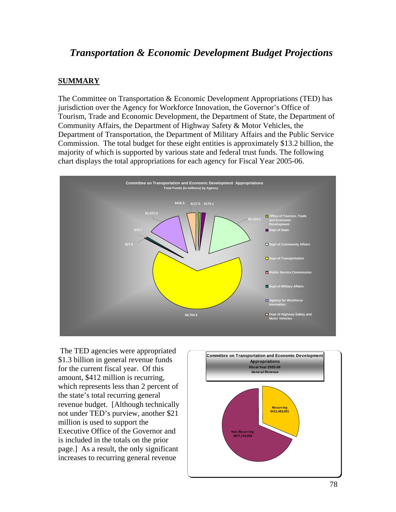# *Transportation & Economic Development Budget Projections*

### **SUMMARY**

The Committee on Transportation & Economic Development Appropriations (TED) has jurisdiction over the Agency for Workforce Innovation, the Governor's Office of Tourism, Trade and Economic Development, the Department of State, the Department of Community Affairs, the Department of Highway Safety & Motor Vehicles, the Department of Transportation, the Department of Military Affairs and the Public Service Commission. The total budget for these eight entities is approximately \$13.2 billion, the majority of which is supported by various state and federal trust funds. The following chart displays the total appropriations for each agency for Fiscal Year 2005-06.



 The TED agencies were appropriated \$1.3 billion in general revenue funds for the current fiscal year. Of this amount, \$412 million is recurring, which represents less than 2 percent of the state's total recurring general revenue budget. [Although technically not under TED's purview, another \$21 million is used to support the Executive Office of the Governor and is included in the totals on the prior page.] As a result, the only significant increases to recurring general revenue

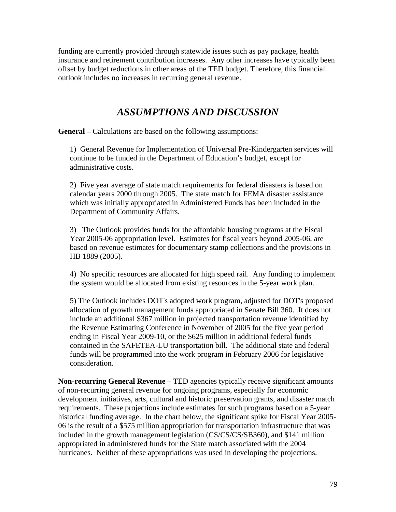funding are currently provided through statewide issues such as pay package, health insurance and retirement contribution increases. Any other increases have typically been offset by budget reductions in other areas of the TED budget. Therefore, this financial outlook includes no increases in recurring general revenue.

# *ASSUMPTIONS AND DISCUSSION*

**General –** Calculations are based on the following assumptions:

 1) General Revenue for Implementation of Universal Pre-Kindergarten services will continue to be funded in the Department of Education's budget, except for administrative costs.

 2) Five year average of state match requirements for federal disasters is based on calendar years 2000 through 2005. The state match for FEMA disaster assistance which was initially appropriated in Administered Funds has been included in the Department of Community Affairs.

 3) The Outlook provides funds for the affordable housing programs at the Fiscal Year 2005-06 appropriation level. Estimates for fiscal years beyond 2005-06, are based on revenue estimates for documentary stamp collections and the provisions in HB 1889 (2005).

 4) No specific resources are allocated for high speed rail. Any funding to implement the system would be allocated from existing resources in the 5-year work plan.

5) The Outlook includes DOT's adopted work program, adjusted for DOT's proposed allocation of growth management funds appropriated in Senate Bill 360. It does not include an additional \$367 million in projected transportation revenue identified by the Revenue Estimating Conference in November of 2005 for the five year period ending in Fiscal Year 2009-10, or the \$625 million in additional federal funds contained in the SAFETEA-LU transportation bill. The additional state and federal funds will be programmed into the work program in February 2006 for legislative consideration.

**Non-recurring General Revenue** – TED agencies typically receive significant amounts of non-recurring general revenue for ongoing programs, especially for economic development initiatives, arts, cultural and historic preservation grants, and disaster match requirements. These projections include estimates for such programs based on a 5-year historical funding average. In the chart below, the significant spike for Fiscal Year 2005- 06 is the result of a \$575 million appropriation for transportation infrastructure that was included in the growth management legislation (CS/CS/CS/SB360), and \$141 million appropriated in administered funds for the State match associated with the 2004 hurricanes. Neither of these appropriations was used in developing the projections.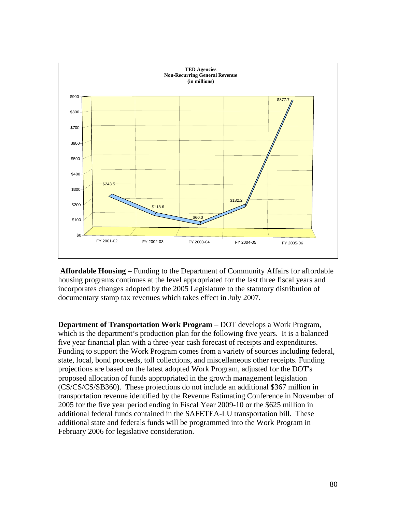

**Affordable Housing** – Funding to the Department of Community Affairs for affordable housing programs continues at the level appropriated for the last three fiscal years and incorporates changes adopted by the 2005 Legislature to the statutory distribution of documentary stamp tax revenues which takes effect in July 2007.

**Department of Transportation Work Program** – DOT develops a Work Program, which is the department's production plan for the following five years. It is a balanced five year financial plan with a three-year cash forecast of receipts and expenditures. Funding to support the Work Program comes from a variety of sources including federal, state, local, bond proceeds, toll collections, and miscellaneous other receipts. Funding projections are based on the latest adopted Work Program, adjusted for the DOT's proposed allocation of funds appropriated in the growth management legislation (CS/CS/CS/SB360). These projections do not include an additional \$367 million in transportation revenue identified by the Revenue Estimating Conference in November of 2005 for the five year period ending in Fiscal Year 2009-10 or the \$625 million in additional federal funds contained in the SAFETEA-LU transportation bill. These additional state and federals funds will be programmed into the Work Program in February 2006 for legislative consideration.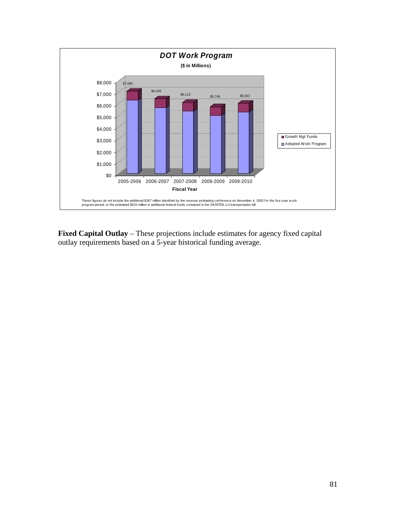

**Fixed Capital Outlay** – These projections include estimates for agency fixed capital outlay requirements based on a 5-year historical funding average.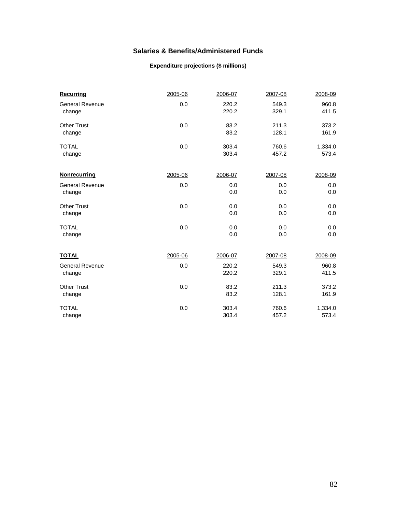## **Salaries & Benefits/Administered Funds**

#### **Expenditure projections (\$ millions)**

| <b>Recurring</b>       | 2005-06 | 2006-07 | 2007-08 | 2008-09 |
|------------------------|---------|---------|---------|---------|
| <b>General Revenue</b> | 0.0     | 220.2   | 549.3   | 960.8   |
| change                 |         | 220.2   | 329.1   | 411.5   |
| <b>Other Trust</b>     | 0.0     | 83.2    | 211.3   | 373.2   |
| change                 |         | 83.2    | 128.1   | 161.9   |
| <b>TOTAL</b>           | 0.0     | 303.4   | 760.6   | 1,334.0 |
| change                 |         | 303.4   | 457.2   | 573.4   |
| <b>Nonrecurring</b>    | 2005-06 | 2006-07 | 2007-08 | 2008-09 |
| <b>General Revenue</b> | 0.0     | 0.0     | 0.0     | 0.0     |
| change                 |         | 0.0     | 0.0     | 0.0     |
| <b>Other Trust</b>     | 0.0     | 0.0     | 0.0     | 0.0     |
| change                 |         | 0.0     | 0.0     | 0.0     |
| <b>TOTAL</b>           | 0.0     | 0.0     | 0.0     | 0.0     |
| change                 |         | 0.0     | 0.0     | 0.0     |
| <u>TOTAL</u>           | 2005-06 | 2006-07 | 2007-08 | 2008-09 |
| <b>General Revenue</b> | 0.0     | 220.2   | 549.3   | 960.8   |
| change                 |         | 220.2   | 329.1   | 411.5   |
| <b>Other Trust</b>     | 0.0     | 83.2    | 211.3   | 373.2   |
| change                 |         | 83.2    | 128.1   | 161.9   |
| <b>TOTAL</b>           | 0.0     | 303.4   | 760.6   | 1,334.0 |
| change                 |         | 303.4   | 457.2   | 573.4   |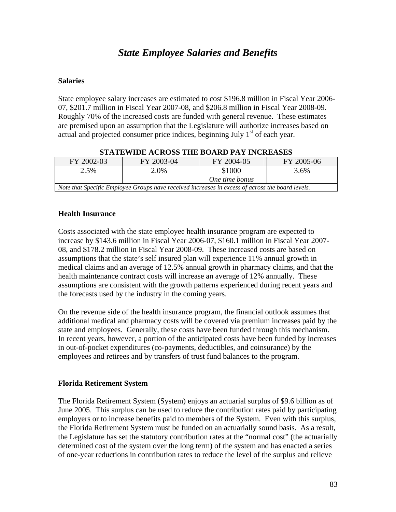# *State Employee Salaries and Benefits*

## **Salaries**

State employee salary increases are estimated to cost \$196.8 million in Fiscal Year 2006- 07, \$201.7 million in Fiscal Year 2007-08, and \$206.8 million in Fiscal Year 2008-09. Roughly 70% of the increased costs are funded with general revenue. These estimates are premised upon an assumption that the Legislature will authorize increases based on actual and projected consumer price indices, beginning July  $1<sup>st</sup>$  of each year.

| FY 2002-03                                                                                       | FY 2003-04 | FY 2004-05     | FY 2005-06 |  |  |  |
|--------------------------------------------------------------------------------------------------|------------|----------------|------------|--|--|--|
| 2.5%                                                                                             | 2.0%       | \$1000         | 3.6%       |  |  |  |
|                                                                                                  |            | One time bonus |            |  |  |  |
| Note that Specific Employee Groups have received increases in excess of across the board levels. |            |                |            |  |  |  |

### **STATEWIDE ACROSS THE BOARD PAY INCREASES**

## **Health Insurance**

Costs associated with the state employee health insurance program are expected to increase by \$143.6 million in Fiscal Year 2006-07, \$160.1 million in Fiscal Year 2007- 08, and \$178.2 million in Fiscal Year 2008-09. These increased costs are based on assumptions that the state's self insured plan will experience 11% annual growth in medical claims and an average of 12.5% annual growth in pharmacy claims, and that the health maintenance contract costs will increase an average of 12% annually. These assumptions are consistent with the growth patterns experienced during recent years and the forecasts used by the industry in the coming years.

On the revenue side of the health insurance program, the financial outlook assumes that additional medical and pharmacy costs will be covered via premium increases paid by the state and employees. Generally, these costs have been funded through this mechanism. In recent years, however, a portion of the anticipated costs have been funded by increases in out-of-pocket expenditures (co-payments, deductibles, and coinsurance) by the employees and retirees and by transfers of trust fund balances to the program.

## **Florida Retirement System**

The Florida Retirement System (System) enjoys an actuarial surplus of \$9.6 billion as of June 2005. This surplus can be used to reduce the contribution rates paid by participating employers or to increase benefits paid to members of the System. Even with this surplus, the Florida Retirement System must be funded on an actuarially sound basis. As a result, the Legislature has set the statutory contribution rates at the "normal cost" (the actuarially determined cost of the system over the long term) of the system and has enacted a series of one-year reductions in contribution rates to reduce the level of the surplus and relieve